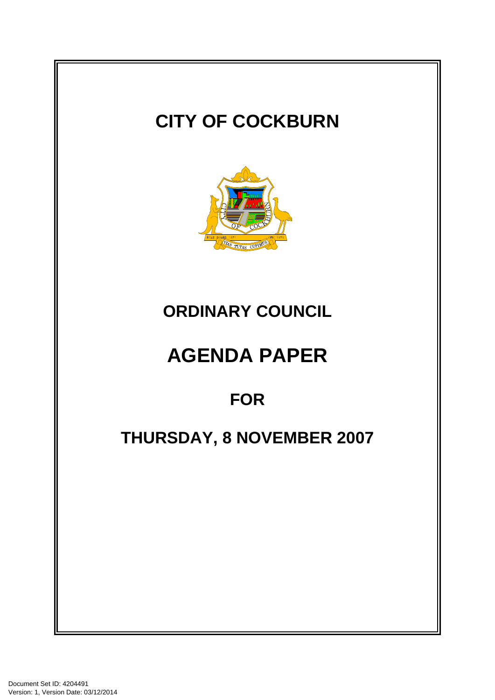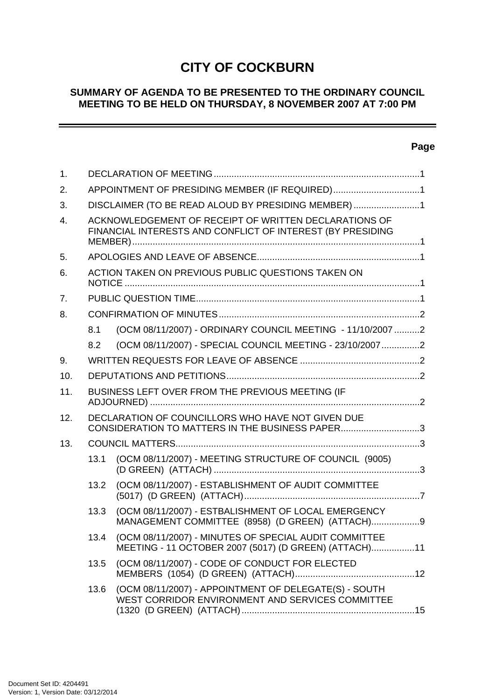# **CITY OF COCKBURN**

## **SUMMARY OF AGENDA TO BE PRESENTED TO THE ORDINARY COUNCIL MEETING TO BE HELD ON THURSDAY, 8 NOVEMBER 2007 AT 7:00 PM**

## **Page**

-

| 1.               |                                                                                                                     |                                                                                                                     |  |  |  |  |
|------------------|---------------------------------------------------------------------------------------------------------------------|---------------------------------------------------------------------------------------------------------------------|--|--|--|--|
| 2.               |                                                                                                                     | APPOINTMENT OF PRESIDING MEMBER (IF REQUIRED)1                                                                      |  |  |  |  |
| 3.               |                                                                                                                     | DISCLAIMER (TO BE READ ALOUD BY PRESIDING MEMBER) 1                                                                 |  |  |  |  |
| $\overline{4}$ . | ACKNOWLEDGEMENT OF RECEIPT OF WRITTEN DECLARATIONS OF<br>FINANCIAL INTERESTS AND CONFLICT OF INTEREST (BY PRESIDING |                                                                                                                     |  |  |  |  |
| 5.               |                                                                                                                     |                                                                                                                     |  |  |  |  |
| 6.               |                                                                                                                     | ACTION TAKEN ON PREVIOUS PUBLIC QUESTIONS TAKEN ON                                                                  |  |  |  |  |
| 7.               |                                                                                                                     |                                                                                                                     |  |  |  |  |
| 8.               |                                                                                                                     |                                                                                                                     |  |  |  |  |
|                  | 8.1                                                                                                                 | (OCM 08/11/2007) - ORDINARY COUNCIL MEETING - 11/10/2007 2                                                          |  |  |  |  |
|                  | 8.2                                                                                                                 | (OCM 08/11/2007) - SPECIAL COUNCIL MEETING - 23/10/20072                                                            |  |  |  |  |
| 9.               |                                                                                                                     |                                                                                                                     |  |  |  |  |
| 10.              |                                                                                                                     |                                                                                                                     |  |  |  |  |
| 11.              | BUSINESS LEFT OVER FROM THE PREVIOUS MEETING (IF                                                                    |                                                                                                                     |  |  |  |  |
| 12.              | DECLARATION OF COUNCILLORS WHO HAVE NOT GIVEN DUE<br>CONSIDERATION TO MATTERS IN THE BUSINESS PAPER3                |                                                                                                                     |  |  |  |  |
| 13.              |                                                                                                                     |                                                                                                                     |  |  |  |  |
|                  | 13.1                                                                                                                | (OCM 08/11/2007) - MEETING STRUCTURE OF COUNCIL (9005)                                                              |  |  |  |  |
|                  | 13.2                                                                                                                | (OCM 08/11/2007) - ESTABLISHMENT OF AUDIT COMMITTEE                                                                 |  |  |  |  |
|                  | 13.3                                                                                                                | (OCM 08/11/2007) - ESTBALISHMENT OF LOCAL EMERGENCY<br>MANAGEMENT COMMITTEE (8958) (D GREEN) (ATTACH)9              |  |  |  |  |
|                  |                                                                                                                     | 13.4 (OCM 08/11/2007) - MINUTES OF SPECIAL AUDIT COMMITTEE<br>MEETING - 11 OCTOBER 2007 (5017) (D GREEN) (ATTACH)11 |  |  |  |  |
|                  | 13.5                                                                                                                | (OCM 08/11/2007) - CODE OF CONDUCT FOR ELECTED                                                                      |  |  |  |  |
|                  | 13.6                                                                                                                | (OCM 08/11/2007) - APPOINTMENT OF DELEGATE(S) - SOUTH<br>WEST CORRIDOR ENVIRONMENT AND SERVICES COMMITTEE           |  |  |  |  |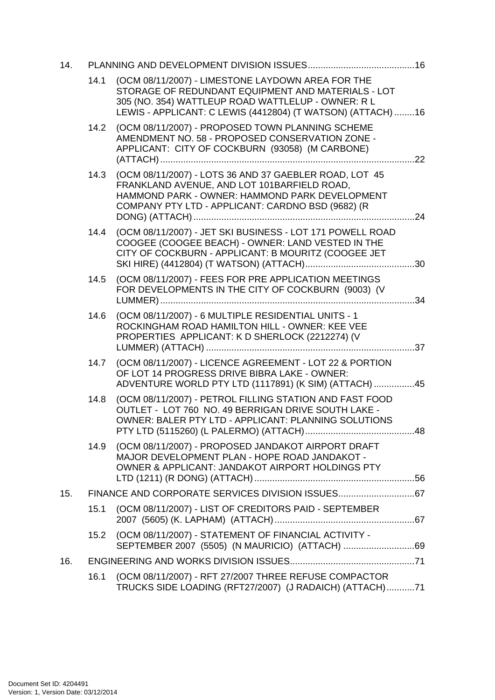| 14. |      |                                                                                                                                                                                                                              |     |
|-----|------|------------------------------------------------------------------------------------------------------------------------------------------------------------------------------------------------------------------------------|-----|
|     | 14.1 | (OCM 08/11/2007) - LIMESTONE LAYDOWN AREA FOR THE<br>STORAGE OF REDUNDANT EQUIPMENT AND MATERIALS - LOT<br>305 (NO. 354) WATTLEUP ROAD WATTLELUP - OWNER: R L<br>LEWIS - APPLICANT: C LEWIS (4412804) (T WATSON) (ATTACH) 16 |     |
|     | 14.2 | (OCM 08/11/2007) - PROPOSED TOWN PLANNING SCHEME<br>AMENDMENT NO. 58 - PROPOSED CONSERVATION ZONE -<br>APPLICANT: CITY OF COCKBURN (93058) (M CARBONE)                                                                       |     |
|     | 14.3 | (OCM 08/11/2007) - LOTS 36 AND 37 GAEBLER ROAD, LOT 45<br>FRANKLAND AVENUE, AND LOT 101BARFIELD ROAD,<br>HAMMOND PARK - OWNER: HAMMOND PARK DEVELOPMENT<br>COMPANY PTY LTD - APPLICANT: CARDNO BSD (9682) (R                 |     |
|     | 14.4 | (OCM 08/11/2007) - JET SKI BUSINESS - LOT 171 POWELL ROAD<br>COOGEE (COOGEE BEACH) - OWNER: LAND VESTED IN THE<br>CITY OF COCKBURN - APPLICANT: B MOURITZ (COOGEE JET                                                        |     |
|     | 14.5 | (OCM 08/11/2007) - FEES FOR PRE APPLICATION MEETINGS<br>FOR DEVELOPMENTS IN THE CITY OF COCKBURN (9003) (V                                                                                                                   |     |
|     | 14.6 | (OCM 08/11/2007) - 6 MULTIPLE RESIDENTIAL UNITS - 1<br>ROCKINGHAM ROAD HAMILTON HILL - OWNER: KEE VEE<br>PROPERTIES APPLICANT: K D SHERLOCK (2212274) (V                                                                     |     |
|     | 14.7 | (OCM 08/11/2007) - LICENCE AGREEMENT - LOT 22 & PORTION<br>OF LOT 14 PROGRESS DRIVE BIBRA LAKE - OWNER:<br>ADVENTURE WORLD PTY LTD (1117891) (K SIM) (ATTACH) 45                                                             |     |
|     | 14.8 | (OCM 08/11/2007) - PETROL FILLING STATION AND FAST FOOD<br>OUTLET - LOT 760 NO. 49 BERRIGAN DRIVE SOUTH LAKE -<br>OWNER: BALER PTY LTD - APPLICANT: PLANNING SOLUTIONS<br>PTY LTD (5115260) (L PALERMO) (ATTACH)             | .48 |
|     | 14.9 | (OCM 08/11/2007) - PROPOSED JANDAKOT AIRPORT DRAFT<br>MAJOR DEVELOPMENT PLAN - HOPE ROAD JANDAKOT -<br>OWNER & APPLICANT: JANDAKOT AIRPORT HOLDINGS PTY                                                                      |     |
| 15. |      |                                                                                                                                                                                                                              |     |
|     | 15.1 | (OCM 08/11/2007) - LIST OF CREDITORS PAID - SEPTEMBER                                                                                                                                                                        |     |
|     |      | 15.2 (OCM 08/11/2007) - STATEMENT OF FINANCIAL ACTIVITY -                                                                                                                                                                    |     |
| 16. |      |                                                                                                                                                                                                                              |     |
|     | 16.1 | (OCM 08/11/2007) - RFT 27/2007 THREE REFUSE COMPACTOR<br>TRUCKS SIDE LOADING (RFT27/2007) (J RADAICH) (ATTACH) 71                                                                                                            |     |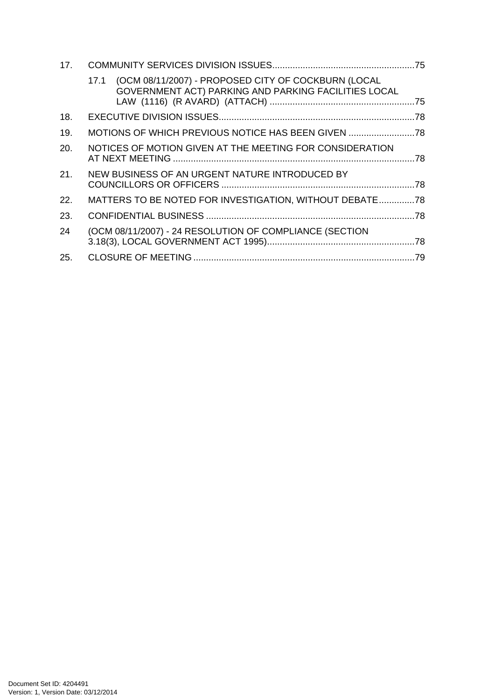| 17. |      |                                                                                                             |     |
|-----|------|-------------------------------------------------------------------------------------------------------------|-----|
|     | 17.1 | (OCM 08/11/2007) - PROPOSED CITY OF COCKBURN (LOCAL<br>GOVERNMENT ACT) PARKING AND PARKING FACILITIES LOCAL |     |
| 18. |      |                                                                                                             |     |
| 19. |      | MOTIONS OF WHICH PREVIOUS NOTICE HAS BEEN GIVEN                                                             |     |
| 20. |      | NOTICES OF MOTION GIVEN AT THE MEETING FOR CONSIDERATION                                                    |     |
| 21. |      | NEW BUSINESS OF AN URGENT NATURE INTRODUCED BY                                                              |     |
| 22. |      | MATTERS TO BE NOTED FOR INVESTIGATION, WITHOUT DEBATE78                                                     |     |
| 23. |      |                                                                                                             |     |
| 24  |      | (OCM 08/11/2007) - 24 RESOLUTION OF COMPLIANCE (SECTION                                                     |     |
| 25. |      |                                                                                                             | .79 |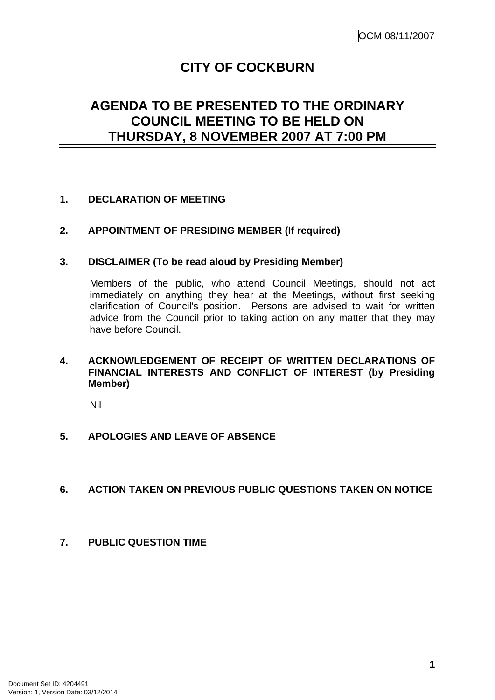## **CITY OF COCKBURN**

## <span id="page-4-0"></span>**AGENDA TO BE PRESENTED TO THE ORDINARY COUNCIL MEETING TO BE HELD ON THURSDAY, 8 NOVEMBER 2007 AT 7:00 PM**

## **1. DECLARATION OF MEETING**

## **2. APPOINTMENT OF PRESIDING MEMBER (If required)**

## **3. DISCLAIMER (To be read aloud by Presiding Member)**

Members of the public, who attend Council Meetings, should not act immediately on anything they hear at the Meetings, without first seeking clarification of Council's position. Persons are advised to wait for written advice from the Council prior to taking action on any matter that they may have before Council.

## **4. ACKNOWLEDGEMENT OF RECEIPT OF WRITTEN DECLARATIONS OF FINANCIAL INTERESTS AND CONFLICT OF INTEREST (by Presiding Member)**

Nil

## **5. APOLOGIES AND LEAVE OF ABSENCE**

## **6. ACTION TAKEN ON PREVIOUS PUBLIC QUESTIONS TAKEN ON NOTICE**

**7. PUBLIC QUESTION TIME**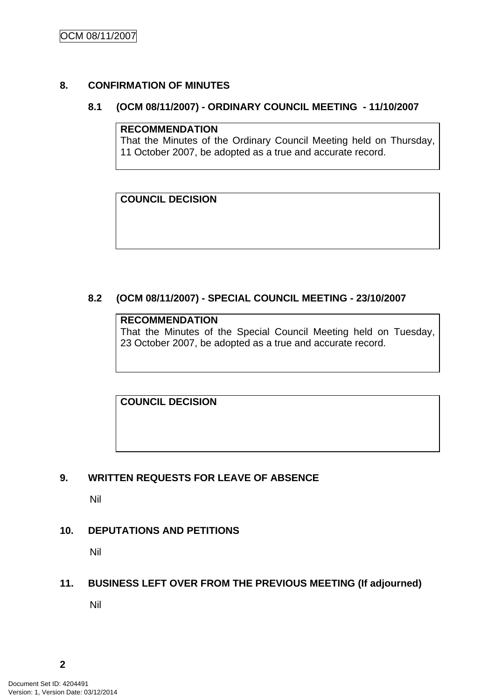## <span id="page-5-0"></span>**8. CONFIRMATION OF MINUTES**

#### **8.1 (OCM 08/11/2007) - ORDINARY COUNCIL MEETING - 11/10/2007**

#### **RECOMMENDATION**

That the Minutes of the Ordinary Council Meeting held on Thursday, 11 October 2007, be adopted as a true and accurate record.

**COUNCIL DECISION**

## **8.2 (OCM 08/11/2007) - SPECIAL COUNCIL MEETING - 23/10/2007**

#### **RECOMMENDATION**

That the Minutes of the Special Council Meeting held on Tuesday, 23 October 2007, be adopted as a true and accurate record.

**COUNCIL DECISION**

## **9. WRITTEN REQUESTS FOR LEAVE OF ABSENCE**

Nil

## **10. DEPUTATIONS AND PETITIONS**

Nil

## **11. BUSINESS LEFT OVER FROM THE PREVIOUS MEETING (If adjourned)**

Nil

**2**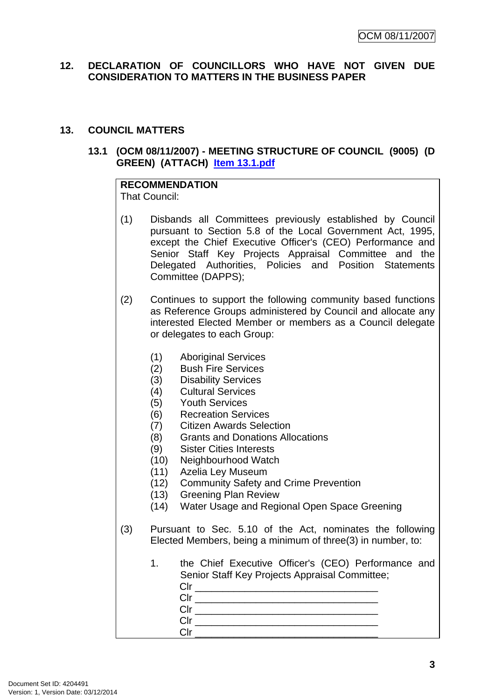## <span id="page-6-0"></span>**12. DECLARATION OF COUNCILLORS WHO HAVE NOT GIVEN DUE CONSIDERATION TO MATTERS IN THE BUSINESS PAPER**

## **13. COUNCIL MATTERS**

## **13.1 (OCM 08/11/2007) - MEETING STRUCTURE OF COUNCIL (9005) (D GREEN) (ATTACH) Item 13.1.pdf**

# **RECOMMENDATION**

That Council:

- (1) Disbands all Committees previously established by Council pursuant to Section 5.8 of the Local Government Act, 1995, except the Chief Executive Officer's (CEO) Performance and Senior Staff Key Projects Appraisal Committee and the Delegated Authorities, Policies and Position Statements Committee (DAPPS);
- (2) Continues to support the following community based functions as Reference Groups administered by Council and allocate any interested Elected Member or members as a Council delegate or delegates to each Group:
	- (1) Aboriginal Services
	- (2) Bush Fire Services
	- (3) Disability Services
	- (4) Cultural Services
	- (5) Youth Services
	- (6) Recreation Services
	- (7) Citizen Awards Selection
	- (8) Grants and Donations Allocations
	- (9) Sister Cities Interests
	- (10) Neighbourhood Watch
	- (11) Azelia Ley Museum
	- (12) Community Safety and Crime Prevention

Clr \_\_\_\_\_\_\_\_\_\_\_\_\_\_\_\_\_\_\_\_\_\_\_\_\_\_\_\_\_\_\_\_\_

- (13) Greening Plan Review
- (14) Water Usage and Regional Open Space Greening
- (3) Pursuant to Sec. 5.10 of the Act, nominates the following Elected Members, being a minimum of three(3) in number, to:
	- 1. the Chief Executive Officer's (CEO) Performance and Senior Staff Key Projects Appraisal Committee;  $Clr$   $\longrightarrow$   $Clr$  Clr \_\_\_\_\_\_\_\_\_\_\_\_\_\_\_\_\_\_\_\_\_\_\_\_\_\_\_\_\_\_\_\_\_  $Clr$  $\mathsf{Clr}$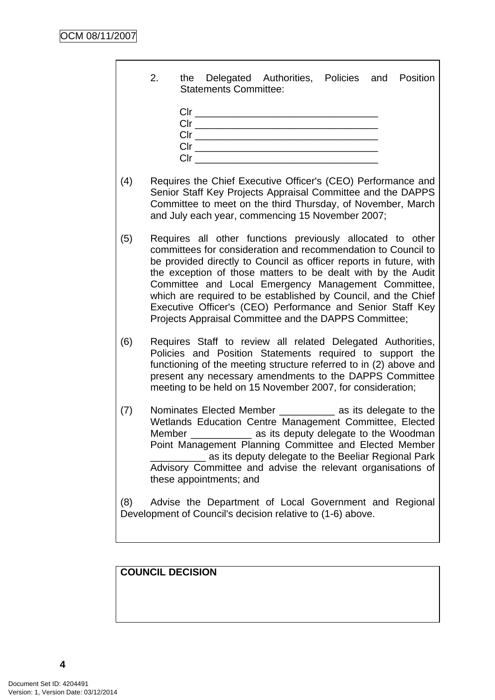|     | 2.     | the Delegated Authorities, Policies and Position<br><b>Statements Committee:</b>                                                                                                                                                                                                                                                                                                                                                                                                                                  |  |  |                                       |
|-----|--------|-------------------------------------------------------------------------------------------------------------------------------------------------------------------------------------------------------------------------------------------------------------------------------------------------------------------------------------------------------------------------------------------------------------------------------------------------------------------------------------------------------------------|--|--|---------------------------------------|
|     |        |                                                                                                                                                                                                                                                                                                                                                                                                                                                                                                                   |  |  |                                       |
| (4) |        | Requires the Chief Executive Officer's (CEO) Performance and<br>Senior Staff Key Projects Appraisal Committee and the DAPPS<br>Committee to meet on the third Thursday, of November, March<br>and July each year, commencing 15 November 2007;                                                                                                                                                                                                                                                                    |  |  |                                       |
| (5) |        | Requires all other functions previously allocated to other<br>committees for consideration and recommendation to Council to<br>be provided directly to Council as officer reports in future, with<br>the exception of those matters to be dealt with by the Audit<br>Committee and Local Emergency Management Committee,<br>which are required to be established by Council, and the Chief<br>Executive Officer's (CEO) Performance and Senior Staff Key<br>Projects Appraisal Committee and the DAPPS Committee; |  |  |                                       |
| (6) |        | Requires Staff to review all related Delegated Authorities,<br>Policies and Position Statements required to support the<br>functioning of the meeting structure referred to in (2) above and<br>present any necessary amendments to the DAPPS Committee<br>meeting to be held on 15 November 2007, for consideration;                                                                                                                                                                                             |  |  |                                       |
| (7) | Member | Nominates Elected Member _____________ as its delegate to the<br>Wetlands Education Centre Management Committee, Elected<br>Point Management Planning Committee and Elected Member<br>_ as its deputy delegate to the Beeliar Regional Park<br>Advisory Committee and advise the relevant organisations of<br>these appointments; and                                                                                                                                                                             |  |  | as its deputy delegate to the Woodman |
| (8) |        | Advise the Department of Local Government and Regional<br>Development of Council's decision relative to (1-6) above.                                                                                                                                                                                                                                                                                                                                                                                              |  |  |                                       |

**COUNCIL DECISION**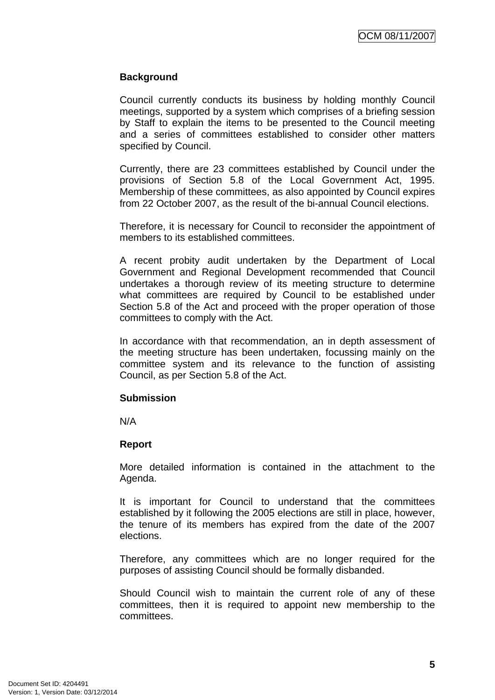## **Background**

Council currently conducts its business by holding monthly Council meetings, supported by a system which comprises of a briefing session by Staff to explain the items to be presented to the Council meeting and a series of committees established to consider other matters specified by Council.

Currently, there are 23 committees established by Council under the provisions of Section 5.8 of the Local Government Act, 1995. Membership of these committees, as also appointed by Council expires from 22 October 2007, as the result of the bi-annual Council elections.

Therefore, it is necessary for Council to reconsider the appointment of members to its established committees.

A recent probity audit undertaken by the Department of Local Government and Regional Development recommended that Council undertakes a thorough review of its meeting structure to determine what committees are required by Council to be established under Section 5.8 of the Act and proceed with the proper operation of those committees to comply with the Act.

In accordance with that recommendation, an in depth assessment of the meeting structure has been undertaken, focussing mainly on the committee system and its relevance to the function of assisting Council, as per Section 5.8 of the Act.

## **Submission**

N/A

## **Report**

More detailed information is contained in the attachment to the Agenda.

It is important for Council to understand that the committees established by it following the 2005 elections are still in place, however, the tenure of its members has expired from the date of the 2007 elections.

Therefore, any committees which are no longer required for the purposes of assisting Council should be formally disbanded.

Should Council wish to maintain the current role of any of these committees, then it is required to appoint new membership to the committees.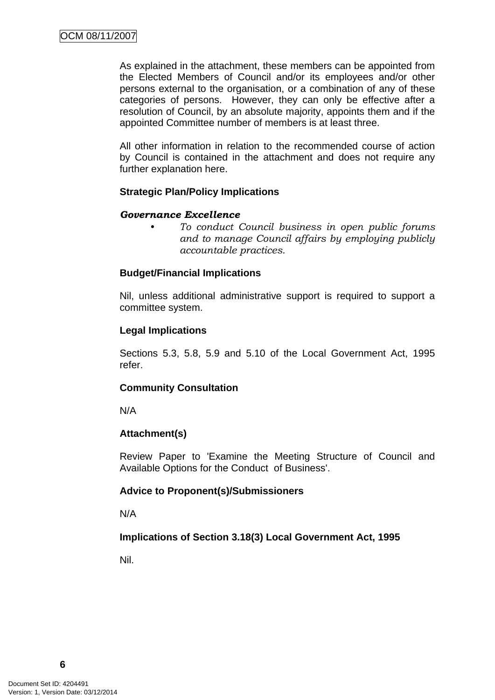As explained in the attachment, these members can be appointed from the Elected Members of Council and/or its employees and/or other persons external to the organisation, or a combination of any of these categories of persons. However, they can only be effective after a resolution of Council, by an absolute majority, appoints them and if the appointed Committee number of members is at least three.

All other information in relation to the recommended course of action by Council is contained in the attachment and does not require any further explanation here.

## **Strategic Plan/Policy Implications**

## *Governance Excellence*

*• To conduct Council business in open public forums and to manage Council affairs by employing publicly accountable practices.* 

## **Budget/Financial Implications**

Nil, unless additional administrative support is required to support a committee system.

## **Legal Implications**

Sections 5.3, 5.8, 5.9 and 5.10 of the Local Government Act, 1995 refer.

## **Community Consultation**

N/A

## **Attachment(s)**

Review Paper to 'Examine the Meeting Structure of Council and Available Options for the Conduct of Business'.

## **Advice to Proponent(s)/Submissioners**

N/A

## **Implications of Section 3.18(3) Local Government Act, 1995**

Nil.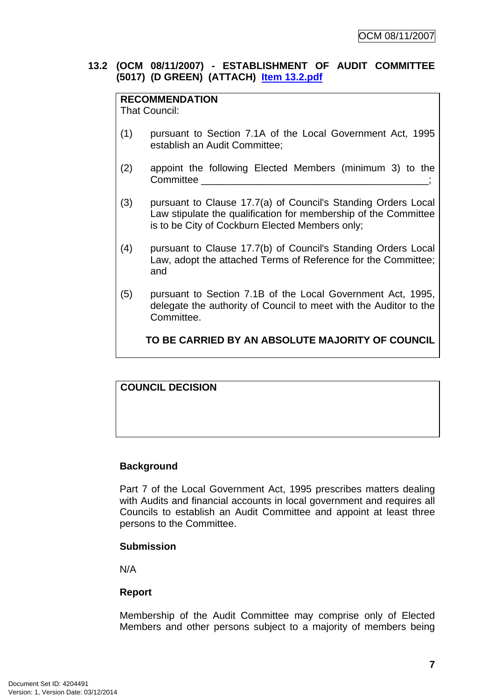## <span id="page-10-0"></span>**13.2 (OCM 08/11/2007) - ESTABLISHMENT OF AUDIT COMMITTEE (5017) (D GREEN) (ATTACH) Item 13.2.pdf**

## **RECOMMENDATION**

That Council:

- (1) pursuant to Section 7.1A of the Local Government Act, 1995 establish an Audit Committee;
- (2) appoint the following Elected Members (minimum 3) to the Committee \_\_\_\_\_\_\_\_\_\_\_\_\_\_\_\_\_\_\_\_\_\_\_\_\_\_\_\_\_\_\_\_\_\_\_\_\_\_\_\_\_;
- (3) pursuant to Clause 17.7(a) of Council's Standing Orders Local Law stipulate the qualification for membership of the Committee is to be City of Cockburn Elected Members only;
- (4) pursuant to Clause 17.7(b) of Council's Standing Orders Local Law, adopt the attached Terms of Reference for the Committee; and
- (5) pursuant to Section 7.1B of the Local Government Act, 1995, delegate the authority of Council to meet with the Auditor to the **Committee.**

## **TO BE CARRIED BY AN ABSOLUTE MAJORITY OF COUNCIL**

## **COUNCIL DECISION**

## **Background**

Part 7 of the Local Government Act, 1995 prescribes matters dealing with Audits and financial accounts in local government and requires all Councils to establish an Audit Committee and appoint at least three persons to the Committee.

## **Submission**

N/A

## **Report**

Membership of the Audit Committee may comprise only of Elected Members and other persons subject to a majority of members being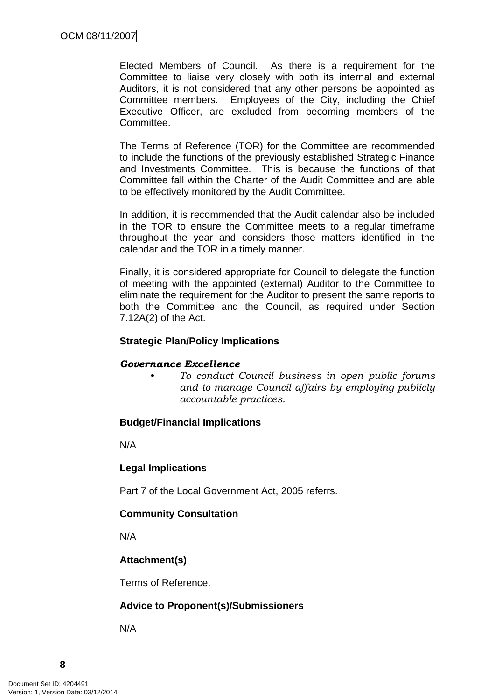Elected Members of Council. As there is a requirement for the Committee to liaise very closely with both its internal and external Auditors, it is not considered that any other persons be appointed as Committee members. Employees of the City, including the Chief Executive Officer, are excluded from becoming members of the Committee.

The Terms of Reference (TOR) for the Committee are recommended to include the functions of the previously established Strategic Finance and Investments Committee. This is because the functions of that Committee fall within the Charter of the Audit Committee and are able to be effectively monitored by the Audit Committee.

In addition, it is recommended that the Audit calendar also be included in the TOR to ensure the Committee meets to a regular timeframe throughout the year and considers those matters identified in the calendar and the TOR in a timely manner.

Finally, it is considered appropriate for Council to delegate the function of meeting with the appointed (external) Auditor to the Committee to eliminate the requirement for the Auditor to present the same reports to both the Committee and the Council, as required under Section 7.12A(2) of the Act.

## **Strategic Plan/Policy Implications**

#### *Governance Excellence*

*• To conduct Council business in open public forums and to manage Council affairs by employing publicly accountable practices.* 

## **Budget/Financial Implications**

N/A

## **Legal Implications**

Part 7 of the Local Government Act, 2005 referrs.

## **Community Consultation**

N/A

## **Attachment(s)**

Terms of Reference.

## **Advice to Proponent(s)/Submissioners**

N/A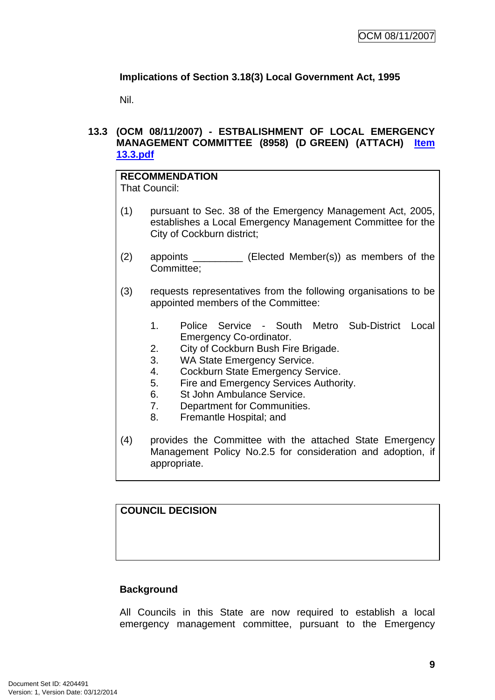## <span id="page-12-0"></span>**Implications of Section 3.18(3) Local Government Act, 1995**

Nil.

## **13.3 (OCM 08/11/2007) - ESTBALISHMENT OF LOCAL EMERGENCY MANAGEMENT COMMITTEE (8958) (D GREEN) (ATTACH) Item 13.3.pdf**

# **RECOMMENDATION**

That Council:

- (1) pursuant to Sec. 38 of the Emergency Management Act, 2005, establishes a Local Emergency Management Committee for the City of Cockburn district;
- (2) appoints \_\_\_\_\_\_\_\_\_ (Elected Member(s)) as members of the Committee;
- (3) requests representatives from the following organisations to be appointed members of the Committee:
	- 1. Police Service South Metro Sub-District Local Emergency Co-ordinator.
	- 2. City of Cockburn Bush Fire Brigade.
	- 3. WA State Emergency Service.
	- 4. Cockburn State Emergency Service.
	- 5. Fire and Emergency Services Authority.
	- 6. St John Ambulance Service.
	- 7. Department for Communities.
	- 8. Fremantle Hospital; and
- (4) provides the Committee with the attached State Emergency Management Policy No.2.5 for consideration and adoption, if appropriate.

## **COUNCIL DECISION**

## **Background**

All Councils in this State are now required to establish a local emergency management committee, pursuant to the Emergency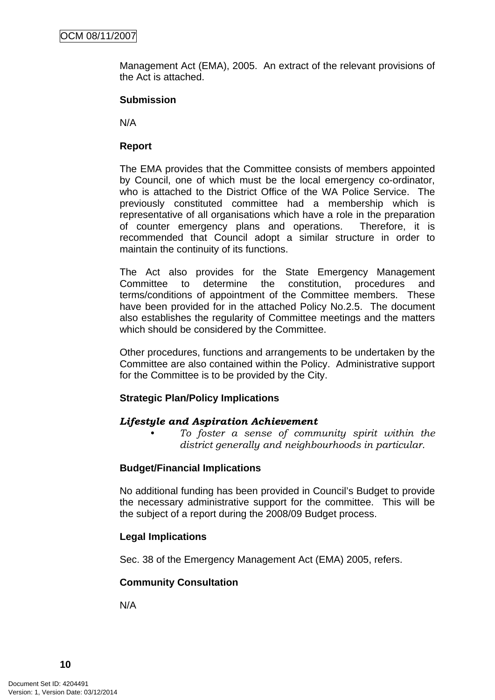Management Act (EMA), 2005. An extract of the relevant provisions of the Act is attached.

## **Submission**

N/A

## **Report**

The EMA provides that the Committee consists of members appointed by Council, one of which must be the local emergency co-ordinator, who is attached to the District Office of the WA Police Service. The previously constituted committee had a membership which is representative of all organisations which have a role in the preparation of counter emergency plans and operations. Therefore, it is recommended that Council adopt a similar structure in order to maintain the continuity of its functions.

The Act also provides for the State Emergency Management Committee to determine the constitution, procedures and terms/conditions of appointment of the Committee members. These have been provided for in the attached Policy No.2.5. The document also establishes the regularity of Committee meetings and the matters which should be considered by the Committee.

Other procedures, functions and arrangements to be undertaken by the Committee are also contained within the Policy. Administrative support for the Committee is to be provided by the City.

## **Strategic Plan/Policy Implications**

## *Lifestyle and Aspiration Achievement*

*• To foster a sense of community spirit within the district generally and neighbourhoods in particular.* 

## **Budget/Financial Implications**

No additional funding has been provided in Council's Budget to provide the necessary administrative support for the committee. This will be the subject of a report during the 2008/09 Budget process.

## **Legal Implications**

Sec. 38 of the Emergency Management Act (EMA) 2005, refers.

## **Community Consultation**

N/A

**10**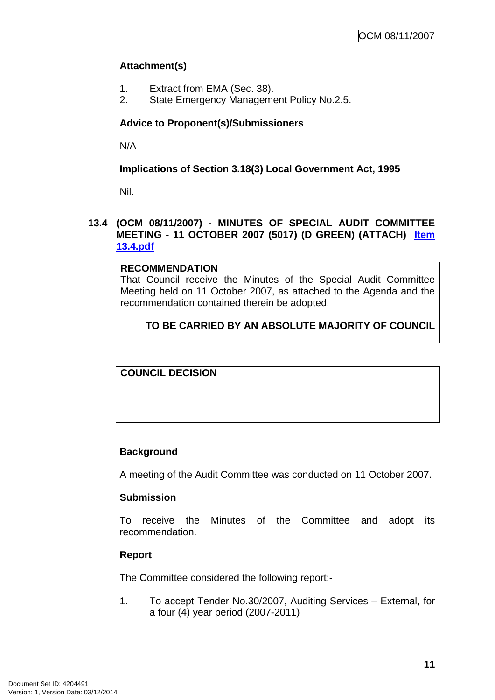## <span id="page-14-0"></span>**Attachment(s)**

- 1. Extract from EMA (Sec. 38).
- 2. State Emergency Management Policy No.2.5.

## **Advice to Proponent(s)/Submissioners**

N/A

**Implications of Section 3.18(3) Local Government Act, 1995**

Nil.

## **13.4 (OCM 08/11/2007) - MINUTES OF SPECIAL AUDIT COMMITTEE MEETING - 11 OCTOBER 2007 (5017) (D GREEN) (ATTACH) Item 13.4.pdf**

## **RECOMMENDATION**

That Council receive the Minutes of the Special Audit Committee Meeting held on 11 October 2007, as attached to the Agenda and the recommendation contained therein be adopted.

## **TO BE CARRIED BY AN ABSOLUTE MAJORITY OF COUNCIL**

**COUNCIL DECISION**

## **Background**

A meeting of the Audit Committee was conducted on 11 October 2007.

## **Submission**

To receive the Minutes of the Committee and adopt its recommendation.

## **Report**

The Committee considered the following report:-

1. To accept Tender No.30/2007, Auditing Services – External, for a four (4) year period (2007-2011)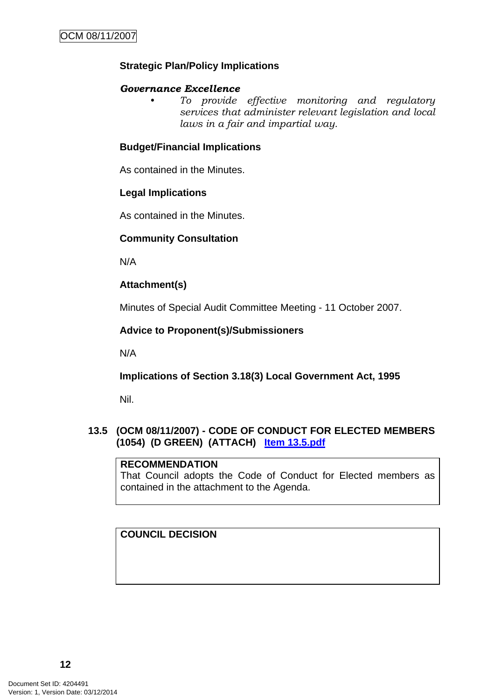## <span id="page-15-0"></span>**Strategic Plan/Policy Implications**

#### *Governance Excellence*

*• To provide effective monitoring and regulatory services that administer relevant legislation and local laws in a fair and impartial way.* 

## **Budget/Financial Implications**

As contained in the Minutes.

#### **Legal Implications**

As contained in the Minutes.

## **Community Consultation**

N/A

## **Attachment(s)**

Minutes of Special Audit Committee Meeting - 11 October 2007.

## **Advice to Proponent(s)/Submissioners**

N/A

**Implications of Section 3.18(3) Local Government Act, 1995**

Nil.

## **13.5 (OCM 08/11/2007) - CODE OF CONDUCT FOR ELECTED MEMBERS (1054) (D GREEN) (ATTACH) Item 13.5.pdf**

## **RECOMMENDATION**

That Council adopts the Code of Conduct for Elected members as contained in the attachment to the Agenda.

**COUNCIL DECISION**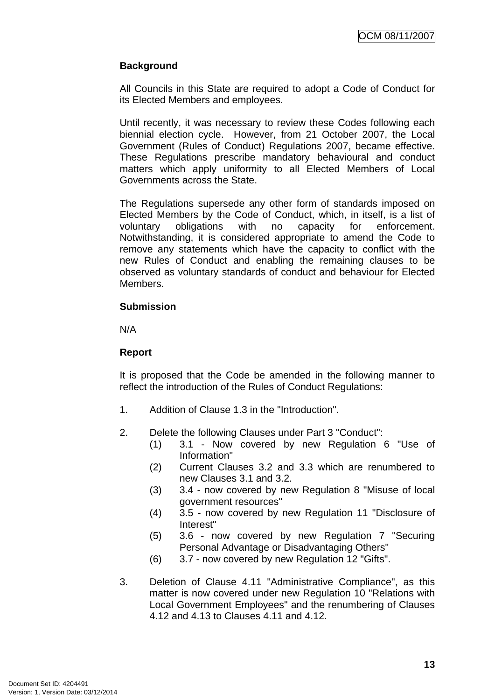## **Background**

All Councils in this State are required to adopt a Code of Conduct for its Elected Members and employees.

Until recently, it was necessary to review these Codes following each biennial election cycle. However, from 21 October 2007, the Local Government (Rules of Conduct) Regulations 2007, became effective. These Regulations prescribe mandatory behavioural and conduct matters which apply uniformity to all Elected Members of Local Governments across the State.

The Regulations supersede any other form of standards imposed on Elected Members by the Code of Conduct, which, in itself, is a list of voluntary obligations with no capacity for enforcement. Notwithstanding, it is considered appropriate to amend the Code to remove any statements which have the capacity to conflict with the new Rules of Conduct and enabling the remaining clauses to be observed as voluntary standards of conduct and behaviour for Elected Members.

## **Submission**

N/A

## **Report**

It is proposed that the Code be amended in the following manner to reflect the introduction of the Rules of Conduct Regulations:

- 1. Addition of Clause 1.3 in the "Introduction".
- 2. Delete the following Clauses under Part 3 "Conduct":
	- (1) 3.1 Now covered by new Regulation 6 "Use of Information"
	- (2) Current Clauses 3.2 and 3.3 which are renumbered to new Clauses 3.1 and 3.2.
	- (3) 3.4 now covered by new Regulation 8 "Misuse of local government resources"
	- (4) 3.5 now covered by new Regulation 11 "Disclosure of Interest"
	- (5) 3.6 now covered by new Regulation 7 "Securing Personal Advantage or Disadvantaging Others"
	- (6) 3.7 now covered by new Regulation 12 "Gifts".
- 3. Deletion of Clause 4.11 "Administrative Compliance", as this matter is now covered under new Regulation 10 "Relations with Local Government Employees" and the renumbering of Clauses 4.12 and 4.13 to Clauses 4.11 and 4.12.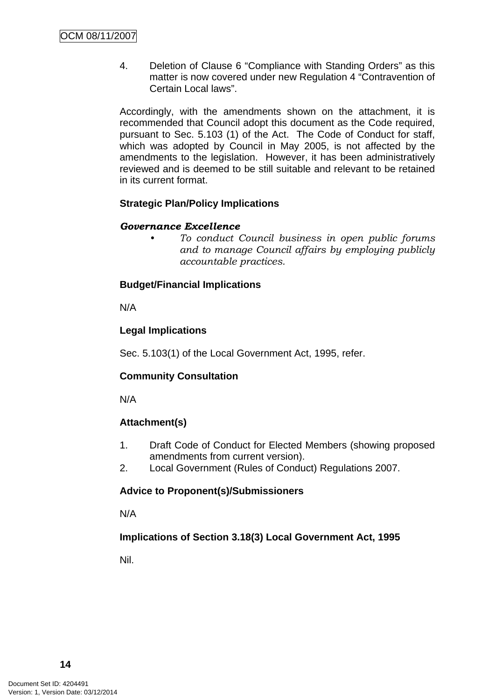4. Deletion of Clause 6 "Compliance with Standing Orders" as this matter is now covered under new Regulation 4 "Contravention of Certain Local laws".

Accordingly, with the amendments shown on the attachment, it is recommended that Council adopt this document as the Code required, pursuant to Sec. 5.103 (1) of the Act. The Code of Conduct for staff, which was adopted by Council in May 2005, is not affected by the amendments to the legislation. However, it has been administratively reviewed and is deemed to be still suitable and relevant to be retained in its current format.

## **Strategic Plan/Policy Implications**

## *Governance Excellence*

*• To conduct Council business in open public forums and to manage Council affairs by employing publicly accountable practices.* 

## **Budget/Financial Implications**

N/A

## **Legal Implications**

Sec. 5.103(1) of the Local Government Act, 1995, refer.

## **Community Consultation**

N/A

## **Attachment(s)**

- 1. Draft Code of Conduct for Elected Members (showing proposed amendments from current version).
- 2. Local Government (Rules of Conduct) Regulations 2007.

## **Advice to Proponent(s)/Submissioners**

N/A

## **Implications of Section 3.18(3) Local Government Act, 1995**

Nil.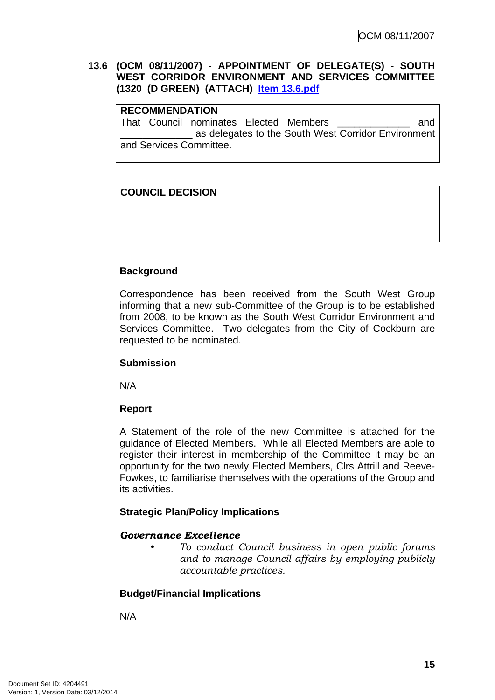## <span id="page-18-0"></span>**13.6 (OCM 08/11/2007) - APPOINTMENT OF DELEGATE(S) - SOUTH WEST CORRIDOR ENVIRONMENT AND SERVICES COMMITTEE (1320 (D GREEN) (ATTACH) Item 13.6.pdf**

## **RECOMMENDATION**

That Council nominates Elected Members \_\_\_\_\_\_\_\_\_\_\_\_\_ and as delegates to the South West Corridor Environment and Services Committee.

## **COUNCIL DECISION**

## **Background**

Correspondence has been received from the South West Group informing that a new sub-Committee of the Group is to be established from 2008, to be known as the South West Corridor Environment and Services Committee. Two delegates from the City of Cockburn are requested to be nominated.

## **Submission**

N/A

## **Report**

A Statement of the role of the new Committee is attached for the guidance of Elected Members. While all Elected Members are able to register their interest in membership of the Committee it may be an opportunity for the two newly Elected Members, Clrs Attrill and Reeve-Fowkes, to familiarise themselves with the operations of the Group and its activities.

## **Strategic Plan/Policy Implications**

## *Governance Excellence*

*• To conduct Council business in open public forums and to manage Council affairs by employing publicly accountable practices.* 

## **Budget/Financial Implications**

N/A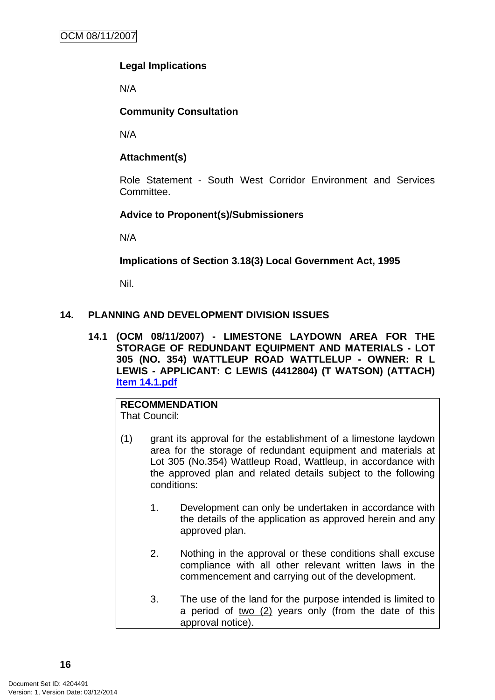## <span id="page-19-0"></span>**Legal Implications**

N/A

## **Community Consultation**

N/A

## **Attachment(s)**

Role Statement - South West Corridor Environment and Services Committee.

## **Advice to Proponent(s)/Submissioners**

N/A

**Implications of Section 3.18(3) Local Government Act, 1995**

Nil.

## **14. PLANNING AND DEVELOPMENT DIVISION ISSUES**

**14.1 (OCM 08/11/2007) - LIMESTONE LAYDOWN AREA FOR THE STORAGE OF REDUNDANT EQUIPMENT AND MATERIALS - LOT 305 (NO. 354) WATTLEUP ROAD WATTLELUP - OWNER: R L LEWIS - APPLICANT: C LEWIS (4412804) (T WATSON) (ATTACH) Item 14.1.pdf**

## **RECOMMENDATION**

That Council:

- (1) grant its approval for the establishment of a limestone laydown area for the storage of redundant equipment and materials at Lot 305 (No.354) Wattleup Road, Wattleup, in accordance with the approved plan and related details subject to the following conditions:
	- 1. Development can only be undertaken in accordance with the details of the application as approved herein and any approved plan.
	- 2. Nothing in the approval or these conditions shall excuse compliance with all other relevant written laws in the commencement and carrying out of the development.
	- 3. The use of the land for the purpose intended is limited to a period of two  $(2)$  years only (from the date of this approval notice).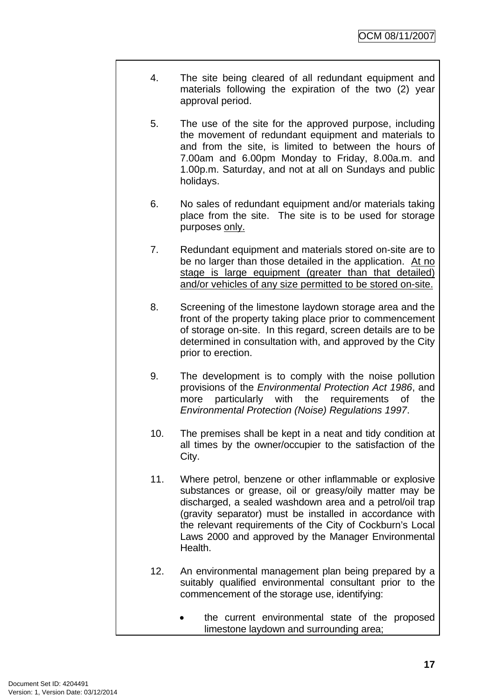- 4. The site being cleared of all redundant equipment and materials following the expiration of the two (2) year approval period.
- 5. The use of the site for the approved purpose, including the movement of redundant equipment and materials to and from the site, is limited to between the hours of 7.00am and 6.00pm Monday to Friday, 8.00a.m. and 1.00p.m. Saturday, and not at all on Sundays and public holidays.
- 6. No sales of redundant equipment and/or materials taking place from the site. The site is to be used for storage purposes only.
- 7. Redundant equipment and materials stored on-site are to be no larger than those detailed in the application. At no stage is large equipment (greater than that detailed) and/or vehicles of any size permitted to be stored on-site.
- 8. Screening of the limestone laydown storage area and the front of the property taking place prior to commencement of storage on-site. In this regard, screen details are to be determined in consultation with, and approved by the City prior to erection.
- 9. The development is to comply with the noise pollution provisions of the *Environmental Protection Act 1986*, and more particularly with the requirements of the *Environmental Protection (Noise) Regulations 1997*.
- 10. The premises shall be kept in a neat and tidy condition at all times by the owner/occupier to the satisfaction of the City.
- 11. Where petrol, benzene or other inflammable or explosive substances or grease, oil or greasy/oily matter may be discharged, a sealed washdown area and a petrol/oil trap (gravity separator) must be installed in accordance with the relevant requirements of the City of Cockburn's Local Laws 2000 and approved by the Manager Environmental Health.
- 12. An environmental management plan being prepared by a suitably qualified environmental consultant prior to the commencement of the storage use, identifying:
	- the current environmental state of the proposed limestone laydown and surrounding area;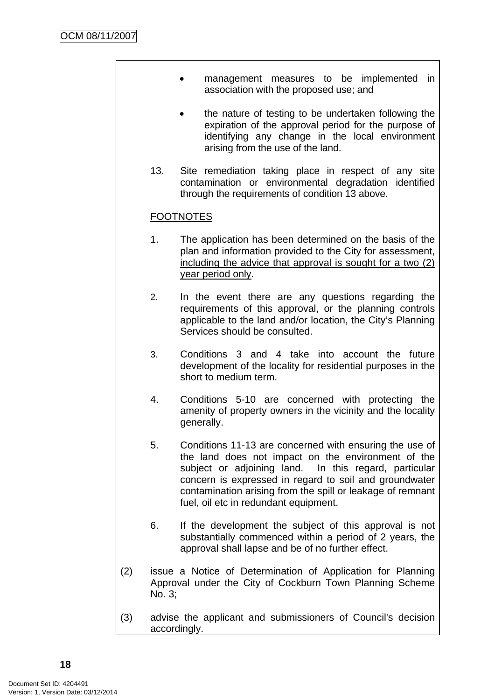- management measures to be implemented in association with the proposed use; and
- the nature of testing to be undertaken following the expiration of the approval period for the purpose of identifying any change in the local environment arising from the use of the land.
- 13. Site remediation taking place in respect of any site contamination or environmental degradation identified through the requirements of condition 13 above.

## FOOTNOTES

- 1. The application has been determined on the basis of the plan and information provided to the City for assessment, including the advice that approval is sought for a two (2) vear period only.
- 2. In the event there are any questions regarding the requirements of this approval, or the planning controls applicable to the land and/or location, the City's Planning Services should be consulted.
- 3. Conditions 3 and 4 take into account the future development of the locality for residential purposes in the short to medium term.
- 4. Conditions 5-10 are concerned with protecting the amenity of property owners in the vicinity and the locality generally.
- 5. Conditions 11-13 are concerned with ensuring the use of the land does not impact on the environment of the subject or adjoining land. In this regard, particular concern is expressed in regard to soil and groundwater contamination arising from the spill or leakage of remnant fuel, oil etc in redundant equipment.
- 6. If the development the subject of this approval is not substantially commenced within a period of 2 years, the approval shall lapse and be of no further effect.
- (2) issue a Notice of Determination of Application for Planning Approval under the City of Cockburn Town Planning Scheme No. 3;
- (3) advise the applicant and submissioners of Council's decision accordingly.

**18**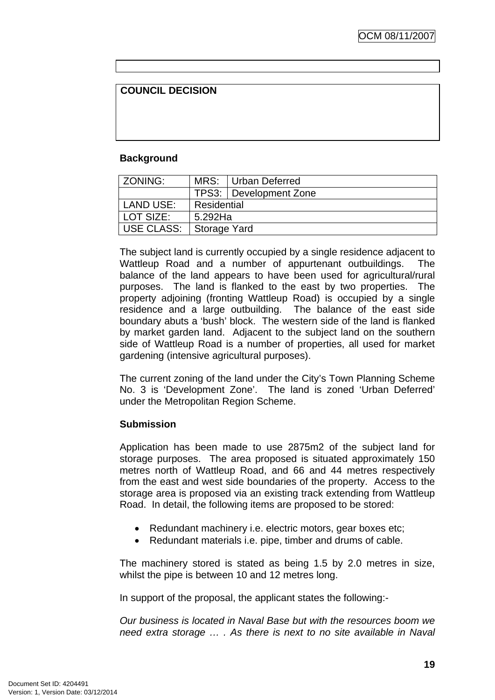## **COUNCIL DECISION**

#### **Background**

| l ZONING:                  |             | MRS: Urban Deferred      |  |
|----------------------------|-------------|--------------------------|--|
|                            |             | TPS3:   Development Zone |  |
| <b>LAND USE:</b>           | Residential |                          |  |
| LOT SIZE:<br>5.292Ha       |             |                          |  |
| USE CLASS:<br>Storage Yard |             |                          |  |

The subject land is currently occupied by a single residence adjacent to Wattleup Road and a number of appurtenant outbuildings. The balance of the land appears to have been used for agricultural/rural purposes. The land is flanked to the east by two properties. The property adjoining (fronting Wattleup Road) is occupied by a single residence and a large outbuilding. The balance of the east side boundary abuts a 'bush' block. The western side of the land is flanked by market garden land. Adjacent to the subject land on the southern side of Wattleup Road is a number of properties, all used for market gardening (intensive agricultural purposes).

The current zoning of the land under the City's Town Planning Scheme No. 3 is 'Development Zone'. The land is zoned 'Urban Deferred' under the Metropolitan Region Scheme.

## **Submission**

Application has been made to use 2875m2 of the subject land for storage purposes. The area proposed is situated approximately 150 metres north of Wattleup Road, and 66 and 44 metres respectively from the east and west side boundaries of the property. Access to the storage area is proposed via an existing track extending from Wattleup Road. In detail, the following items are proposed to be stored:

- Redundant machinery i.e. electric motors, gear boxes etc;
- Redundant materials i.e. pipe, timber and drums of cable.

The machinery stored is stated as being 1.5 by 2.0 metres in size, whilst the pipe is between 10 and 12 metres long.

In support of the proposal, the applicant states the following:-

*Our business is located in Naval Base but with the resources boom we need extra storage … . As there is next to no site available in Naval*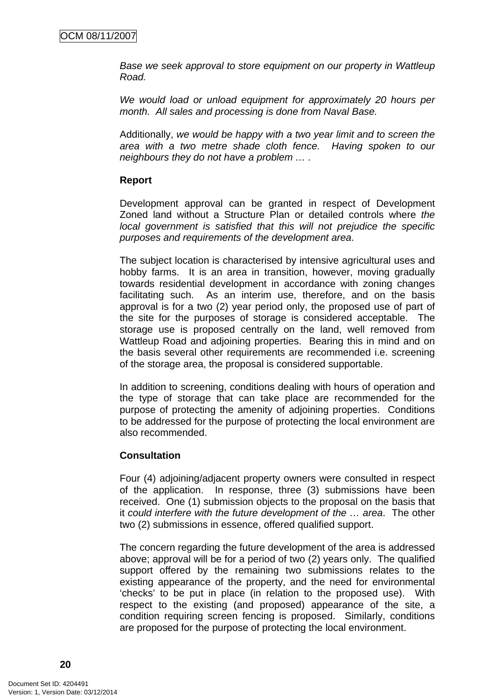*Base we seek approval to store equipment on our property in Wattleup Road.* 

*We would load or unload equipment for approximately 20 hours per month. All sales and processing is done from Naval Base.* 

Additionally, *we would be happy with a two year limit and to screen the area with a two metre shade cloth fence. Having spoken to our neighbours they do not have a problem … .* 

## **Report**

Development approval can be granted in respect of Development Zoned land without a Structure Plan or detailed controls where *the local government is satisfied that this will not prejudice the specific purposes and requirements of the development area*.

The subject location is characterised by intensive agricultural uses and hobby farms. It is an area in transition, however, moving gradually towards residential development in accordance with zoning changes facilitating such. As an interim use, therefore, and on the basis approval is for a two (2) year period only, the proposed use of part of the site for the purposes of storage is considered acceptable. The storage use is proposed centrally on the land, well removed from Wattleup Road and adjoining properties. Bearing this in mind and on the basis several other requirements are recommended i.e. screening of the storage area, the proposal is considered supportable.

In addition to screening, conditions dealing with hours of operation and the type of storage that can take place are recommended for the purpose of protecting the amenity of adjoining properties. Conditions to be addressed for the purpose of protecting the local environment are also recommended.

## **Consultation**

Four (4) adjoining/adjacent property owners were consulted in respect of the application. In response, three (3) submissions have been received. One (1) submission objects to the proposal on the basis that it *could interfere with the future development of the … area*. The other two (2) submissions in essence, offered qualified support.

The concern regarding the future development of the area is addressed above; approval will be for a period of two (2) years only. The qualified support offered by the remaining two submissions relates to the existing appearance of the property, and the need for environmental 'checks' to be put in place (in relation to the proposed use). With respect to the existing (and proposed) appearance of the site, a condition requiring screen fencing is proposed. Similarly, conditions are proposed for the purpose of protecting the local environment.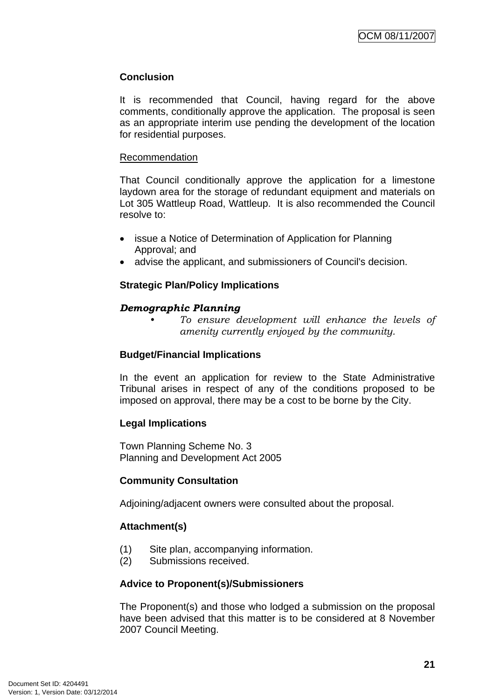## **Conclusion**

It is recommended that Council, having regard for the above comments, conditionally approve the application. The proposal is seen as an appropriate interim use pending the development of the location for residential purposes.

## Recommendation

That Council conditionally approve the application for a limestone laydown area for the storage of redundant equipment and materials on Lot 305 Wattleup Road, Wattleup. It is also recommended the Council resolve to:

- issue a Notice of Determination of Application for Planning Approval; and
- advise the applicant, and submissioners of Council's decision.

## **Strategic Plan/Policy Implications**

## *Demographic Planning*

*• To ensure development will enhance the levels of amenity currently enjoyed by the community.*

## **Budget/Financial Implications**

In the event an application for review to the State Administrative Tribunal arises in respect of any of the conditions proposed to be imposed on approval, there may be a cost to be borne by the City.

## **Legal Implications**

Town Planning Scheme No. 3 Planning and Development Act 2005

## **Community Consultation**

Adjoining/adjacent owners were consulted about the proposal.

## **Attachment(s)**

- (1) Site plan, accompanying information.
- (2) Submissions received.

## **Advice to Proponent(s)/Submissioners**

The Proponent(s) and those who lodged a submission on the proposal have been advised that this matter is to be considered at 8 November 2007 Council Meeting.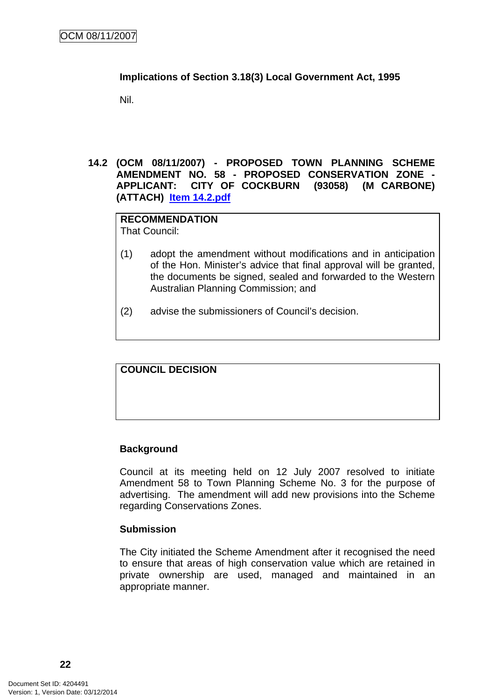## <span id="page-25-0"></span>**Implications of Section 3.18(3) Local Government Act, 1995**

Nil.

**14.2 (OCM 08/11/2007) - PROPOSED TOWN PLANNING SCHEME AMENDMENT NO. 58 - PROPOSED CONSERVATION ZONE - APPLICANT: CITY OF COCKBURN (93058) (M CARBONE) (ATTACH) Item 14.2.pdf**

**RECOMMENDATION**  That Council:

- (1) adopt the amendment without modifications and in anticipation of the Hon. Minister's advice that final approval will be granted, the documents be signed, sealed and forwarded to the Western Australian Planning Commission; and
- (2) advise the submissioners of Council's decision.

**COUNCIL DECISION**

## **Background**

Council at its meeting held on 12 July 2007 resolved to initiate Amendment 58 to Town Planning Scheme No. 3 for the purpose of advertising. The amendment will add new provisions into the Scheme regarding Conservations Zones.

## **Submission**

The City initiated the Scheme Amendment after it recognised the need to ensure that areas of high conservation value which are retained in private ownership are used, managed and maintained in an appropriate manner.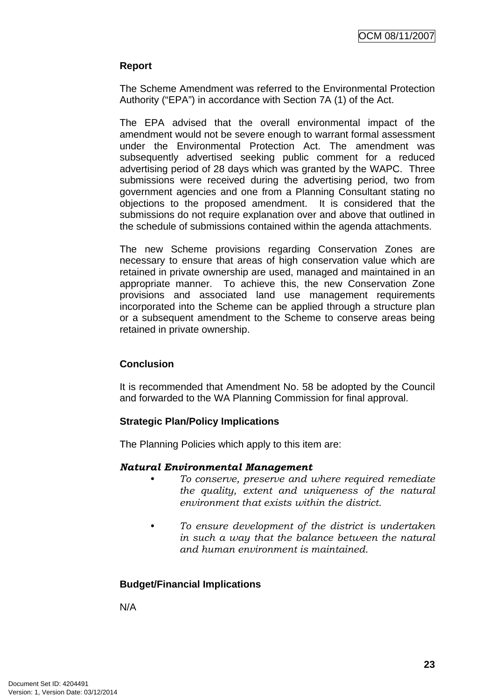## **Report**

The Scheme Amendment was referred to the Environmental Protection Authority ("EPA") in accordance with Section 7A (1) of the Act.

The EPA advised that the overall environmental impact of the amendment would not be severe enough to warrant formal assessment under the Environmental Protection Act. The amendment was subsequently advertised seeking public comment for a reduced advertising period of 28 days which was granted by the WAPC. Three submissions were received during the advertising period, two from government agencies and one from a Planning Consultant stating no objections to the proposed amendment. It is considered that the submissions do not require explanation over and above that outlined in the schedule of submissions contained within the agenda attachments.

The new Scheme provisions regarding Conservation Zones are necessary to ensure that areas of high conservation value which are retained in private ownership are used, managed and maintained in an appropriate manner. To achieve this, the new Conservation Zone provisions and associated land use management requirements incorporated into the Scheme can be applied through a structure plan or a subsequent amendment to the Scheme to conserve areas being retained in private ownership.

## **Conclusion**

It is recommended that Amendment No. 58 be adopted by the Council and forwarded to the WA Planning Commission for final approval.

## **Strategic Plan/Policy Implications**

The Planning Policies which apply to this item are:

## *Natural Environmental Management*

- *To conserve, preserve and where required remediate the quality, extent and uniqueness of the natural environment that exists within the district.*
- *To ensure development of the district is undertaken in such a way that the balance between the natural and human environment is maintained.*

## **Budget/Financial Implications**

N/A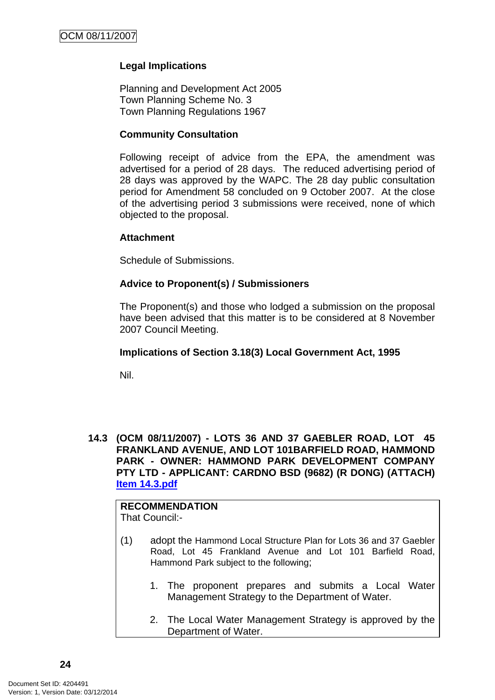## <span id="page-27-0"></span>**Legal Implications**

Planning and Development Act 2005 Town Planning Scheme No. 3 Town Planning Regulations 1967

## **Community Consultation**

Following receipt of advice from the EPA, the amendment was advertised for a period of 28 days. The reduced advertising period of 28 days was approved by the WAPC. The 28 day public consultation period for Amendment 58 concluded on 9 October 2007. At the close of the advertising period 3 submissions were received, none of which objected to the proposal.

## **Attachment**

Schedule of Submissions.

## **Advice to Proponent(s) / Submissioners**

The Proponent(s) and those who lodged a submission on the proposal have been advised that this matter is to be considered at 8 November 2007 Council Meeting.

#### **Implications of Section 3.18(3) Local Government Act, 1995**

Nil.

**14.3 (OCM 08/11/2007) - LOTS 36 AND 37 GAEBLER ROAD, LOT 45 FRANKLAND AVENUE, AND LOT 101BARFIELD ROAD, HAMMOND PARK - OWNER: HAMMOND PARK DEVELOPMENT COMPANY PTY LTD - APPLICANT: CARDNO BSD (9682) (R DONG) (ATTACH) Item 14.3.pdf**

## **RECOMMENDATION**

That Council:-

- (1) adopt the Hammond Local Structure Plan for Lots 36 and 37 Gaebler Road, Lot 45 Frankland Avenue and Lot 101 Barfield Road, Hammond Park subject to the following;
	- 1. The proponent prepares and submits a Local Water Management Strategy to the Department of Water.
	- 2. The Local Water Management Strategy is approved by the Department of Water.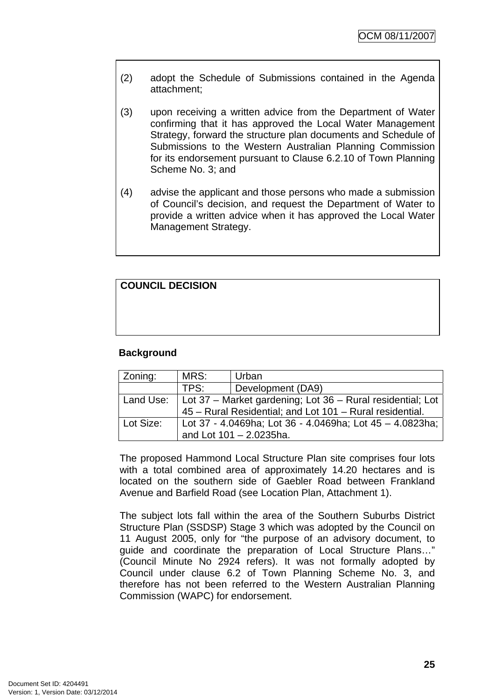- (2) adopt the Schedule of Submissions contained in the Agenda attachment;
- (3) upon receiving a written advice from the Department of Water confirming that it has approved the Local Water Management Strategy, forward the structure plan documents and Schedule of Submissions to the Western Australian Planning Commission for its endorsement pursuant to Clause 6.2.10 of Town Planning Scheme No. 3; and
- (4) advise the applicant and those persons who made a submission of Council's decision, and request the Department of Water to provide a written advice when it has approved the Local Water Management Strategy.

|  | <b>COUNCIL DECISION</b> |
|--|-------------------------|
|--|-------------------------|

## **Background**

| Zoning:   | MRS:                                                       | Urban             |  |
|-----------|------------------------------------------------------------|-------------------|--|
|           | TPS:                                                       | Development (DA9) |  |
| Land Use: | Lot 37 - Market gardening; Lot 36 - Rural residential; Lot |                   |  |
|           | 45 - Rural Residential; and Lot 101 - Rural residential.   |                   |  |
| Lot Size: | Lot 37 - 4.0469ha; Lot 36 - 4.0469ha; Lot 45 - 4.0823ha;   |                   |  |
|           | and Lot $101 - 2.0235$ ha.                                 |                   |  |

The proposed Hammond Local Structure Plan site comprises four lots with a total combined area of approximately 14.20 hectares and is located on the southern side of Gaebler Road between Frankland Avenue and Barfield Road (see Location Plan, Attachment 1).

The subject lots fall within the area of the Southern Suburbs District Structure Plan (SSDSP) Stage 3 which was adopted by the Council on 11 August 2005, only for "the purpose of an advisory document, to guide and coordinate the preparation of Local Structure Plans…" (Council Minute No 2924 refers). It was not formally adopted by Council under clause 6.2 of Town Planning Scheme No. 3, and therefore has not been referred to the Western Australian Planning Commission (WAPC) for endorsement.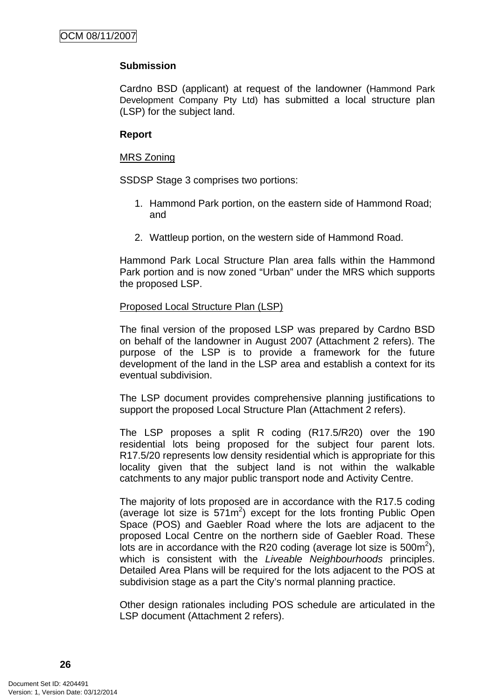## **Submission**

Cardno BSD (applicant) at request of the landowner (Hammond Park Development Company Pty Ltd) has submitted a local structure plan (LSP) for the subject land.

## **Report**

#### MRS Zoning

SSDSP Stage 3 comprises two portions:

- 1. Hammond Park portion, on the eastern side of Hammond Road; and
- 2. Wattleup portion, on the western side of Hammond Road.

Hammond Park Local Structure Plan area falls within the Hammond Park portion and is now zoned "Urban" under the MRS which supports the proposed LSP.

## Proposed Local Structure Plan (LSP)

The final version of the proposed LSP was prepared by Cardno BSD on behalf of the landowner in August 2007 (Attachment 2 refers). The purpose of the LSP is to provide a framework for the future development of the land in the LSP area and establish a context for its eventual subdivision.

The LSP document provides comprehensive planning justifications to support the proposed Local Structure Plan (Attachment 2 refers).

The LSP proposes a split R coding (R17.5/R20) over the 190 residential lots being proposed for the subject four parent lots. R17.5/20 represents low density residential which is appropriate for this locality given that the subject land is not within the walkable catchments to any major public transport node and Activity Centre.

The majority of lots proposed are in accordance with the R17.5 coding (average lot size is  $571m^2$ ) except for the lots fronting Public Open Space (POS) and Gaebler Road where the lots are adjacent to the proposed Local Centre on the northern side of Gaebler Road. These lots are in accordance with the R20 coding (average lot size is 500 $m^2$ ), which is consistent with the *Liveable Neighbourhoods* principles. Detailed Area Plans will be required for the lots adjacent to the POS at subdivision stage as a part the City's normal planning practice.

Other design rationales including POS schedule are articulated in the LSP document (Attachment 2 refers).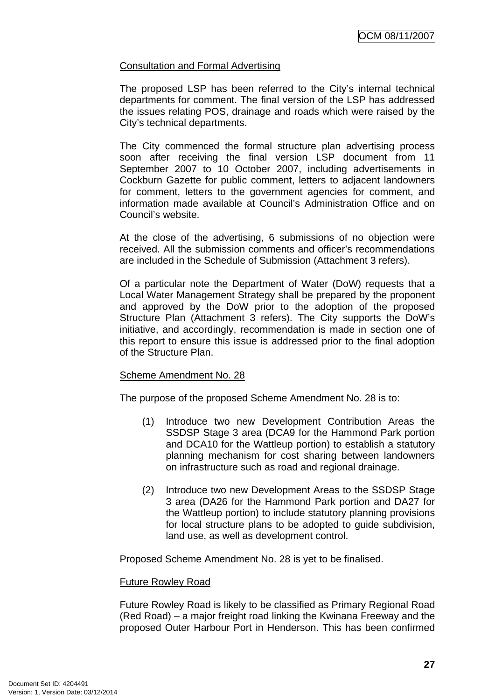## Consultation and Formal Advertising

The proposed LSP has been referred to the City's internal technical departments for comment. The final version of the LSP has addressed the issues relating POS, drainage and roads which were raised by the City's technical departments.

The City commenced the formal structure plan advertising process soon after receiving the final version LSP document from 11 September 2007 to 10 October 2007, including advertisements in Cockburn Gazette for public comment, letters to adjacent landowners for comment, letters to the government agencies for comment, and information made available at Council's Administration Office and on Council's website.

At the close of the advertising, 6 submissions of no objection were received. All the submission comments and officer's recommendations are included in the Schedule of Submission (Attachment 3 refers).

Of a particular note the Department of Water (DoW) requests that a Local Water Management Strategy shall be prepared by the proponent and approved by the DoW prior to the adoption of the proposed Structure Plan (Attachment 3 refers). The City supports the DoW's initiative, and accordingly, recommendation is made in section one of this report to ensure this issue is addressed prior to the final adoption of the Structure Plan.

## Scheme Amendment No. 28

The purpose of the proposed Scheme Amendment No. 28 is to:

- (1) Introduce two new Development Contribution Areas the SSDSP Stage 3 area (DCA9 for the Hammond Park portion and DCA10 for the Wattleup portion) to establish a statutory planning mechanism for cost sharing between landowners on infrastructure such as road and regional drainage.
- (2) Introduce two new Development Areas to the SSDSP Stage 3 area (DA26 for the Hammond Park portion and DA27 for the Wattleup portion) to include statutory planning provisions for local structure plans to be adopted to guide subdivision, land use, as well as development control.

Proposed Scheme Amendment No. 28 is yet to be finalised.

#### Future Rowley Road

Future Rowley Road is likely to be classified as Primary Regional Road (Red Road) – a major freight road linking the Kwinana Freeway and the proposed Outer Harbour Port in Henderson. This has been confirmed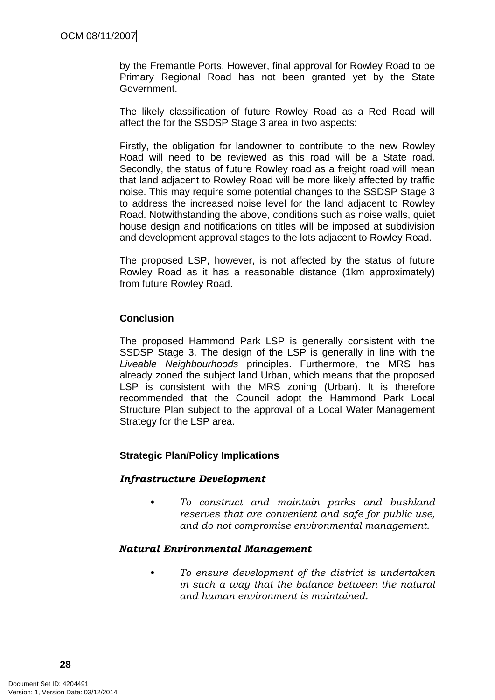by the Fremantle Ports. However, final approval for Rowley Road to be Primary Regional Road has not been granted yet by the State Government.

The likely classification of future Rowley Road as a Red Road will affect the for the SSDSP Stage 3 area in two aspects:

Firstly, the obligation for landowner to contribute to the new Rowley Road will need to be reviewed as this road will be a State road. Secondly, the status of future Rowley road as a freight road will mean that land adjacent to Rowley Road will be more likely affected by traffic noise. This may require some potential changes to the SSDSP Stage 3 to address the increased noise level for the land adjacent to Rowley Road. Notwithstanding the above, conditions such as noise walls, quiet house design and notifications on titles will be imposed at subdivision and development approval stages to the lots adjacent to Rowley Road.

The proposed LSP, however, is not affected by the status of future Rowley Road as it has a reasonable distance (1km approximately) from future Rowley Road.

## **Conclusion**

The proposed Hammond Park LSP is generally consistent with the SSDSP Stage 3. The design of the LSP is generally in line with the *Liveable Neighbourhoods* principles. Furthermore, the MRS has already zoned the subject land Urban, which means that the proposed LSP is consistent with the MRS zoning (Urban). It is therefore recommended that the Council adopt the Hammond Park Local Structure Plan subject to the approval of a Local Water Management Strategy for the LSP area.

#### **Strategic Plan/Policy Implications**

#### *Infrastructure Development*

*• To construct and maintain parks and bushland reserves that are convenient and safe for public use, and do not compromise environmental management.* 

#### *Natural Environmental Management*

*• To ensure development of the district is undertaken in such a way that the balance between the natural and human environment is maintained.*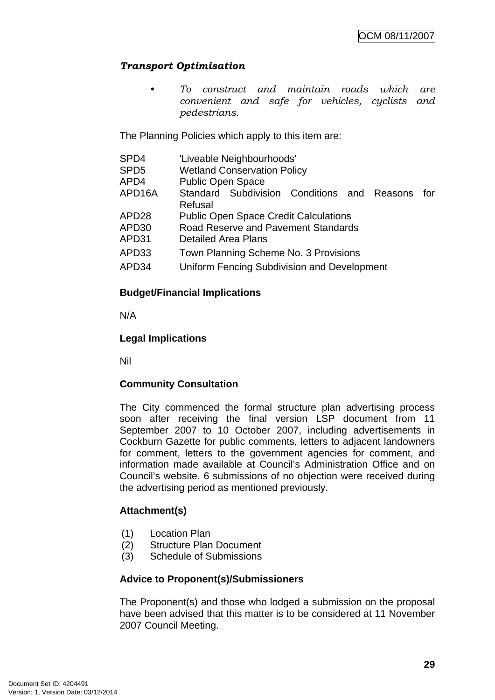## *Transport Optimisation*

*• To construct and maintain roads which are convenient and safe for vehicles, cyclists and pedestrians.* 

The Planning Policies which apply to this item are:

| SPD4             | 'Liveable Neighbourhoods'                          |  |  |  |  |
|------------------|----------------------------------------------------|--|--|--|--|
| SPD <sub>5</sub> | <b>Wetland Conservation Policy</b>                 |  |  |  |  |
| APD4             | <b>Public Open Space</b>                           |  |  |  |  |
| APD16A           | Standard Subdivision Conditions and Reasons<br>for |  |  |  |  |
|                  | Refusal                                            |  |  |  |  |
| APD28            | <b>Public Open Space Credit Calculations</b>       |  |  |  |  |
| APD30            | Road Reserve and Pavement Standards                |  |  |  |  |
| APD31            | <b>Detailed Area Plans</b>                         |  |  |  |  |
| APD33            | Town Planning Scheme No. 3 Provisions              |  |  |  |  |
| APD34            | Uniform Fencing Subdivision and Development        |  |  |  |  |
|                  |                                                    |  |  |  |  |

## **Budget/Financial Implications**

N/A

## **Legal Implications**

Nil

## **Community Consultation**

The City commenced the formal structure plan advertising process soon after receiving the final version LSP document from 11 September 2007 to 10 October 2007, including advertisements in Cockburn Gazette for public comments, letters to adjacent landowners for comment, letters to the government agencies for comment, and information made available at Council's Administration Office and on Council's website. 6 submissions of no objection were received during the advertising period as mentioned previously.

## **Attachment(s)**

- (1) Location Plan
- (2) Structure Plan Document
- (3) Schedule of Submissions

## **Advice to Proponent(s)/Submissioners**

The Proponent(s) and those who lodged a submission on the proposal have been advised that this matter is to be considered at 11 November 2007 Council Meeting.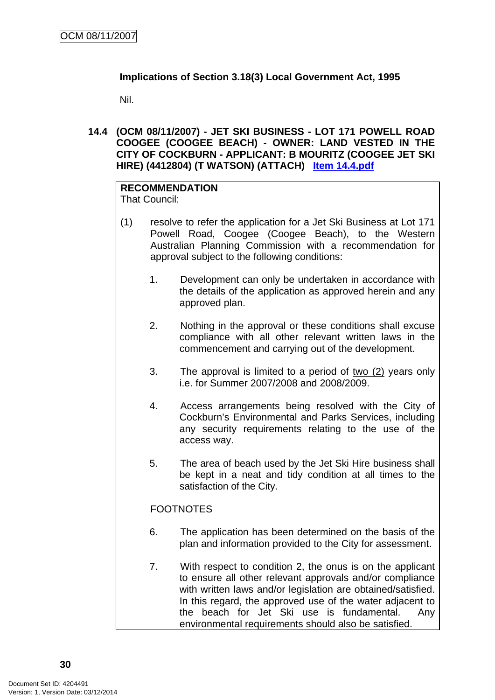## <span id="page-33-0"></span>**Implications of Section 3.18(3) Local Government Act, 1995**

Nil.

**14.4 (OCM 08/11/2007) - JET SKI BUSINESS - LOT 171 POWELL ROAD COOGEE (COOGEE BEACH) - OWNER: LAND VESTED IN THE CITY OF COCKBURN - APPLICANT: B MOURITZ (COOGEE JET SKI HIRE) (4412804) (T WATSON) (ATTACH) Item 14.4.pdf**

## **RECOMMENDATION**

That Council:

- (1) resolve to refer the application for a Jet Ski Business at Lot 171 Powell Road, Coogee (Coogee Beach), to the Western Australian Planning Commission with a recommendation for approval subject to the following conditions:
	- 1. Development can only be undertaken in accordance with the details of the application as approved herein and any approved plan.
	- 2. Nothing in the approval or these conditions shall excuse compliance with all other relevant written laws in the commencement and carrying out of the development.
	- 3. The approval is limited to a period of two  $(2)$  years only i.e. for Summer 2007/2008 and 2008/2009.
	- 4. Access arrangements being resolved with the City of Cockburn's Environmental and Parks Services, including any security requirements relating to the use of the access way.
	- 5. The area of beach used by the Jet Ski Hire business shall be kept in a neat and tidy condition at all times to the satisfaction of the City.

## FOOTNOTES

- 6. The application has been determined on the basis of the plan and information provided to the City for assessment.
- 7. With respect to condition 2, the onus is on the applicant to ensure all other relevant approvals and/or compliance with written laws and/or legislation are obtained/satisfied. In this regard, the approved use of the water adjacent to the beach for Jet Ski use is fundamental. Any environmental requirements should also be satisfied.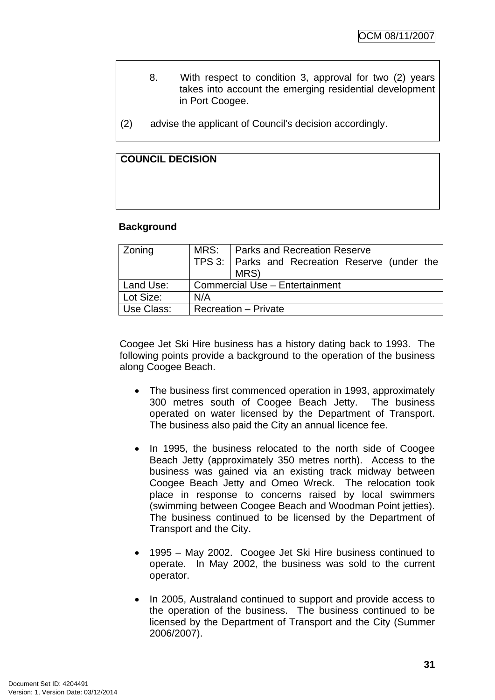- 8. With respect to condition 3, approval for two (2) years takes into account the emerging residential development in Port Coogee.
- (2) advise the applicant of Council's decision accordingly.

## **COUNCIL DECISION**

## **Background**

| Zoning     | MRS:                           | <b>Parks and Recreation Reserve</b>            |  |  |  |  |  |
|------------|--------------------------------|------------------------------------------------|--|--|--|--|--|
|            |                                | TPS 3: Parks and Recreation Reserve (under the |  |  |  |  |  |
|            |                                | MRS)                                           |  |  |  |  |  |
| Land Use:  | Commercial Use - Entertainment |                                                |  |  |  |  |  |
| Lot Size:  | N/A                            |                                                |  |  |  |  |  |
| Use Class: | <b>Recreation - Private</b>    |                                                |  |  |  |  |  |

Coogee Jet Ski Hire business has a history dating back to 1993. The following points provide a background to the operation of the business along Coogee Beach.

- The business first commenced operation in 1993, approximately 300 metres south of Coogee Beach Jetty. The business operated on water licensed by the Department of Transport. The business also paid the City an annual licence fee.
- In 1995, the business relocated to the north side of Coogee Beach Jetty (approximately 350 metres north). Access to the business was gained via an existing track midway between Coogee Beach Jetty and Omeo Wreck. The relocation took place in response to concerns raised by local swimmers (swimming between Coogee Beach and Woodman Point jetties). The business continued to be licensed by the Department of Transport and the City.
- 1995 May 2002. Coogee Jet Ski Hire business continued to operate. In May 2002, the business was sold to the current operator.
- In 2005, Australand continued to support and provide access to the operation of the business. The business continued to be licensed by the Department of Transport and the City (Summer 2006/2007).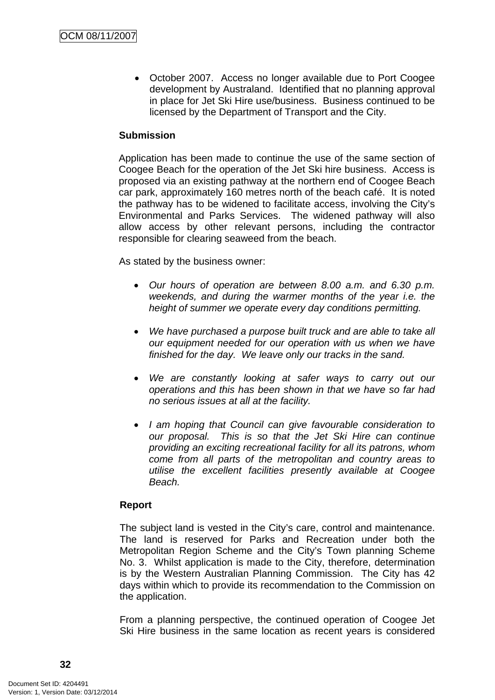• October 2007. Access no longer available due to Port Coogee development by Australand. Identified that no planning approval in place for Jet Ski Hire use/business. Business continued to be licensed by the Department of Transport and the City.

## **Submission**

Application has been made to continue the use of the same section of Coogee Beach for the operation of the Jet Ski hire business. Access is proposed via an existing pathway at the northern end of Coogee Beach car park, approximately 160 metres north of the beach café. It is noted the pathway has to be widened to facilitate access, involving the City's Environmental and Parks Services. The widened pathway will also allow access by other relevant persons, including the contractor responsible for clearing seaweed from the beach.

As stated by the business owner:

- *Our hours of operation are between 8.00 a.m. and 6.30 p.m. weekends, and during the warmer months of the year i.e. the height of summer we operate every day conditions permitting.*
- *We have purchased a purpose built truck and are able to take all our equipment needed for our operation with us when we have finished for the day. We leave only our tracks in the sand.*
- *We are constantly looking at safer ways to carry out our operations and this has been shown in that we have so far had no serious issues at all at the facility.*
- *I am hoping that Council can give favourable consideration to our proposal. This is so that the Jet Ski Hire can continue providing an exciting recreational facility for all its patrons, whom come from all parts of the metropolitan and country areas to utilise the excellent facilities presently available at Coogee Beach.*

#### **Report**

The subject land is vested in the City's care, control and maintenance. The land is reserved for Parks and Recreation under both the Metropolitan Region Scheme and the City's Town planning Scheme No. 3. Whilst application is made to the City, therefore, determination is by the Western Australian Planning Commission. The City has 42 days within which to provide its recommendation to the Commission on the application.

From a planning perspective, the continued operation of Coogee Jet Ski Hire business in the same location as recent years is considered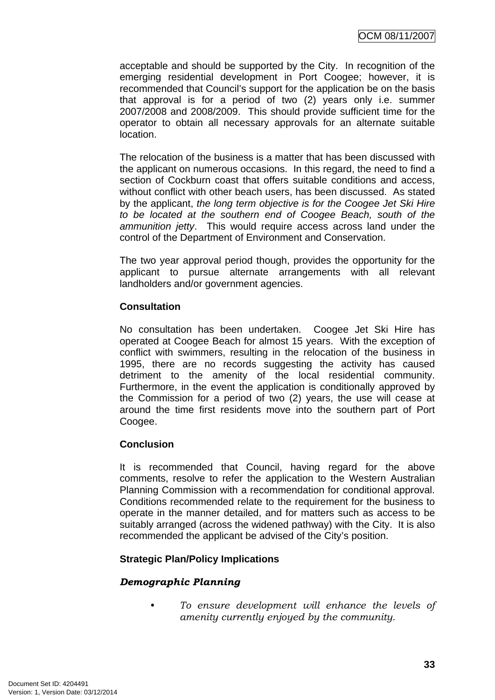acceptable and should be supported by the City. In recognition of the emerging residential development in Port Coogee; however, it is recommended that Council's support for the application be on the basis that approval is for a period of two (2) years only i.e. summer 2007/2008 and 2008/2009. This should provide sufficient time for the operator to obtain all necessary approvals for an alternate suitable location.

The relocation of the business is a matter that has been discussed with the applicant on numerous occasions. In this regard, the need to find a section of Cockburn coast that offers suitable conditions and access, without conflict with other beach users, has been discussed. As stated by the applicant, *the long term objective is for the Coogee Jet Ski Hire to be located at the southern end of Coogee Beach, south of the ammunition jetty*. This would require access across land under the control of the Department of Environment and Conservation.

The two year approval period though, provides the opportunity for the applicant to pursue alternate arrangements with all relevant landholders and/or government agencies.

### **Consultation**

No consultation has been undertaken. Coogee Jet Ski Hire has operated at Coogee Beach for almost 15 years. With the exception of conflict with swimmers, resulting in the relocation of the business in 1995, there are no records suggesting the activity has caused detriment to the amenity of the local residential community. Furthermore, in the event the application is conditionally approved by the Commission for a period of two (2) years, the use will cease at around the time first residents move into the southern part of Port Coogee.

## **Conclusion**

It is recommended that Council, having regard for the above comments, resolve to refer the application to the Western Australian Planning Commission with a recommendation for conditional approval. Conditions recommended relate to the requirement for the business to operate in the manner detailed, and for matters such as access to be suitably arranged (across the widened pathway) with the City. It is also recommended the applicant be advised of the City's position.

#### **Strategic Plan/Policy Implications**

## *Demographic Planning*

*• To ensure development will enhance the levels of amenity currently enjoyed by the community.*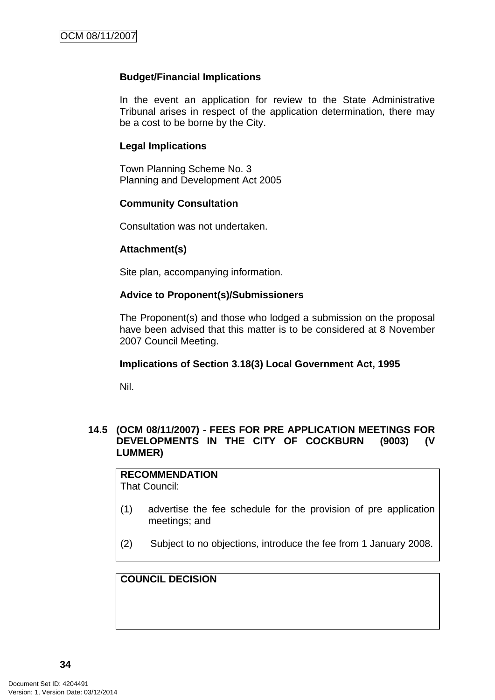#### **Budget/Financial Implications**

In the event an application for review to the State Administrative Tribunal arises in respect of the application determination, there may be a cost to be borne by the City.

#### **Legal Implications**

Town Planning Scheme No. 3 Planning and Development Act 2005

#### **Community Consultation**

Consultation was not undertaken.

#### **Attachment(s)**

Site plan, accompanying information.

#### **Advice to Proponent(s)/Submissioners**

The Proponent(s) and those who lodged a submission on the proposal have been advised that this matter is to be considered at 8 November 2007 Council Meeting.

#### **Implications of Section 3.18(3) Local Government Act, 1995**

Nil.

### **14.5 (OCM 08/11/2007) - FEES FOR PRE APPLICATION MEETINGS FOR DEVELOPMENTS IN THE CITY OF COCKBURN (9003) (V LUMMER)**

**RECOMMENDATION** That Council:

- (1) advertise the fee schedule for the provision of pre application meetings; and
- (2) Subject to no objections, introduce the fee from 1 January 2008.

#### **COUNCIL DECISION**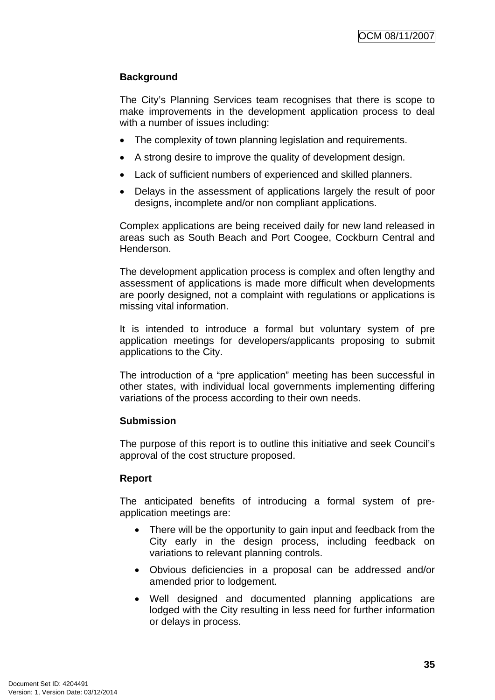## **Background**

The City's Planning Services team recognises that there is scope to make improvements in the development application process to deal with a number of issues including:

- The complexity of town planning legislation and requirements.
- A strong desire to improve the quality of development design.
- Lack of sufficient numbers of experienced and skilled planners.
- Delays in the assessment of applications largely the result of poor designs, incomplete and/or non compliant applications.

Complex applications are being received daily for new land released in areas such as South Beach and Port Coogee, Cockburn Central and Henderson.

The development application process is complex and often lengthy and assessment of applications is made more difficult when developments are poorly designed, not a complaint with regulations or applications is missing vital information.

It is intended to introduce a formal but voluntary system of pre application meetings for developers/applicants proposing to submit applications to the City.

The introduction of a "pre application" meeting has been successful in other states, with individual local governments implementing differing variations of the process according to their own needs.

## **Submission**

The purpose of this report is to outline this initiative and seek Council's approval of the cost structure proposed.

## **Report**

The anticipated benefits of introducing a formal system of preapplication meetings are:

- There will be the opportunity to gain input and feedback from the City early in the design process, including feedback on variations to relevant planning controls.
- Obvious deficiencies in a proposal can be addressed and/or amended prior to lodgement.
- Well designed and documented planning applications are lodged with the City resulting in less need for further information or delays in process.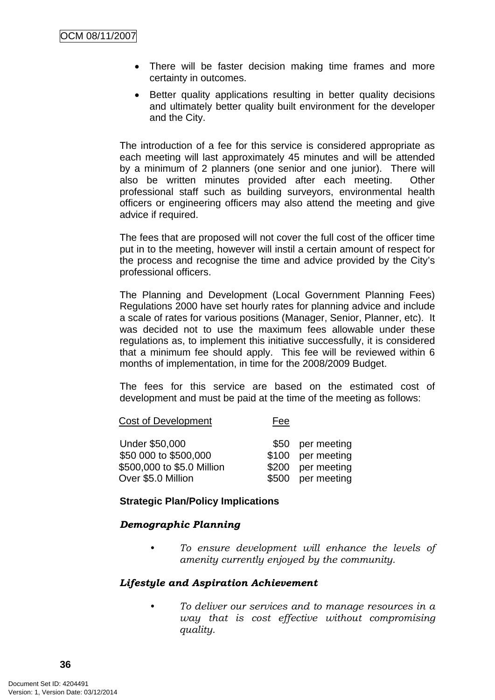- There will be faster decision making time frames and more certainty in outcomes.
- Better quality applications resulting in better quality decisions and ultimately better quality built environment for the developer and the City.

The introduction of a fee for this service is considered appropriate as each meeting will last approximately 45 minutes and will be attended by a minimum of 2 planners (one senior and one junior). There will also be written minutes provided after each meeting. Other professional staff such as building surveyors, environmental health officers or engineering officers may also attend the meeting and give advice if required.

The fees that are proposed will not cover the full cost of the officer time put in to the meeting, however will instil a certain amount of respect for the process and recognise the time and advice provided by the City's professional officers.

The Planning and Development (Local Government Planning Fees) Regulations 2000 have set hourly rates for planning advice and include a scale of rates for various positions (Manager, Senior, Planner, etc). It was decided not to use the maximum fees allowable under these regulations as, to implement this initiative successfully, it is considered that a minimum fee should apply. This fee will be reviewed within 6 months of implementation, in time for the 2008/2009 Budget.

The fees for this service are based on the estimated cost of development and must be paid at the time of the meeting as follows:

Cost of Development Fee

| Under \$50,000             | \$50 per meeting  |
|----------------------------|-------------------|
| \$50 000 to \$500,000      | \$100 per meeting |
| \$500,000 to \$5.0 Million | \$200 per meeting |
| Over \$5.0 Million         | \$500 per meeting |

#### **Strategic Plan/Policy Implications**

#### *Demographic Planning*

*• To ensure development will enhance the levels of amenity currently enjoyed by the community.*

#### *Lifestyle and Aspiration Achievement*

*• To deliver our services and to manage resources in a way that is cost effective without compromising quality.*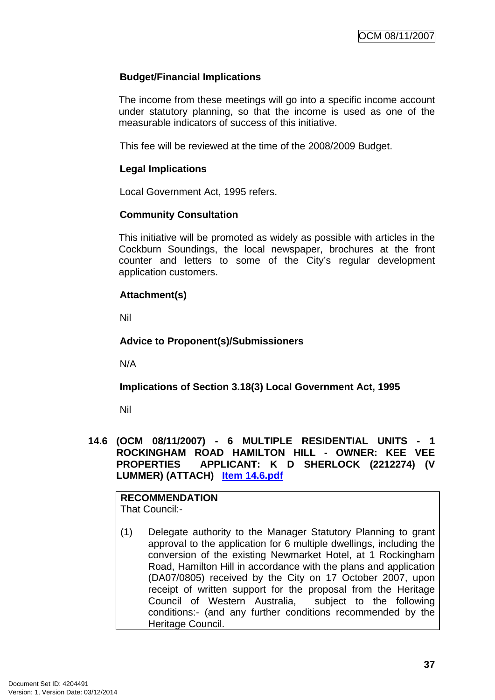### **Budget/Financial Implications**

The income from these meetings will go into a specific income account under statutory planning, so that the income is used as one of the measurable indicators of success of this initiative.

This fee will be reviewed at the time of the 2008/2009 Budget.

#### **Legal Implications**

Local Government Act, 1995 refers.

### **Community Consultation**

This initiative will be promoted as widely as possible with articles in the Cockburn Soundings, the local newspaper, brochures at the front counter and letters to some of the City's regular development application customers.

### **Attachment(s)**

Nil

#### **Advice to Proponent(s)/Submissioners**

N/A

**Implications of Section 3.18(3) Local Government Act, 1995**

Nil

#### **14.6 (OCM 08/11/2007) - 6 MULTIPLE RESIDENTIAL UNITS - 1 ROCKINGHAM ROAD HAMILTON HILL - OWNER: KEE VEE PROPERTIES APPLICANT: K D SHERLOCK (2212274) (V LUMMER) (ATTACH) Item 14.6.pdf**

**RECOMMENDATION** That Council:-

(1) Delegate authority to the Manager Statutory Planning to grant approval to the application for 6 multiple dwellings, including the conversion of the existing Newmarket Hotel, at 1 Rockingham Road, Hamilton Hill in accordance with the plans and application (DA07/0805) received by the City on 17 October 2007, upon receipt of written support for the proposal from the Heritage Council of Western Australia, subject to the following conditions:- (and any further conditions recommended by the Heritage Council.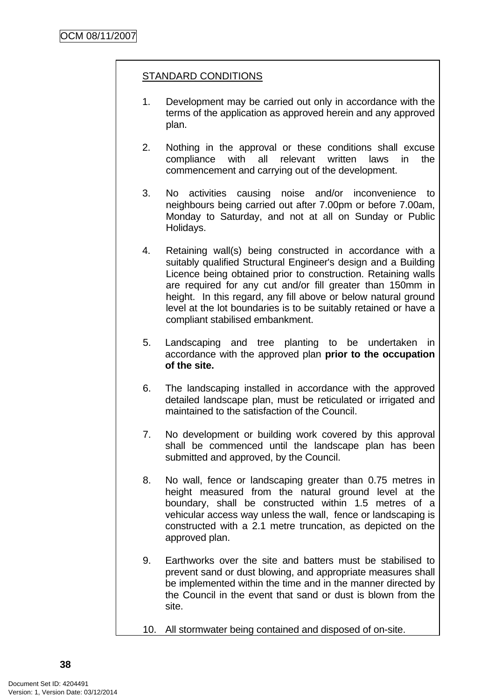## STANDARD CONDITIONS

- 1. Development may be carried out only in accordance with the terms of the application as approved herein and any approved plan.
- 2. Nothing in the approval or these conditions shall excuse compliance with all relevant written laws in the commencement and carrying out of the development.
- 3. No activities causing noise and/or inconvenience to neighbours being carried out after 7.00pm or before 7.00am, Monday to Saturday, and not at all on Sunday or Public Holidays.
- 4. Retaining wall(s) being constructed in accordance with a suitably qualified Structural Engineer's design and a Building Licence being obtained prior to construction. Retaining walls are required for any cut and/or fill greater than 150mm in height. In this regard, any fill above or below natural ground level at the lot boundaries is to be suitably retained or have a compliant stabilised embankment.
- 5. Landscaping and tree planting to be undertaken in accordance with the approved plan **prior to the occupation of the site.**
- 6. The landscaping installed in accordance with the approved detailed landscape plan, must be reticulated or irrigated and maintained to the satisfaction of the Council.
- 7. No development or building work covered by this approval shall be commenced until the landscape plan has been submitted and approved, by the Council.
- 8. No wall, fence or landscaping greater than 0.75 metres in height measured from the natural ground level at the boundary, shall be constructed within 1.5 metres of a vehicular access way unless the wall, fence or landscaping is constructed with a 2.1 metre truncation, as depicted on the approved plan.
- 9. Earthworks over the site and batters must be stabilised to prevent sand or dust blowing, and appropriate measures shall be implemented within the time and in the manner directed by the Council in the event that sand or dust is blown from the site.
- 10. All stormwater being contained and disposed of on-site.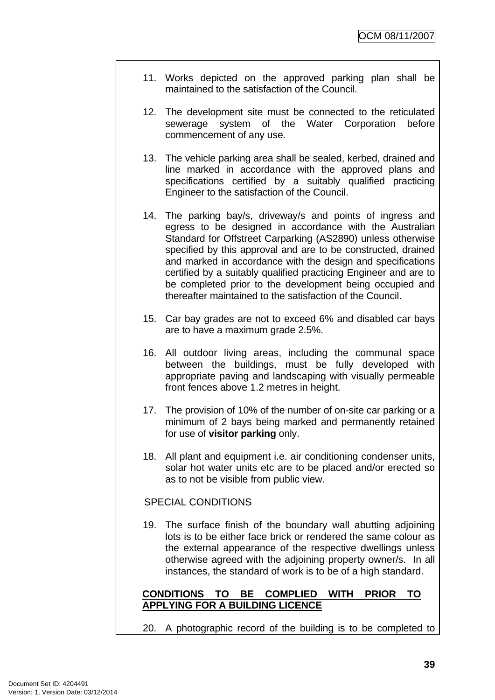- 11. Works depicted on the approved parking plan shall be maintained to the satisfaction of the Council.
- 12. The development site must be connected to the reticulated sewerage system of the Water Corporation before commencement of any use.
- 13. The vehicle parking area shall be sealed, kerbed, drained and line marked in accordance with the approved plans and specifications certified by a suitably qualified practicing Engineer to the satisfaction of the Council.
- 14. The parking bay/s, driveway/s and points of ingress and egress to be designed in accordance with the Australian Standard for Offstreet Carparking (AS2890) unless otherwise specified by this approval and are to be constructed, drained and marked in accordance with the design and specifications certified by a suitably qualified practicing Engineer and are to be completed prior to the development being occupied and thereafter maintained to the satisfaction of the Council.
- 15. Car bay grades are not to exceed 6% and disabled car bays are to have a maximum grade 2.5%.
- 16. All outdoor living areas, including the communal space between the buildings, must be fully developed with appropriate paving and landscaping with visually permeable front fences above 1.2 metres in height.
- 17. The provision of 10% of the number of on-site car parking or a minimum of 2 bays being marked and permanently retained for use of **visitor parking** only.
- 18. All plant and equipment i.e. air conditioning condenser units, solar hot water units etc are to be placed and/or erected so as to not be visible from public view.

## SPECIAL CONDITIONS

19. The surface finish of the boundary wall abutting adjoining lots is to be either face brick or rendered the same colour as the external appearance of the respective dwellings unless otherwise agreed with the adjoining property owner/s. In all instances, the standard of work is to be of a high standard.

## **CONDITIONS TO BE COMPLIED WITH PRIOR TO APPLYING FOR A BUILDING LICENCE**

20. A photographic record of the building is to be completed to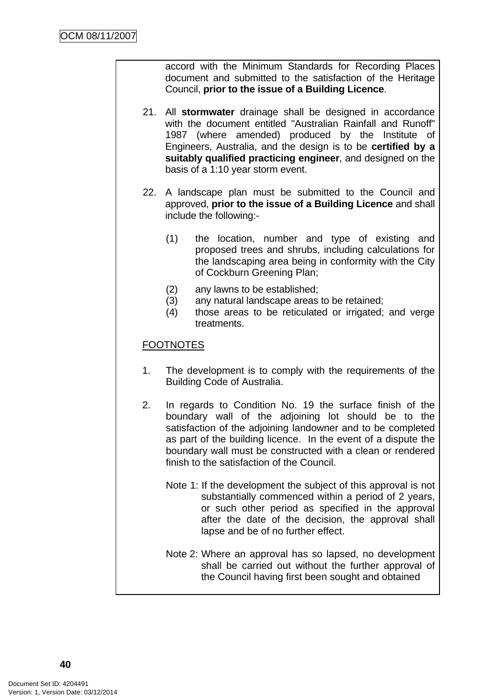accord with the Minimum Standards for Recording Places document and submitted to the satisfaction of the Heritage Council, **prior to the issue of a Building Licence**.

- 21. All **stormwater** drainage shall be designed in accordance with the document entitled "Australian Rainfall and Runoff" 1987 (where amended) produced by the Institute of Engineers, Australia, and the design is to be **certified by a suitably qualified practicing engineer**, and designed on the basis of a 1:10 year storm event.
- 22. A landscape plan must be submitted to the Council and approved, **prior to the issue of a Building Licence** and shall include the following:-
	- (1) the location, number and type of existing and proposed trees and shrubs, including calculations for the landscaping area being in conformity with the City of Cockburn Greening Plan;
	- (2) any lawns to be established;
	- (3) any natural landscape areas to be retained;
	- (4) those areas to be reticulated or irrigated; and verge treatments.

## FOOTNOTES

- 1. The development is to comply with the requirements of the Building Code of Australia.
- 2. In regards to Condition No. 19 the surface finish of the boundary wall of the adjoining lot should be to the satisfaction of the adjoining landowner and to be completed as part of the building licence. In the event of a dispute the boundary wall must be constructed with a clean or rendered finish to the satisfaction of the Council.
	- Note 1: If the development the subject of this approval is not substantially commenced within a period of 2 years. or such other period as specified in the approval after the date of the decision, the approval shall lapse and be of no further effect.
	- Note 2: Where an approval has so lapsed, no development shall be carried out without the further approval of the Council having first been sought and obtained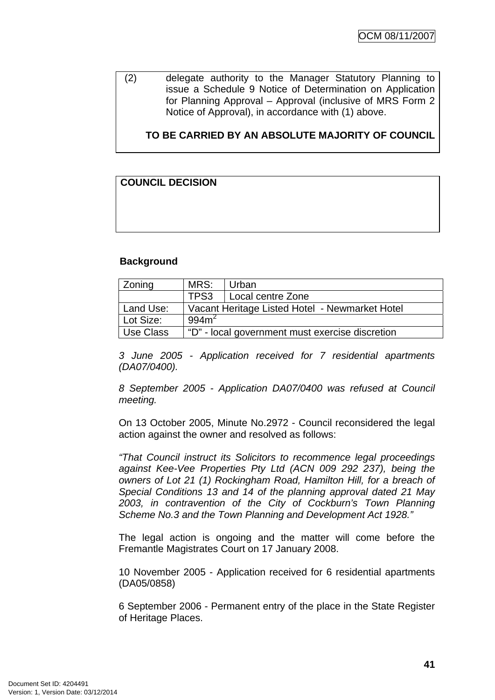(2) delegate authority to the Manager Statutory Planning to issue a Schedule 9 Notice of Determination on Application for Planning Approval – Approval (inclusive of MRS Form 2 Notice of Approval), in accordance with (1) above.

## **TO BE CARRIED BY AN ABSOLUTE MAJORITY OF COUNCIL**

## **COUNCIL DECISION**

### **Background**

| Zoning    | MRS:                                            | <b>Urban</b>             |  |
|-----------|-------------------------------------------------|--------------------------|--|
|           |                                                 | TPS3   Local centre Zone |  |
| Land Use: | Vacant Heritage Listed Hotel - Newmarket Hotel  |                          |  |
| Lot Size: | 994m <sup>2</sup>                               |                          |  |
| Use Class | "D" - local government must exercise discretion |                          |  |

*3 June 2005 - Application received for 7 residential apartments (DA07/0400).* 

*8 September 2005 - Application DA07/0400 was refused at Council meeting.*

On 13 October 2005, Minute No.2972 - Council reconsidered the legal action against the owner and resolved as follows:

*"That Council instruct its Solicitors to recommence legal proceedings against Kee-Vee Properties Pty Ltd (ACN 009 292 237), being the owners of Lot 21 (1) Rockingham Road, Hamilton Hill, for a breach of Special Conditions 13 and 14 of the planning approval dated 21 May 2003, in contravention of the City of Cockburn's Town Planning Scheme No.3 and the Town Planning and Development Act 1928."* 

The legal action is ongoing and the matter will come before the Fremantle Magistrates Court on 17 January 2008.

10 November 2005 - Application received for 6 residential apartments (DA05/0858)

6 September 2006 - Permanent entry of the place in the State Register of Heritage Places.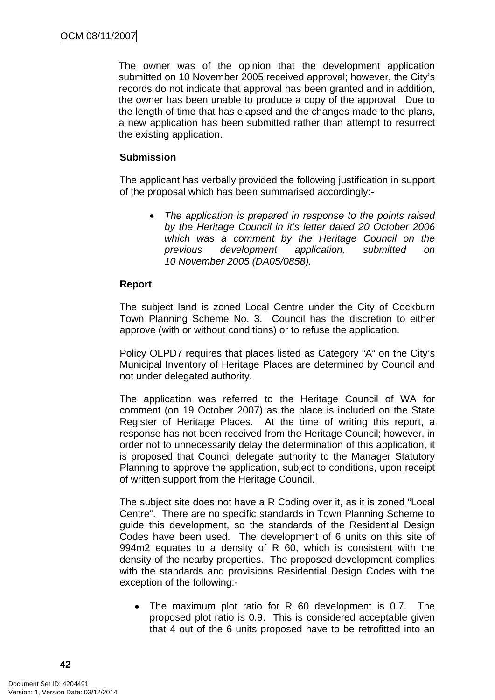The owner was of the opinion that the development application submitted on 10 November 2005 received approval; however, the City's records do not indicate that approval has been granted and in addition, the owner has been unable to produce a copy of the approval. Due to the length of time that has elapsed and the changes made to the plans, a new application has been submitted rather than attempt to resurrect the existing application.

## **Submission**

The applicant has verbally provided the following justification in support of the proposal which has been summarised accordingly:-

• *The application is prepared in response to the points raised by the Heritage Council in it's letter dated 20 October 2006 which was a comment by the Heritage Council on the previous development application, submitted on 10 November 2005 (DA05/0858).* 

### **Report**

The subject land is zoned Local Centre under the City of Cockburn Town Planning Scheme No. 3. Council has the discretion to either approve (with or without conditions) or to refuse the application.

Policy OLPD7 requires that places listed as Category "A" on the City's Municipal Inventory of Heritage Places are determined by Council and not under delegated authority.

The application was referred to the Heritage Council of WA for comment (on 19 October 2007) as the place is included on the State Register of Heritage Places. At the time of writing this report, a response has not been received from the Heritage Council; however, in order not to unnecessarily delay the determination of this application, it is proposed that Council delegate authority to the Manager Statutory Planning to approve the application, subject to conditions, upon receipt of written support from the Heritage Council.

The subject site does not have a R Coding over it, as it is zoned "Local Centre". There are no specific standards in Town Planning Scheme to guide this development, so the standards of the Residential Design Codes have been used. The development of 6 units on this site of 994m2 equates to a density of R 60, which is consistent with the density of the nearby properties. The proposed development complies with the standards and provisions Residential Design Codes with the exception of the following:-

• The maximum plot ratio for R 60 development is 0.7. The proposed plot ratio is 0.9. This is considered acceptable given that 4 out of the 6 units proposed have to be retrofitted into an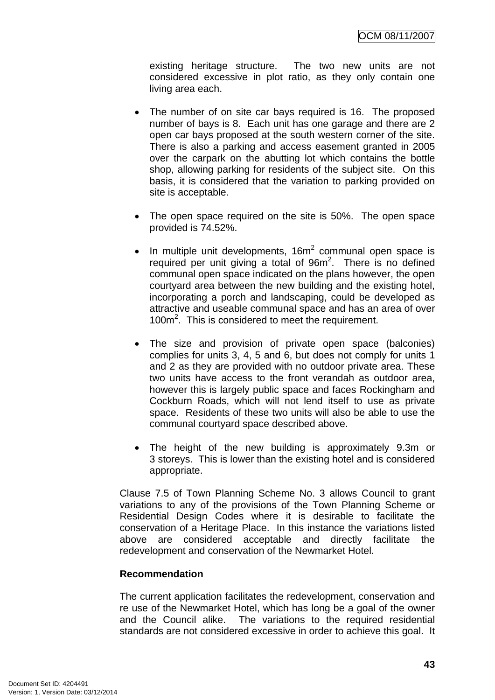existing heritage structure. The two new units are not considered excessive in plot ratio, as they only contain one living area each.

- The number of on site car bays required is 16. The proposed number of bays is 8. Each unit has one garage and there are 2 open car bays proposed at the south western corner of the site. There is also a parking and access easement granted in 2005 over the carpark on the abutting lot which contains the bottle shop, allowing parking for residents of the subject site. On this basis, it is considered that the variation to parking provided on site is acceptable.
- The open space required on the site is 50%. The open space provided is 74.52%.
- $\bullet$  In multiple unit developments, 16m<sup>2</sup> communal open space is required per unit giving a total of  $96m^2$ . There is no defined communal open space indicated on the plans however, the open courtyard area between the new building and the existing hotel, incorporating a porch and landscaping, could be developed as attractive and useable communal space and has an area of over 100m<sup>2</sup>. This is considered to meet the requirement.
- The size and provision of private open space (balconies) complies for units 3, 4, 5 and 6, but does not comply for units 1 and 2 as they are provided with no outdoor private area. These two units have access to the front verandah as outdoor area, however this is largely public space and faces Rockingham and Cockburn Roads, which will not lend itself to use as private space. Residents of these two units will also be able to use the communal courtyard space described above.
- The height of the new building is approximately 9.3m or 3 storeys. This is lower than the existing hotel and is considered appropriate.

Clause 7.5 of Town Planning Scheme No. 3 allows Council to grant variations to any of the provisions of the Town Planning Scheme or Residential Design Codes where it is desirable to facilitate the conservation of a Heritage Place. In this instance the variations listed above are considered acceptable and directly facilitate the redevelopment and conservation of the Newmarket Hotel.

#### **Recommendation**

The current application facilitates the redevelopment, conservation and re use of the Newmarket Hotel, which has long be a goal of the owner and the Council alike. The variations to the required residential standards are not considered excessive in order to achieve this goal. It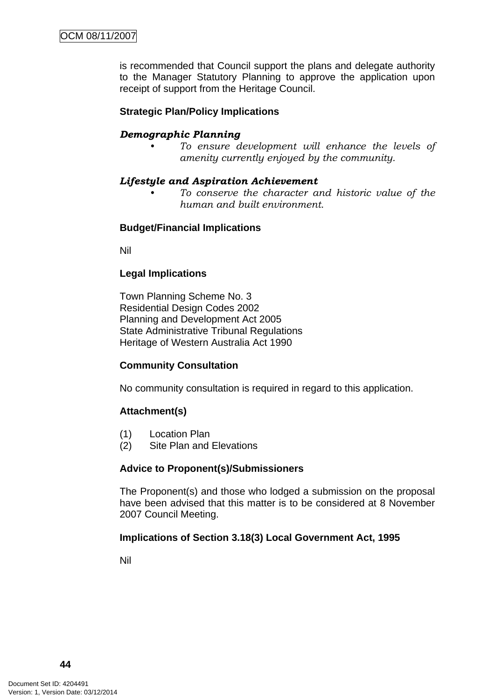is recommended that Council support the plans and delegate authority to the Manager Statutory Planning to approve the application upon receipt of support from the Heritage Council.

#### **Strategic Plan/Policy Implications**

#### *Demographic Planning*

*• To ensure development will enhance the levels of amenity currently enjoyed by the community.*

#### *Lifestyle and Aspiration Achievement*

*• To conserve the character and historic value of the human and built environment.* 

#### **Budget/Financial Implications**

Nil

### **Legal Implications**

Town Planning Scheme No. 3 Residential Design Codes 2002 Planning and Development Act 2005 State Administrative Tribunal Regulations Heritage of Western Australia Act 1990

#### **Community Consultation**

No community consultation is required in regard to this application.

#### **Attachment(s)**

- (1) Location Plan
- (2) Site Plan and Elevations

#### **Advice to Proponent(s)/Submissioners**

The Proponent(s) and those who lodged a submission on the proposal have been advised that this matter is to be considered at 8 November 2007 Council Meeting.

#### **Implications of Section 3.18(3) Local Government Act, 1995**

Nil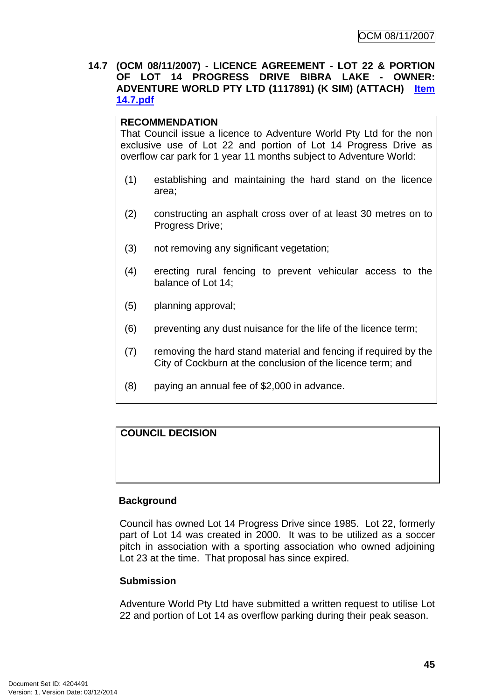#### **14.7 (OCM 08/11/2007) - LICENCE AGREEMENT - LOT 22 & PORTION OF LOT 14 PROGRESS DRIVE BIBRA LAKE - OWNER: ADVENTURE WORLD PTY LTD (1117891) (K SIM) (ATTACH) Item 14.7.pdf**

#### **RECOMMENDATION**

That Council issue a licence to Adventure World Pty Ltd for the non exclusive use of Lot 22 and portion of Lot 14 Progress Drive as overflow car park for 1 year 11 months subject to Adventure World:

- (1) establishing and maintaining the hard stand on the licence area;
- (2) constructing an asphalt cross over of at least 30 metres on to Progress Drive;
- (3) not removing any significant vegetation;
- (4) erecting rural fencing to prevent vehicular access to the balance of Lot 14;
- (5) planning approval;
- (6) preventing any dust nuisance for the life of the licence term;
- (7) removing the hard stand material and fencing if required by the City of Cockburn at the conclusion of the licence term; and
- (8) paying an annual fee of \$2,000 in advance.

## **COUNCIL DECISION**

#### **Background**

Council has owned Lot 14 Progress Drive since 1985. Lot 22, formerly part of Lot 14 was created in 2000. It was to be utilized as a soccer pitch in association with a sporting association who owned adjoining Lot 23 at the time. That proposal has since expired.

#### **Submission**

Adventure World Pty Ltd have submitted a written request to utilise Lot 22 and portion of Lot 14 as overflow parking during their peak season.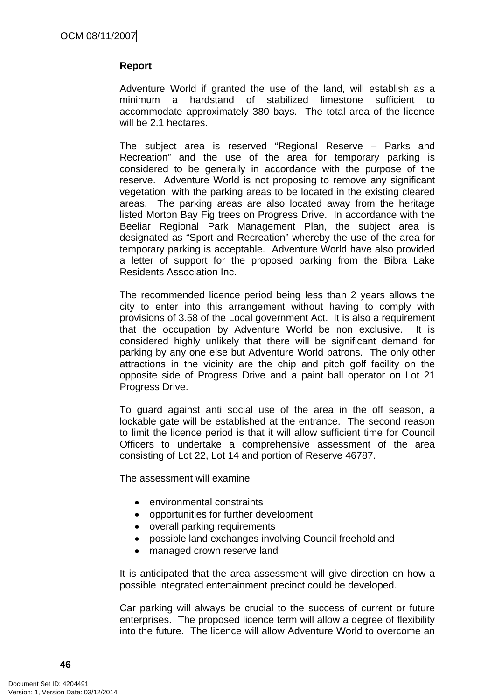#### **Report**

Adventure World if granted the use of the land, will establish as a minimum a hardstand of stabilized limestone sufficient to accommodate approximately 380 bays. The total area of the licence will be 2.1 hectares.

The subject area is reserved "Regional Reserve – Parks and Recreation" and the use of the area for temporary parking is considered to be generally in accordance with the purpose of the reserve. Adventure World is not proposing to remove any significant vegetation, with the parking areas to be located in the existing cleared areas. The parking areas are also located away from the heritage listed Morton Bay Fig trees on Progress Drive. In accordance with the Beeliar Regional Park Management Plan, the subject area is designated as "Sport and Recreation" whereby the use of the area for temporary parking is acceptable. Adventure World have also provided a letter of support for the proposed parking from the Bibra Lake Residents Association Inc.

The recommended licence period being less than 2 years allows the city to enter into this arrangement without having to comply with provisions of 3.58 of the Local government Act. It is also a requirement that the occupation by Adventure World be non exclusive. It is considered highly unlikely that there will be significant demand for parking by any one else but Adventure World patrons. The only other attractions in the vicinity are the chip and pitch golf facility on the opposite side of Progress Drive and a paint ball operator on Lot 21 Progress Drive.

To guard against anti social use of the area in the off season, a lockable gate will be established at the entrance. The second reason to limit the licence period is that it will allow sufficient time for Council Officers to undertake a comprehensive assessment of the area consisting of Lot 22, Lot 14 and portion of Reserve 46787.

The assessment will examine

- environmental constraints
- opportunities for further development
- overall parking requirements
- possible land exchanges involving Council freehold and
- managed crown reserve land

It is anticipated that the area assessment will give direction on how a possible integrated entertainment precinct could be developed.

Car parking will always be crucial to the success of current or future enterprises. The proposed licence term will allow a degree of flexibility into the future. The licence will allow Adventure World to overcome an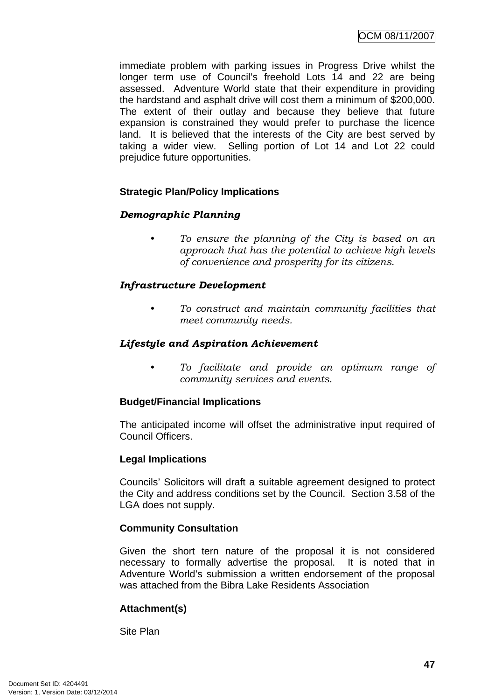immediate problem with parking issues in Progress Drive whilst the longer term use of Council's freehold Lots 14 and 22 are being assessed. Adventure World state that their expenditure in providing the hardstand and asphalt drive will cost them a minimum of \$200,000. The extent of their outlay and because they believe that future expansion is constrained they would prefer to purchase the licence land. It is believed that the interests of the City are best served by taking a wider view. Selling portion of Lot 14 and Lot 22 could prejudice future opportunities.

### **Strategic Plan/Policy Implications**

### *Demographic Planning*

*• To ensure the planning of the City is based on an approach that has the potential to achieve high levels of convenience and prosperity for its citizens.* 

### *Infrastructure Development*

*• To construct and maintain community facilities that meet community needs.* 

#### *Lifestyle and Aspiration Achievement*

*• To facilitate and provide an optimum range of community services and events.* 

#### **Budget/Financial Implications**

The anticipated income will offset the administrative input required of Council Officers.

#### **Legal Implications**

Councils' Solicitors will draft a suitable agreement designed to protect the City and address conditions set by the Council. Section 3.58 of the LGA does not supply.

#### **Community Consultation**

Given the short tern nature of the proposal it is not considered necessary to formally advertise the proposal. It is noted that in Adventure World's submission a written endorsement of the proposal was attached from the Bibra Lake Residents Association

## **Attachment(s)**

Site Plan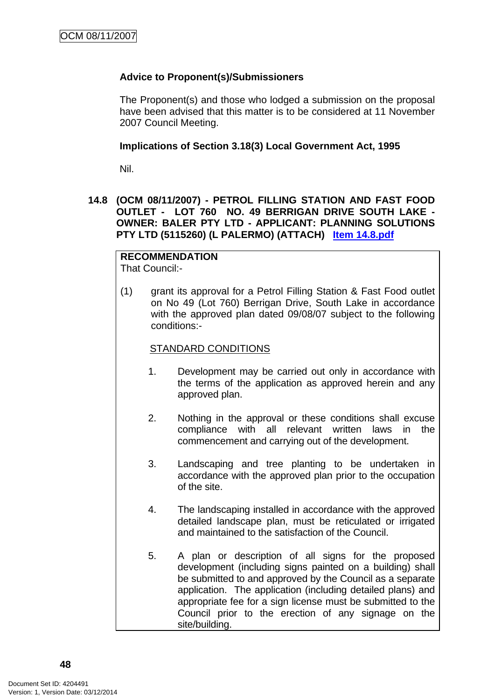## **Advice to Proponent(s)/Submissioners**

The Proponent(s) and those who lodged a submission on the proposal have been advised that this matter is to be considered at 11 November 2007 Council Meeting.

#### **Implications of Section 3.18(3) Local Government Act, 1995**

Nil.

#### **14.8 (OCM 08/11/2007) - PETROL FILLING STATION AND FAST FOOD OUTLET - LOT 760 NO. 49 BERRIGAN DRIVE SOUTH LAKE - OWNER: BALER PTY LTD - APPLICANT: PLANNING SOLUTIONS PTY LTD (5115260) (L PALERMO) (ATTACH) Item 14.8.pdf**

#### **RECOMMENDATION**  That Council:-

(1) grant its approval for a Petrol Filling Station & Fast Food outlet on No 49 (Lot 760) Berrigan Drive, South Lake in accordance with the approved plan dated 09/08/07 subject to the following conditions:-

#### STANDARD CONDITIONS

- 1. Development may be carried out only in accordance with the terms of the application as approved herein and any approved plan.
- 2. Nothing in the approval or these conditions shall excuse compliance with all relevant written laws in the commencement and carrying out of the development.
- 3. Landscaping and tree planting to be undertaken in accordance with the approved plan prior to the occupation of the site.
- 4. The landscaping installed in accordance with the approved detailed landscape plan, must be reticulated or irrigated and maintained to the satisfaction of the Council.
- 5. A plan or description of all signs for the proposed development (including signs painted on a building) shall be submitted to and approved by the Council as a separate application. The application (including detailed plans) and appropriate fee for a sign license must be submitted to the Council prior to the erection of any signage on the site/building.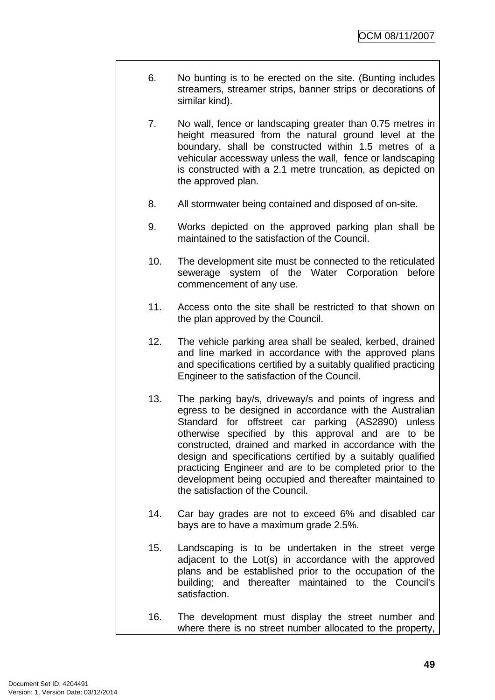- 6. No bunting is to be erected on the site. (Bunting includes streamers, streamer strips, banner strips or decorations of similar kind).
- 7. No wall, fence or landscaping greater than 0.75 metres in height measured from the natural ground level at the boundary, shall be constructed within 1.5 metres of a vehicular accessway unless the wall, fence or landscaping is constructed with a 2.1 metre truncation, as depicted on the approved plan.
- 8. All stormwater being contained and disposed of on-site.
- 9. Works depicted on the approved parking plan shall be maintained to the satisfaction of the Council.
- 10. The development site must be connected to the reticulated sewerage system of the Water Corporation before commencement of any use.
- 11. Access onto the site shall be restricted to that shown on the plan approved by the Council.
- 12. The vehicle parking area shall be sealed, kerbed, drained and line marked in accordance with the approved plans and specifications certified by a suitably qualified practicing Engineer to the satisfaction of the Council.
- 13. The parking bay/s, driveway/s and points of ingress and egress to be designed in accordance with the Australian Standard for offstreet car parking (AS2890) unless otherwise specified by this approval and are to be constructed, drained and marked in accordance with the design and specifications certified by a suitably qualified practicing Engineer and are to be completed prior to the development being occupied and thereafter maintained to the satisfaction of the Council.
- 14. Car bay grades are not to exceed 6% and disabled car bays are to have a maximum grade 2.5%.
- 15. Landscaping is to be undertaken in the street verge adjacent to the Lot(s) in accordance with the approved plans and be established prior to the occupation of the building; and thereafter maintained to the Council's satisfaction.
- 16. The development must display the street number and where there is no street number allocated to the property,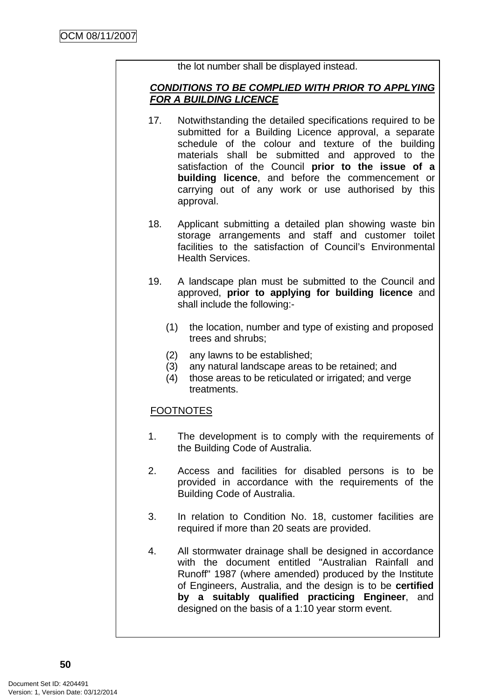the lot number shall be displayed instead.

## *CONDITIONS TO BE COMPLIED WITH PRIOR TO APPLYING FOR A BUILDING LICENCE*

- 17. Notwithstanding the detailed specifications required to be submitted for a Building Licence approval, a separate schedule of the colour and texture of the building materials shall be submitted and approved to the satisfaction of the Council **prior to the issue of a building licence**, and before the commencement or carrying out of any work or use authorised by this approval.
- 18. Applicant submitting a detailed plan showing waste bin storage arrangements and staff and customer toilet facilities to the satisfaction of Council's Environmental Health Services.
- 19. A landscape plan must be submitted to the Council and approved, **prior to applying for building licence** and shall include the following:-
	- (1) the location, number and type of existing and proposed trees and shrubs;
	- (2) any lawns to be established;
	- (3) any natural landscape areas to be retained; and
	- (4) those areas to be reticulated or irrigated; and verge treatments.

## FOOTNOTES

- 1. The development is to comply with the requirements of the Building Code of Australia.
- 2. Access and facilities for disabled persons is to be provided in accordance with the requirements of the Building Code of Australia.
- 3. In relation to Condition No. 18, customer facilities are required if more than 20 seats are provided.
- 4. All stormwater drainage shall be designed in accordance with the document entitled "Australian Rainfall and Runoff" 1987 (where amended) produced by the Institute of Engineers, Australia, and the design is to be **certified by a suitably qualified practicing Engineer**, and designed on the basis of a 1:10 year storm event.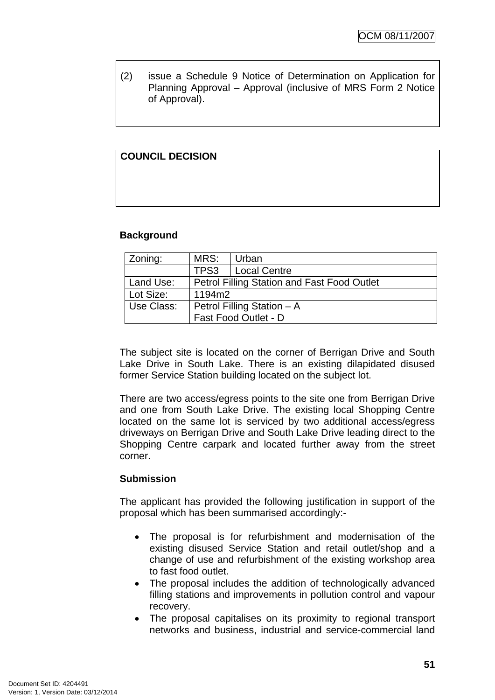(2) issue a Schedule 9 Notice of Determination on Application for Planning Approval – Approval (inclusive of MRS Form 2 Notice of Approval).

### **COUNCIL DECISION**

#### **Background**

| Zoning:    | MRS:                                        | Urban        |  |
|------------|---------------------------------------------|--------------|--|
|            | TPS3                                        | Local Centre |  |
| Land Use:  | Petrol Filling Station and Fast Food Outlet |              |  |
| Lot Size:  | 1194m2                                      |              |  |
| Use Class: | Petrol Filling Station - A                  |              |  |
|            | Fast Food Outlet - D                        |              |  |

The subject site is located on the corner of Berrigan Drive and South Lake Drive in South Lake. There is an existing dilapidated disused former Service Station building located on the subject lot.

There are two access/egress points to the site one from Berrigan Drive and one from South Lake Drive. The existing local Shopping Centre located on the same lot is serviced by two additional access/egress driveways on Berrigan Drive and South Lake Drive leading direct to the Shopping Centre carpark and located further away from the street corner.

#### **Submission**

The applicant has provided the following justification in support of the proposal which has been summarised accordingly:-

- The proposal is for refurbishment and modernisation of the existing disused Service Station and retail outlet/shop and a change of use and refurbishment of the existing workshop area to fast food outlet.
- The proposal includes the addition of technologically advanced filling stations and improvements in pollution control and vapour recovery.
- The proposal capitalises on its proximity to regional transport networks and business, industrial and service-commercial land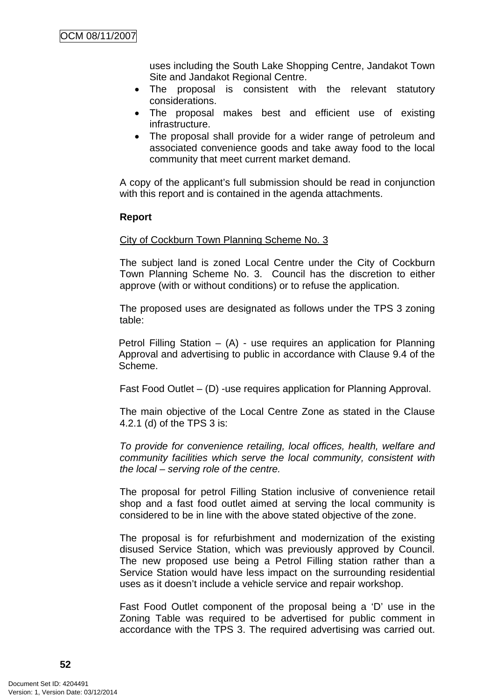uses including the South Lake Shopping Centre, Jandakot Town Site and Jandakot Regional Centre.

- The proposal is consistent with the relevant statutory considerations.
- The proposal makes best and efficient use of existing infrastructure.
- The proposal shall provide for a wider range of petroleum and associated convenience goods and take away food to the local community that meet current market demand.

A copy of the applicant's full submission should be read in conjunction with this report and is contained in the agenda attachments.

#### **Report**

#### City of Cockburn Town Planning Scheme No. 3

The subject land is zoned Local Centre under the City of Cockburn Town Planning Scheme No. 3. Council has the discretion to either approve (with or without conditions) or to refuse the application.

The proposed uses are designated as follows under the TPS 3 zoning table:

Petrol Filling Station  $-$  (A) - use requires an application for Planning Approval and advertising to public in accordance with Clause 9.4 of the Scheme.

Fast Food Outlet – (D) -use requires application for Planning Approval.

The main objective of the Local Centre Zone as stated in the Clause 4.2.1 (d) of the TPS 3 is:

*To provide for convenience retailing, local offices, health, welfare and community facilities which serve the local community, consistent with the local – serving role of the centre.* 

The proposal for petrol Filling Station inclusive of convenience retail shop and a fast food outlet aimed at serving the local community is considered to be in line with the above stated objective of the zone.

The proposal is for refurbishment and modernization of the existing disused Service Station, which was previously approved by Council. The new proposed use being a Petrol Filling station rather than a Service Station would have less impact on the surrounding residential uses as it doesn't include a vehicle service and repair workshop.

Fast Food Outlet component of the proposal being a 'D' use in the Zoning Table was required to be advertised for public comment in accordance with the TPS 3. The required advertising was carried out.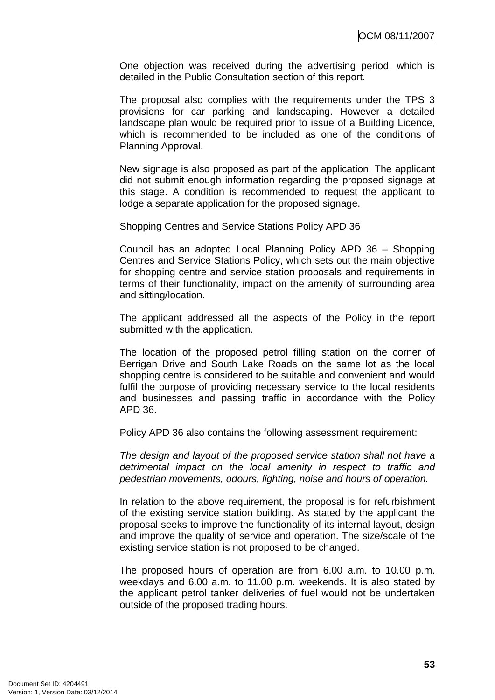One objection was received during the advertising period, which is detailed in the Public Consultation section of this report.

The proposal also complies with the requirements under the TPS 3 provisions for car parking and landscaping. However a detailed landscape plan would be required prior to issue of a Building Licence, which is recommended to be included as one of the conditions of Planning Approval.

New signage is also proposed as part of the application. The applicant did not submit enough information regarding the proposed signage at this stage. A condition is recommended to request the applicant to lodge a separate application for the proposed signage.

#### Shopping Centres and Service Stations Policy APD 36

Council has an adopted Local Planning Policy APD 36 – Shopping Centres and Service Stations Policy, which sets out the main objective for shopping centre and service station proposals and requirements in terms of their functionality, impact on the amenity of surrounding area and sitting/location.

The applicant addressed all the aspects of the Policy in the report submitted with the application.

The location of the proposed petrol filling station on the corner of Berrigan Drive and South Lake Roads on the same lot as the local shopping centre is considered to be suitable and convenient and would fulfil the purpose of providing necessary service to the local residents and businesses and passing traffic in accordance with the Policy APD 36.

Policy APD 36 also contains the following assessment requirement:

*The design and layout of the proposed service station shall not have a detrimental impact on the local amenity in respect to traffic and pedestrian movements, odours, lighting, noise and hours of operation.* 

In relation to the above requirement, the proposal is for refurbishment of the existing service station building. As stated by the applicant the proposal seeks to improve the functionality of its internal layout, design and improve the quality of service and operation. The size/scale of the existing service station is not proposed to be changed.

The proposed hours of operation are from 6.00 a.m. to 10.00 p.m. weekdays and 6.00 a.m. to 11.00 p.m. weekends. It is also stated by the applicant petrol tanker deliveries of fuel would not be undertaken outside of the proposed trading hours.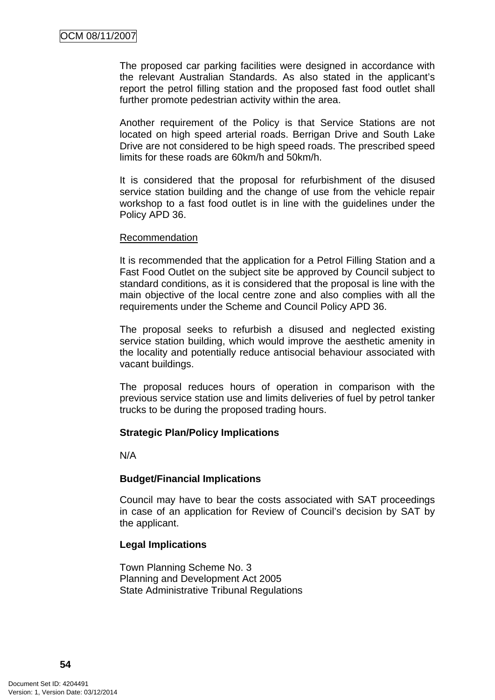The proposed car parking facilities were designed in accordance with the relevant Australian Standards. As also stated in the applicant's report the petrol filling station and the proposed fast food outlet shall further promote pedestrian activity within the area.

Another requirement of the Policy is that Service Stations are not located on high speed arterial roads. Berrigan Drive and South Lake Drive are not considered to be high speed roads. The prescribed speed limits for these roads are 60km/h and 50km/h.

It is considered that the proposal for refurbishment of the disused service station building and the change of use from the vehicle repair workshop to a fast food outlet is in line with the guidelines under the Policy APD 36.

#### Recommendation

It is recommended that the application for a Petrol Filling Station and a Fast Food Outlet on the subject site be approved by Council subject to standard conditions, as it is considered that the proposal is line with the main objective of the local centre zone and also complies with all the requirements under the Scheme and Council Policy APD 36.

The proposal seeks to refurbish a disused and neglected existing service station building, which would improve the aesthetic amenity in the locality and potentially reduce antisocial behaviour associated with vacant buildings.

The proposal reduces hours of operation in comparison with the previous service station use and limits deliveries of fuel by petrol tanker trucks to be during the proposed trading hours.

#### **Strategic Plan/Policy Implications**

N/A

#### **Budget/Financial Implications**

Council may have to bear the costs associated with SAT proceedings in case of an application for Review of Council's decision by SAT by the applicant.

#### **Legal Implications**

Town Planning Scheme No. 3 Planning and Development Act 2005 State Administrative Tribunal Regulations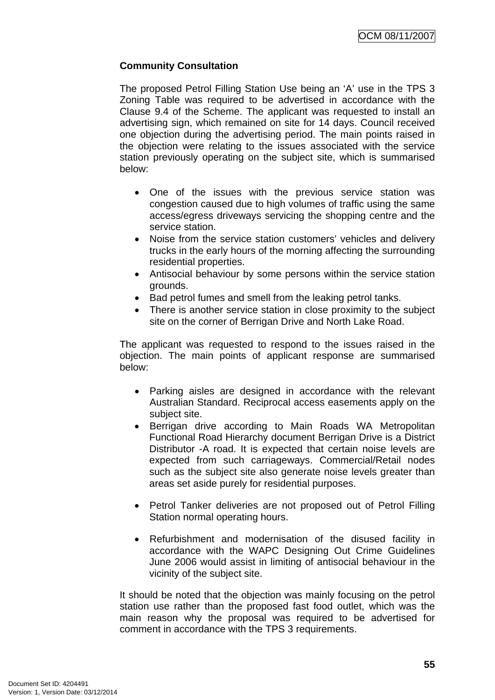## **Community Consultation**

The proposed Petrol Filling Station Use being an 'A' use in the TPS 3 Zoning Table was required to be advertised in accordance with the Clause 9.4 of the Scheme. The applicant was requested to install an advertising sign, which remained on site for 14 days. Council received one objection during the advertising period. The main points raised in the objection were relating to the issues associated with the service station previously operating on the subject site, which is summarised below:

- One of the issues with the previous service station was congestion caused due to high volumes of traffic using the same access/egress driveways servicing the shopping centre and the service station.
- Noise from the service station customers' vehicles and delivery trucks in the early hours of the morning affecting the surrounding residential properties.
- Antisocial behaviour by some persons within the service station grounds.
- Bad petrol fumes and smell from the leaking petrol tanks.
- There is another service station in close proximity to the subject site on the corner of Berrigan Drive and North Lake Road.

The applicant was requested to respond to the issues raised in the objection. The main points of applicant response are summarised below:

- Parking aisles are designed in accordance with the relevant Australian Standard. Reciprocal access easements apply on the subject site.
- Berrigan drive according to Main Roads WA Metropolitan Functional Road Hierarchy document Berrigan Drive is a District Distributor -A road. It is expected that certain noise levels are expected from such carriageways. Commercial/Retail nodes such as the subject site also generate noise levels greater than areas set aside purely for residential purposes.
- Petrol Tanker deliveries are not proposed out of Petrol Filling Station normal operating hours.
- Refurbishment and modernisation of the disused facility in accordance with the WAPC Designing Out Crime Guidelines June 2006 would assist in limiting of antisocial behaviour in the vicinity of the subject site.

It should be noted that the objection was mainly focusing on the petrol station use rather than the proposed fast food outlet, which was the main reason why the proposal was required to be advertised for comment in accordance with the TPS 3 requirements.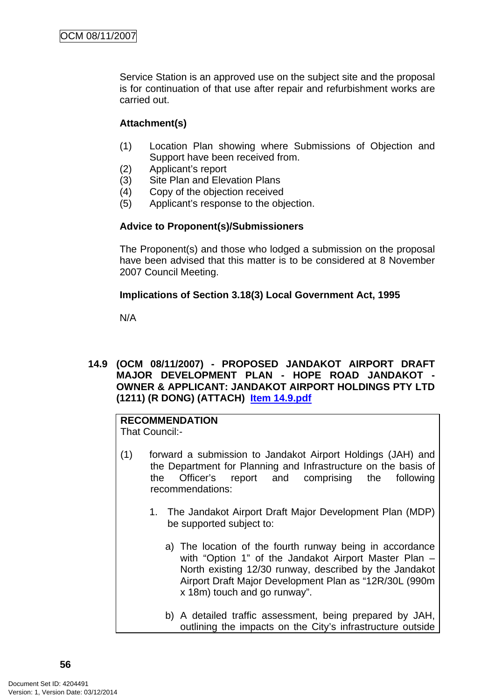Service Station is an approved use on the subject site and the proposal is for continuation of that use after repair and refurbishment works are carried out.

## **Attachment(s)**

- (1) Location Plan showing where Submissions of Objection and Support have been received from.
- (2) Applicant's report
- (3) Site Plan and Elevation Plans
- (4) Copy of the objection received
- (5) Applicant's response to the objection.

### **Advice to Proponent(s)/Submissioners**

The Proponent(s) and those who lodged a submission on the proposal have been advised that this matter is to be considered at 8 November 2007 Council Meeting.

### **Implications of Section 3.18(3) Local Government Act, 1995**

N/A

**14.9 (OCM 08/11/2007) - PROPOSED JANDAKOT AIRPORT DRAFT MAJOR DEVELOPMENT PLAN - HOPE ROAD JANDAKOT - OWNER & APPLICANT: JANDAKOT AIRPORT HOLDINGS PTY LTD (1211) (R DONG) (ATTACH) Item 14.9.pdf**

## **RECOMMENDATION**

That Council:-

- (1) forward a submission to Jandakot Airport Holdings (JAH) and the Department for Planning and Infrastructure on the basis of the Officer's report and comprising the following recommendations:
	- 1. The Jandakot Airport Draft Major Development Plan (MDP) be supported subject to:
		- a) The location of the fourth runway being in accordance with "Option 1" of the Jandakot Airport Master Plan – North existing 12/30 runway, described by the Jandakot Airport Draft Major Development Plan as "12R/30L (990m x 18m) touch and go runway".
		- b) A detailed traffic assessment, being prepared by JAH, outlining the impacts on the City's infrastructure outside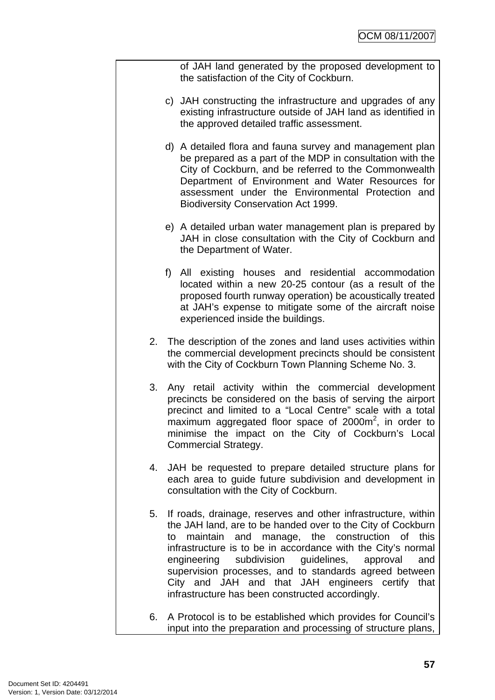of JAH land generated by the proposed development to the satisfaction of the City of Cockburn.

- c) JAH constructing the infrastructure and upgrades of any existing infrastructure outside of JAH land as identified in the approved detailed traffic assessment.
- d) A detailed flora and fauna survey and management plan be prepared as a part of the MDP in consultation with the City of Cockburn, and be referred to the Commonwealth Department of Environment and Water Resources for assessment under the Environmental Protection and Biodiversity Conservation Act 1999.
- e) A detailed urban water management plan is prepared by JAH in close consultation with the City of Cockburn and the Department of Water.
- f) All existing houses and residential accommodation located within a new 20-25 contour (as a result of the proposed fourth runway operation) be acoustically treated at JAH's expense to mitigate some of the aircraft noise experienced inside the buildings.
- 2. The description of the zones and land uses activities within the commercial development precincts should be consistent with the City of Cockburn Town Planning Scheme No. 3.
- 3. Any retail activity within the commercial development precincts be considered on the basis of serving the airport precinct and limited to a "Local Centre" scale with a total maximum aggregated floor space of 2000 $m^2$ , in order to minimise the impact on the City of Cockburn's Local Commercial Strategy.
- 4. JAH be requested to prepare detailed structure plans for each area to guide future subdivision and development in consultation with the City of Cockburn.
- 5. If roads, drainage, reserves and other infrastructure, within the JAH land, are to be handed over to the City of Cockburn to maintain and manage, the construction of this infrastructure is to be in accordance with the City's normal engineering subdivision guidelines, approval and supervision processes, and to standards agreed between City and JAH and that JAH engineers certify that infrastructure has been constructed accordingly.
- 6. A Protocol is to be established which provides for Council's input into the preparation and processing of structure plans,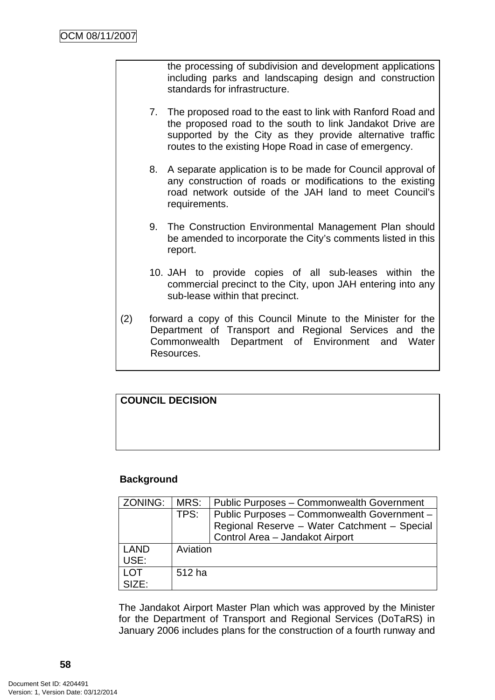the processing of subdivision and development applications including parks and landscaping design and construction standards for infrastructure.

- 7. The proposed road to the east to link with Ranford Road and the proposed road to the south to link Jandakot Drive are supported by the City as they provide alternative traffic routes to the existing Hope Road in case of emergency.
- 8. A separate application is to be made for Council approval of any construction of roads or modifications to the existing road network outside of the JAH land to meet Council's requirements.
- 9. The Construction Environmental Management Plan should be amended to incorporate the City's comments listed in this report.
- 10. JAH to provide copies of all sub-leases within the commercial precinct to the City, upon JAH entering into any sub-lease within that precinct.
- (2) forward a copy of this Council Minute to the Minister for the Department of Transport and Regional Services and the Commonwealth Department of Environment and Water Resources.

# **COUNCIL DECISION**

## **Background**

| ZONING:     | MRS:     | <b>Public Purposes - Commonwealth Government</b>                                                                               |
|-------------|----------|--------------------------------------------------------------------------------------------------------------------------------|
|             | TPS:     | Public Purposes - Commonwealth Government -<br>Regional Reserve - Water Catchment - Special<br>Control Area - Jandakot Airport |
| <b>LAND</b> | Aviation |                                                                                                                                |
| USE:        |          |                                                                                                                                |
| <b>LOT</b>  | 512 ha   |                                                                                                                                |
| SIZE:       |          |                                                                                                                                |

The Jandakot Airport Master Plan which was approved by the Minister for the Department of Transport and Regional Services (DoTaRS) in January 2006 includes plans for the construction of a fourth runway and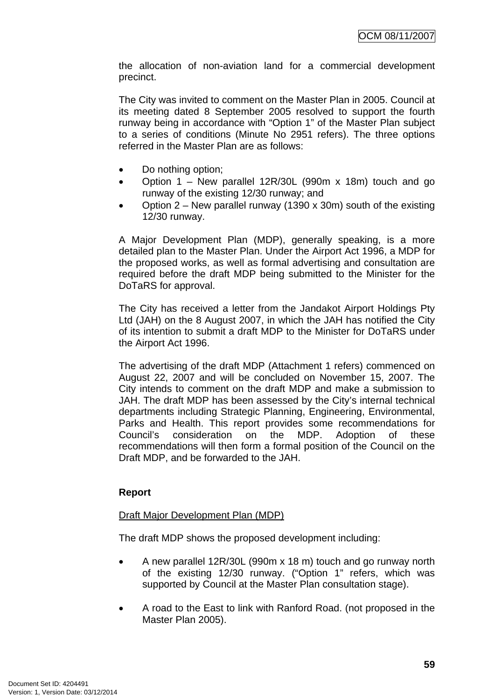the allocation of non-aviation land for a commercial development precinct.

The City was invited to comment on the Master Plan in 2005. Council at its meeting dated 8 September 2005 resolved to support the fourth runway being in accordance with "Option 1" of the Master Plan subject to a series of conditions (Minute No 2951 refers). The three options referred in the Master Plan are as follows:

- Do nothing option;
- Option 1 New parallel 12R/30L (990m x 18m) touch and go runway of the existing 12/30 runway; and
- Option  $2$  New parallel runway (1390 x 30m) south of the existing 12/30 runway.

A Major Development Plan (MDP), generally speaking, is a more detailed plan to the Master Plan. Under the Airport Act 1996, a MDP for the proposed works, as well as formal advertising and consultation are required before the draft MDP being submitted to the Minister for the DoTaRS for approval.

The City has received a letter from the Jandakot Airport Holdings Pty Ltd (JAH) on the 8 August 2007, in which the JAH has notified the City of its intention to submit a draft MDP to the Minister for DoTaRS under the Airport Act 1996.

The advertising of the draft MDP (Attachment 1 refers) commenced on August 22, 2007 and will be concluded on November 15, 2007. The City intends to comment on the draft MDP and make a submission to JAH. The draft MDP has been assessed by the City's internal technical departments including Strategic Planning, Engineering, Environmental, Parks and Health. This report provides some recommendations for Council's consideration on the MDP. Adoption of these recommendations will then form a formal position of the Council on the Draft MDP, and be forwarded to the JAH.

# **Report**

#### Draft Major Development Plan (MDP)

The draft MDP shows the proposed development including:

- A new parallel 12R/30L (990m x 18 m) touch and go runway north of the existing 12/30 runway. ("Option 1" refers, which was supported by Council at the Master Plan consultation stage).
- A road to the East to link with Ranford Road. (not proposed in the Master Plan 2005).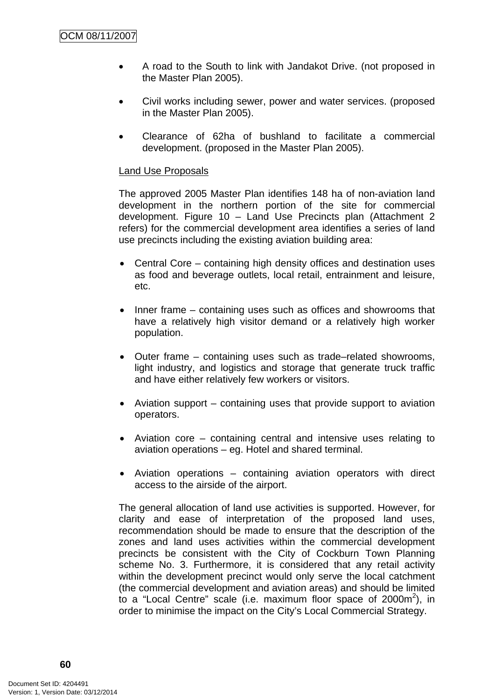- A road to the South to link with Jandakot Drive. (not proposed in the Master Plan 2005).
- Civil works including sewer, power and water services. (proposed in the Master Plan 2005).
- Clearance of 62ha of bushland to facilitate a commercial development. (proposed in the Master Plan 2005).

#### Land Use Proposals

The approved 2005 Master Plan identifies 148 ha of non-aviation land development in the northern portion of the site for commercial development. Figure 10 – Land Use Precincts plan (Attachment 2 refers) for the commercial development area identifies a series of land use precincts including the existing aviation building area:

- Central Core containing high density offices and destination uses as food and beverage outlets, local retail, entrainment and leisure, etc.
- Inner frame containing uses such as offices and showrooms that have a relatively high visitor demand or a relatively high worker population.
- Outer frame containing uses such as trade–related showrooms, light industry, and logistics and storage that generate truck traffic and have either relatively few workers or visitors.
- Aviation support containing uses that provide support to aviation operators.
- Aviation core containing central and intensive uses relating to aviation operations – eg. Hotel and shared terminal.
- Aviation operations containing aviation operators with direct access to the airside of the airport.

The general allocation of land use activities is supported. However, for clarity and ease of interpretation of the proposed land uses, recommendation should be made to ensure that the description of the zones and land uses activities within the commercial development precincts be consistent with the City of Cockburn Town Planning scheme No. 3. Furthermore, it is considered that any retail activity within the development precinct would only serve the local catchment (the commercial development and aviation areas) and should be limited to a "Local Centre" scale (i.e. maximum floor space of 2000m<sup>2</sup>), in order to minimise the impact on the City's Local Commercial Strategy.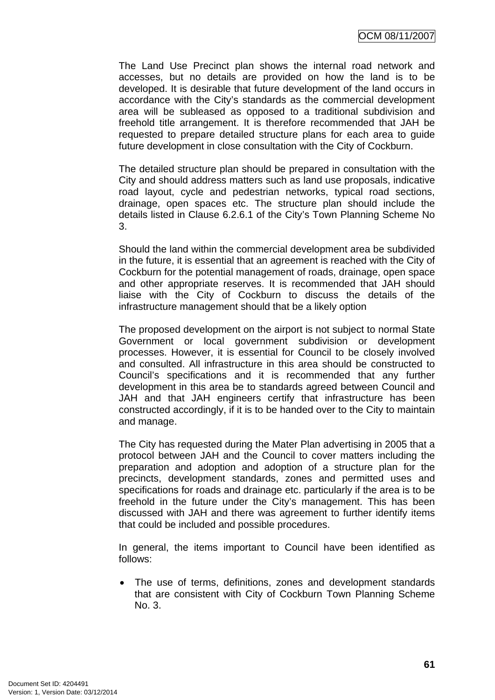The Land Use Precinct plan shows the internal road network and accesses, but no details are provided on how the land is to be developed. It is desirable that future development of the land occurs in accordance with the City's standards as the commercial development area will be subleased as opposed to a traditional subdivision and freehold title arrangement. It is therefore recommended that JAH be requested to prepare detailed structure plans for each area to guide future development in close consultation with the City of Cockburn.

The detailed structure plan should be prepared in consultation with the City and should address matters such as land use proposals, indicative road layout, cycle and pedestrian networks, typical road sections, drainage, open spaces etc. The structure plan should include the details listed in Clause 6.2.6.1 of the City's Town Planning Scheme No 3.

Should the land within the commercial development area be subdivided in the future, it is essential that an agreement is reached with the City of Cockburn for the potential management of roads, drainage, open space and other appropriate reserves. It is recommended that JAH should liaise with the City of Cockburn to discuss the details of the infrastructure management should that be a likely option

The proposed development on the airport is not subject to normal State Government or local government subdivision or development processes. However, it is essential for Council to be closely involved and consulted. All infrastructure in this area should be constructed to Council's specifications and it is recommended that any further development in this area be to standards agreed between Council and JAH and that JAH engineers certify that infrastructure has been constructed accordingly, if it is to be handed over to the City to maintain and manage.

The City has requested during the Mater Plan advertising in 2005 that a protocol between JAH and the Council to cover matters including the preparation and adoption and adoption of a structure plan for the precincts, development standards, zones and permitted uses and specifications for roads and drainage etc. particularly if the area is to be freehold in the future under the City's management. This has been discussed with JAH and there was agreement to further identify items that could be included and possible procedures.

In general, the items important to Council have been identified as follows:

• The use of terms, definitions, zones and development standards that are consistent with City of Cockburn Town Planning Scheme No. 3.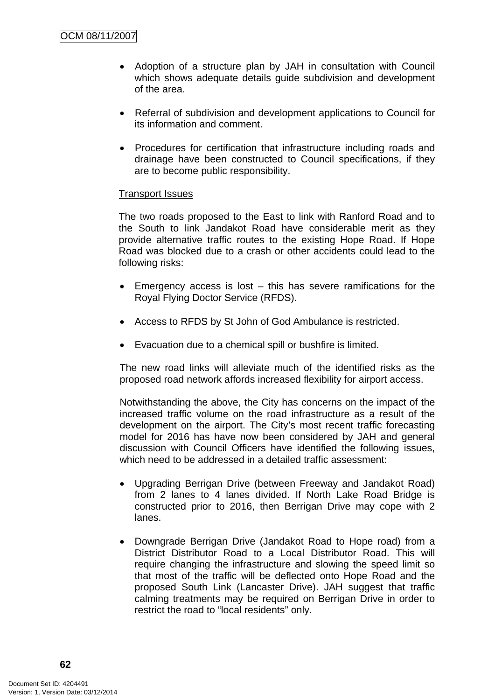- Adoption of a structure plan by JAH in consultation with Council which shows adequate details guide subdivision and development of the area.
- Referral of subdivision and development applications to Council for its information and comment.
- Procedures for certification that infrastructure including roads and drainage have been constructed to Council specifications, if they are to become public responsibility.

#### Transport Issues

The two roads proposed to the East to link with Ranford Road and to the South to link Jandakot Road have considerable merit as they provide alternative traffic routes to the existing Hope Road. If Hope Road was blocked due to a crash or other accidents could lead to the following risks:

- Emergency access is lost this has severe ramifications for the Royal Flying Doctor Service (RFDS).
- Access to RFDS by St John of God Ambulance is restricted.
- Evacuation due to a chemical spill or bushfire is limited.

The new road links will alleviate much of the identified risks as the proposed road network affords increased flexibility for airport access.

Notwithstanding the above, the City has concerns on the impact of the increased traffic volume on the road infrastructure as a result of the development on the airport. The City's most recent traffic forecasting model for 2016 has have now been considered by JAH and general discussion with Council Officers have identified the following issues, which need to be addressed in a detailed traffic assessment:

- Upgrading Berrigan Drive (between Freeway and Jandakot Road) from 2 lanes to 4 lanes divided. If North Lake Road Bridge is constructed prior to 2016, then Berrigan Drive may cope with 2 lanes.
- Downgrade Berrigan Drive (Jandakot Road to Hope road) from a District Distributor Road to a Local Distributor Road. This will require changing the infrastructure and slowing the speed limit so that most of the traffic will be deflected onto Hope Road and the proposed South Link (Lancaster Drive). JAH suggest that traffic calming treatments may be required on Berrigan Drive in order to restrict the road to "local residents" only.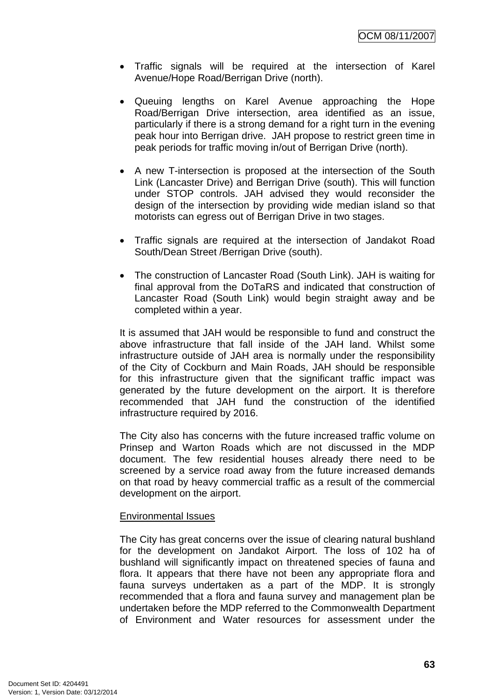- Traffic signals will be required at the intersection of Karel Avenue/Hope Road/Berrigan Drive (north).
- Queuing lengths on Karel Avenue approaching the Hope Road/Berrigan Drive intersection, area identified as an issue, particularly if there is a strong demand for a right turn in the evening peak hour into Berrigan drive. JAH propose to restrict green time in peak periods for traffic moving in/out of Berrigan Drive (north).
- A new T-intersection is proposed at the intersection of the South Link (Lancaster Drive) and Berrigan Drive (south). This will function under STOP controls. JAH advised they would reconsider the design of the intersection by providing wide median island so that motorists can egress out of Berrigan Drive in two stages.
- Traffic signals are required at the intersection of Jandakot Road South/Dean Street /Berrigan Drive (south).
- The construction of Lancaster Road (South Link). JAH is waiting for final approval from the DoTaRS and indicated that construction of Lancaster Road (South Link) would begin straight away and be completed within a year.

It is assumed that JAH would be responsible to fund and construct the above infrastructure that fall inside of the JAH land. Whilst some infrastructure outside of JAH area is normally under the responsibility of the City of Cockburn and Main Roads, JAH should be responsible for this infrastructure given that the significant traffic impact was generated by the future development on the airport. It is therefore recommended that JAH fund the construction of the identified infrastructure required by 2016.

The City also has concerns with the future increased traffic volume on Prinsep and Warton Roads which are not discussed in the MDP document. The few residential houses already there need to be screened by a service road away from the future increased demands on that road by heavy commercial traffic as a result of the commercial development on the airport.

#### Environmental Issues

The City has great concerns over the issue of clearing natural bushland for the development on Jandakot Airport. The loss of 102 ha of bushland will significantly impact on threatened species of fauna and flora. It appears that there have not been any appropriate flora and fauna surveys undertaken as a part of the MDP. It is strongly recommended that a flora and fauna survey and management plan be undertaken before the MDP referred to the Commonwealth Department of Environment and Water resources for assessment under the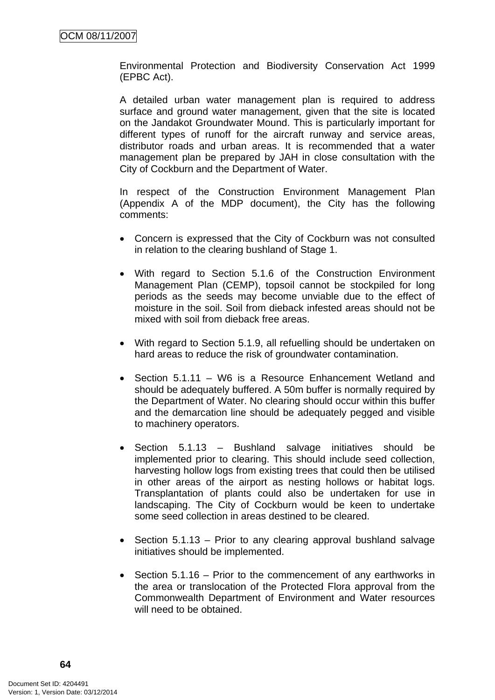Environmental Protection and Biodiversity Conservation Act 1999 (EPBC Act).

A detailed urban water management plan is required to address surface and ground water management, given that the site is located on the Jandakot Groundwater Mound. This is particularly important for different types of runoff for the aircraft runway and service areas, distributor roads and urban areas. It is recommended that a water management plan be prepared by JAH in close consultation with the City of Cockburn and the Department of Water.

In respect of the Construction Environment Management Plan (Appendix A of the MDP document), the City has the following comments:

- Concern is expressed that the City of Cockburn was not consulted in relation to the clearing bushland of Stage 1.
- With regard to Section 5.1.6 of the Construction Environment Management Plan (CEMP), topsoil cannot be stockpiled for long periods as the seeds may become unviable due to the effect of moisture in the soil. Soil from dieback infested areas should not be mixed with soil from dieback free areas.
- With regard to Section 5.1.9, all refuelling should be undertaken on hard areas to reduce the risk of groundwater contamination.
- Section 5.1.11 W6 is a Resource Enhancement Wetland and should be adequately buffered. A 50m buffer is normally required by the Department of Water. No clearing should occur within this buffer and the demarcation line should be adequately pegged and visible to machinery operators.
- Section 5.1.13 Bushland salvage initiatives should be implemented prior to clearing. This should include seed collection, harvesting hollow logs from existing trees that could then be utilised in other areas of the airport as nesting hollows or habitat logs. Transplantation of plants could also be undertaken for use in landscaping. The City of Cockburn would be keen to undertake some seed collection in areas destined to be cleared.
- Section 5.1.13 Prior to any clearing approval bushland salvage initiatives should be implemented.
- Section 5.1.16 Prior to the commencement of any earthworks in the area or translocation of the Protected Flora approval from the Commonwealth Department of Environment and Water resources will need to be obtained.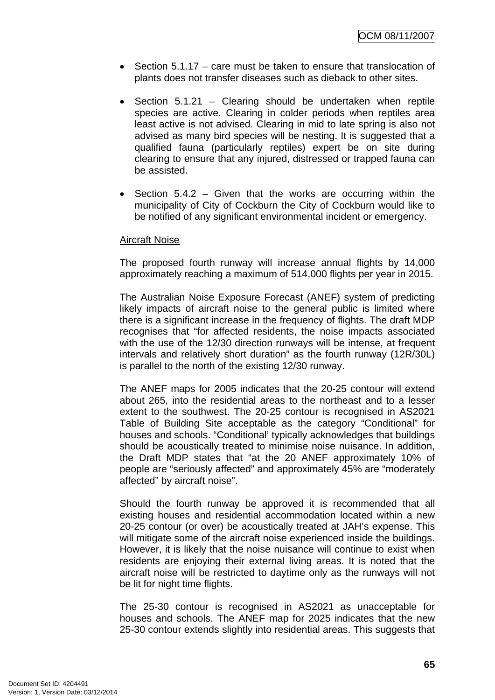- Section 5.1.17 care must be taken to ensure that translocation of plants does not transfer diseases such as dieback to other sites.
- Section 5.1.21 Clearing should be undertaken when reptile species are active. Clearing in colder periods when reptiles area least active is not advised. Clearing in mid to late spring is also not advised as many bird species will be nesting. It is suggested that a qualified fauna (particularly reptiles) expert be on site during clearing to ensure that any injured, distressed or trapped fauna can be assisted.
- Section  $5.4.2$  Given that the works are occurring within the municipality of City of Cockburn the City of Cockburn would like to be notified of any significant environmental incident or emergency.

#### Aircraft Noise

The proposed fourth runway will increase annual flights by 14,000 approximately reaching a maximum of 514,000 flights per year in 2015.

The Australian Noise Exposure Forecast (ANEF) system of predicting likely impacts of aircraft noise to the general public is limited where there is a significant increase in the frequency of flights. The draft MDP recognises that "for affected residents, the noise impacts associated with the use of the 12/30 direction runways will be intense, at frequent intervals and relatively short duration" as the fourth runway (12R/30L) is parallel to the north of the existing 12/30 runway.

The ANEF maps for 2005 indicates that the 20-25 contour will extend about 265, into the residential areas to the northeast and to a lesser extent to the southwest. The 20-25 contour is recognised in AS2021 Table of Building Site acceptable as the category "Conditional" for houses and schools. "Conditional' typically acknowledges that buildings should be acoustically treated to minimise noise nuisance. In addition, the Draft MDP states that "at the 20 ANEF approximately 10% of people are "seriously affected" and approximately 45% are "moderately affected" by aircraft noise".

Should the fourth runway be approved it is recommended that all existing houses and residential accommodation located within a new 20-25 contour (or over) be acoustically treated at JAH's expense. This will mitigate some of the aircraft noise experienced inside the buildings. However, it is likely that the noise nuisance will continue to exist when residents are enjoying their external living areas. It is noted that the aircraft noise will be restricted to daytime only as the runways will not be lit for night time flights.

The 25-30 contour is recognised in AS2021 as unacceptable for houses and schools. The ANEF map for 2025 indicates that the new 25-30 contour extends slightly into residential areas. This suggests that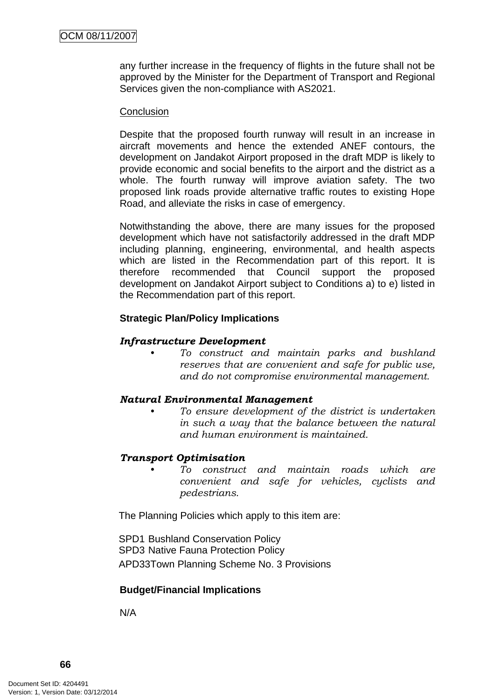any further increase in the frequency of flights in the future shall not be approved by the Minister for the Department of Transport and Regional Services given the non-compliance with AS2021.

#### **Conclusion**

Despite that the proposed fourth runway will result in an increase in aircraft movements and hence the extended ANEF contours, the development on Jandakot Airport proposed in the draft MDP is likely to provide economic and social benefits to the airport and the district as a whole. The fourth runway will improve aviation safety. The two proposed link roads provide alternative traffic routes to existing Hope Road, and alleviate the risks in case of emergency.

Notwithstanding the above, there are many issues for the proposed development which have not satisfactorily addressed in the draft MDP including planning, engineering, environmental, and health aspects which are listed in the Recommendation part of this report. It is therefore recommended that Council support the proposed development on Jandakot Airport subject to Conditions a) to e) listed in the Recommendation part of this report.

#### **Strategic Plan/Policy Implications**

### *Infrastructure Development*

*• To construct and maintain parks and bushland reserves that are convenient and safe for public use, and do not compromise environmental management.* 

#### *Natural Environmental Management*

*• To ensure development of the district is undertaken in such a way that the balance between the natural and human environment is maintained.* 

## *Transport Optimisation*

*• To construct and maintain roads which are convenient and safe for vehicles, cyclists and pedestrians.* 

The Planning Policies which apply to this item are:

SPD1 Bushland Conservation Policy SPD3 Native Fauna Protection Policy APD33Town Planning Scheme No. 3 Provisions

#### **Budget/Financial Implications**

N/A

**66**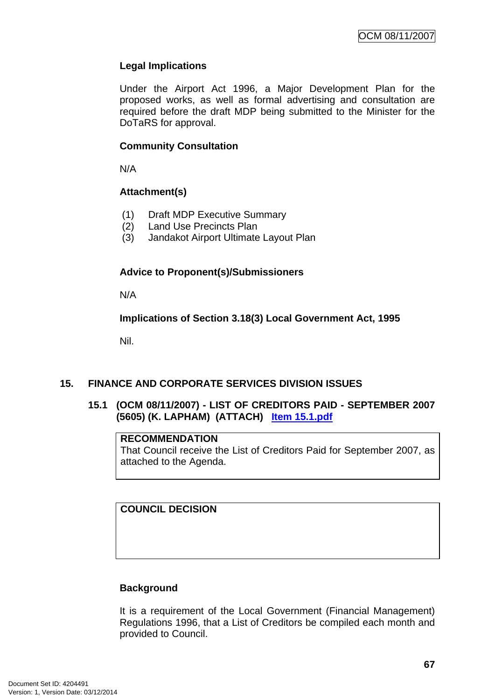## **Legal Implications**

Under the Airport Act 1996, a Major Development Plan for the proposed works, as well as formal advertising and consultation are required before the draft MDP being submitted to the Minister for the DoTaRS for approval.

#### **Community Consultation**

N/A

### **Attachment(s)**

- (1) Draft MDP Executive Summary
- (2) Land Use Precincts Plan
- (3) Jandakot Airport Ultimate Layout Plan

### **Advice to Proponent(s)/Submissioners**

N/A

## **Implications of Section 3.18(3) Local Government Act, 1995**

Nil.

## **15. FINANCE AND CORPORATE SERVICES DIVISION ISSUES**

#### **15.1 (OCM 08/11/2007) - LIST OF CREDITORS PAID - SEPTEMBER 2007 (5605) (K. LAPHAM) (ATTACH) Item 15.1.pdf**

#### **RECOMMENDATION**

That Council receive the List of Creditors Paid for September 2007, as attached to the Agenda.

**COUNCIL DECISION**

#### **Background**

It is a requirement of the Local Government (Financial Management) Regulations 1996, that a List of Creditors be compiled each month and provided to Council.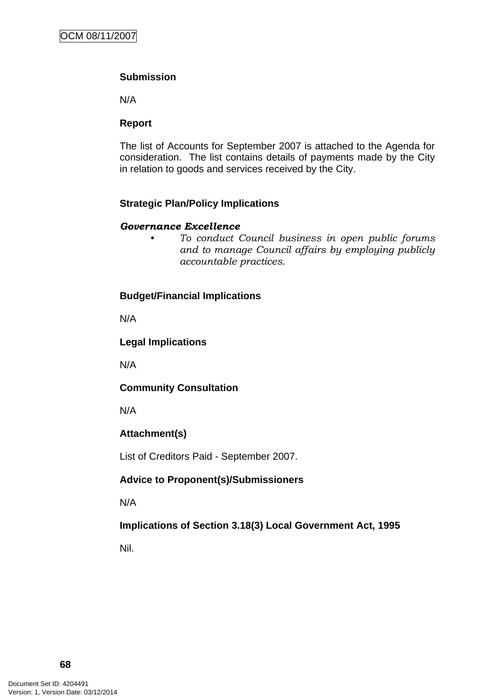### **Submission**

N/A

### **Report**

The list of Accounts for September 2007 is attached to the Agenda for consideration. The list contains details of payments made by the City in relation to goods and services received by the City.

### **Strategic Plan/Policy Implications**

#### *Governance Excellence*

*• To conduct Council business in open public forums and to manage Council affairs by employing publicly accountable practices.* 

### **Budget/Financial Implications**

N/A

## **Legal Implications**

N/A

## **Community Consultation**

N/A

# **Attachment(s)**

List of Creditors Paid - September 2007.

## **Advice to Proponent(s)/Submissioners**

N/A

## **Implications of Section 3.18(3) Local Government Act, 1995**

Nil.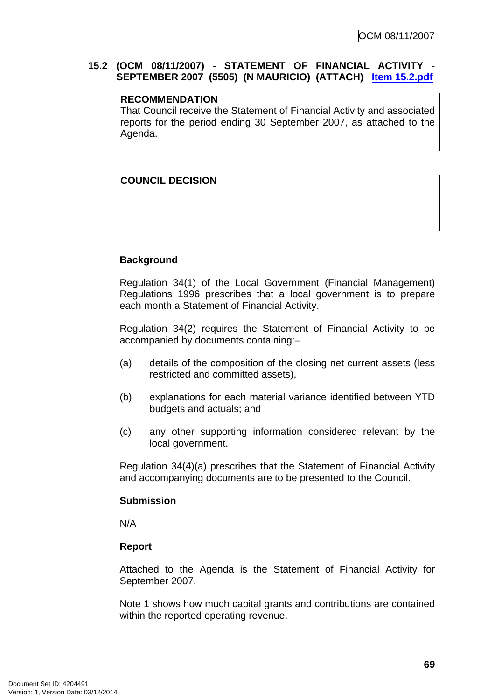### **15.2 (OCM 08/11/2007) - STATEMENT OF FINANCIAL ACTIVITY - SEPTEMBER 2007 (5505) (N MAURICIO) (ATTACH) Item 15.2.pdf**

### **RECOMMENDATION**

That Council receive the Statement of Financial Activity and associated reports for the period ending 30 September 2007, as attached to the Agenda.

## **COUNCIL DECISION**

### **Background**

Regulation 34(1) of the Local Government (Financial Management) Regulations 1996 prescribes that a local government is to prepare each month a Statement of Financial Activity.

Regulation 34(2) requires the Statement of Financial Activity to be accompanied by documents containing:–

- (a) details of the composition of the closing net current assets (less restricted and committed assets),
- (b) explanations for each material variance identified between YTD budgets and actuals; and
- (c) any other supporting information considered relevant by the local government.

Regulation 34(4)(a) prescribes that the Statement of Financial Activity and accompanying documents are to be presented to the Council.

#### **Submission**

N/A

### **Report**

Attached to the Agenda is the Statement of Financial Activity for September 2007.

Note 1 shows how much capital grants and contributions are contained within the reported operating revenue.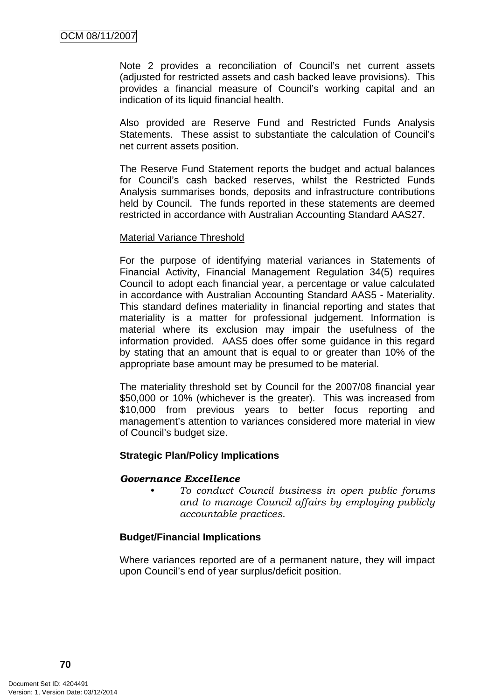Note 2 provides a reconciliation of Council's net current assets (adjusted for restricted assets and cash backed leave provisions). This provides a financial measure of Council's working capital and an indication of its liquid financial health.

Also provided are Reserve Fund and Restricted Funds Analysis Statements. These assist to substantiate the calculation of Council's net current assets position.

The Reserve Fund Statement reports the budget and actual balances for Council's cash backed reserves, whilst the Restricted Funds Analysis summarises bonds, deposits and infrastructure contributions held by Council. The funds reported in these statements are deemed restricted in accordance with Australian Accounting Standard AAS27.

### Material Variance Threshold

For the purpose of identifying material variances in Statements of Financial Activity, Financial Management Regulation 34(5) requires Council to adopt each financial year, a percentage or value calculated in accordance with Australian Accounting Standard AAS5 - Materiality. This standard defines materiality in financial reporting and states that materiality is a matter for professional judgement. Information is material where its exclusion may impair the usefulness of the information provided. AAS5 does offer some guidance in this regard by stating that an amount that is equal to or greater than 10% of the appropriate base amount may be presumed to be material.

The materiality threshold set by Council for the 2007/08 financial year \$50,000 or 10% (whichever is the greater). This was increased from \$10,000 from previous years to better focus reporting and management's attention to variances considered more material in view of Council's budget size.

### **Strategic Plan/Policy Implications**

#### *Governance Excellence*

*• To conduct Council business in open public forums and to manage Council affairs by employing publicly accountable practices.* 

### **Budget/Financial Implications**

Where variances reported are of a permanent nature, they will impact upon Council's end of year surplus/deficit position.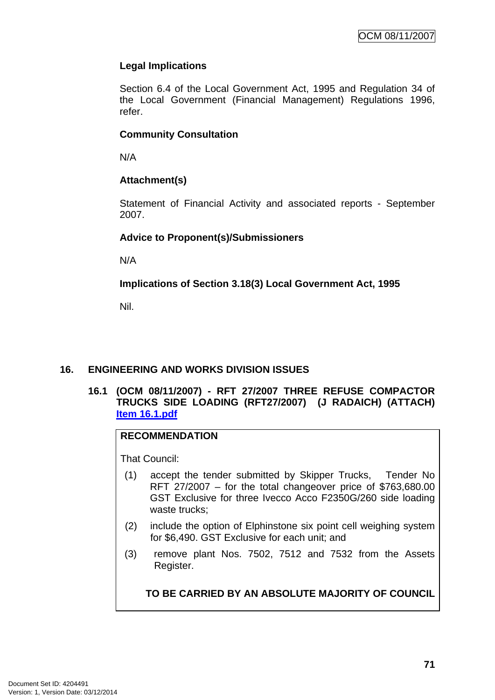## **Legal Implications**

Section 6.4 of the Local Government Act, 1995 and Regulation 34 of the Local Government (Financial Management) Regulations 1996, refer.

## **Community Consultation**

N/A

## **Attachment(s)**

Statement of Financial Activity and associated reports - September 2007.

## **Advice to Proponent(s)/Submissioners**

N/A

**Implications of Section 3.18(3) Local Government Act, 1995**

Nil.

## **16. ENGINEERING AND WORKS DIVISION ISSUES**

**16.1 (OCM 08/11/2007) - RFT 27/2007 THREE REFUSE COMPACTOR TRUCKS SIDE LOADING (RFT27/2007) (J RADAICH) (ATTACH) Item 16.1.pdf**

## **RECOMMENDATION**

That Council:

- (1) accept the tender submitted by Skipper Trucks, Tender No RFT 27/2007 – for the total changeover price of \$763,680.00 GST Exclusive for three Ivecco Acco F2350G/260 side loading waste trucks:
- (2) include the option of Elphinstone six point cell weighing system for \$6,490. GST Exclusive for each unit; and
- (3) remove plant Nos. 7502, 7512 and 7532 from the Assets Register.

**TO BE CARRIED BY AN ABSOLUTE MAJORITY OF COUNCIL**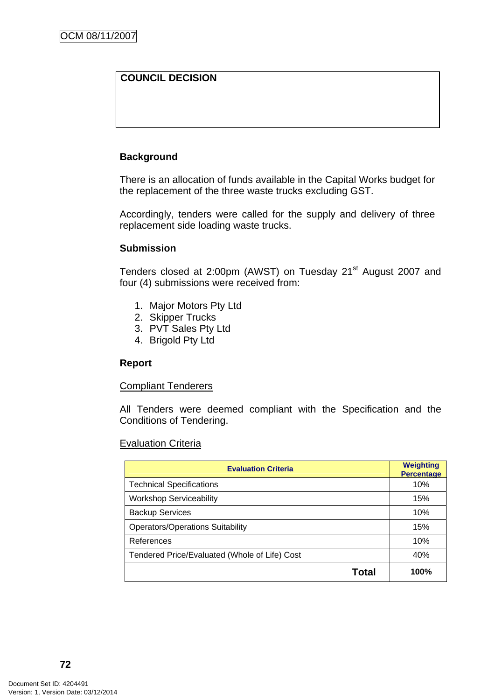## **COUNCIL DECISION**

### **Background**

There is an allocation of funds available in the Capital Works budget for the replacement of the three waste trucks excluding GST.

Accordingly, tenders were called for the supply and delivery of three replacement side loading waste trucks.

### **Submission**

Tenders closed at 2:00pm (AWST) on Tuesday 21<sup>st</sup> August 2007 and four (4) submissions were received from:

- 1. Major Motors Pty Ltd
- 2. Skipper Trucks
- 3. PVT Sales Pty Ltd
- 4. Brigold Pty Ltd

### **Report**

#### Compliant Tenderers

All Tenders were deemed compliant with the Specification and the Conditions of Tendering.

#### Evaluation Criteria

| <b>Evaluation Criteria</b>                    | <b>Weighting</b><br><b>Percentage</b> |
|-----------------------------------------------|---------------------------------------|
| <b>Technical Specifications</b>               | 10%                                   |
| <b>Workshop Serviceability</b>                | 15%                                   |
| <b>Backup Services</b>                        | 10%                                   |
| <b>Operators/Operations Suitability</b>       | 15%                                   |
| References                                    | 10%                                   |
| Tendered Price/Evaluated (Whole of Life) Cost | 40%                                   |
| Total                                         | 100%                                  |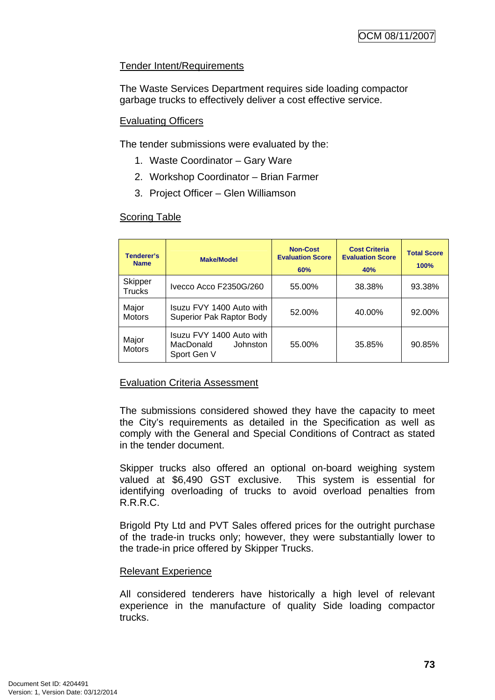## Tender Intent/Requirements

The Waste Services Department requires side loading compactor garbage trucks to effectively deliver a cost effective service.

### Evaluating Officers

The tender submissions were evaluated by the:

- 1. Waste Coordinator Gary Ware
- 2. Workshop Coordinator Brian Farmer
- 3. Project Officer Glen Williamson

## Scoring Table

| Tenderer's<br><b>Name</b> | <b>Make/Model</b>                                                | <b>Non-Cost</b><br><b>Evaluation Score</b><br>60% | <b>Cost Criteria</b><br><b>Evaluation Score</b><br><b>40%</b> | <b>Total Score</b><br>100% |
|---------------------------|------------------------------------------------------------------|---------------------------------------------------|---------------------------------------------------------------|----------------------------|
| Skipper<br><b>Trucks</b>  | Ivecco Acco F2350G/260                                           | 55.00%                                            | 38.38%                                                        | 93.38%                     |
| Major<br><b>Motors</b>    | Isuzu FVY 1400 Auto with<br>Superior Pak Raptor Body             | 52.00%                                            | 40.00%                                                        | 92.00%                     |
| Major<br><b>Motors</b>    | Isuzu FVY 1400 Auto with<br>MacDonald<br>Johnston<br>Sport Gen V | 55.00%                                            | 35.85%                                                        | 90.85%                     |

## Evaluation Criteria Assessment

The submissions considered showed they have the capacity to meet the City's requirements as detailed in the Specification as well as comply with the General and Special Conditions of Contract as stated in the tender document.

Skipper trucks also offered an optional on-board weighing system valued at \$6,490 GST exclusive. This system is essential for identifying overloading of trucks to avoid overload penalties from R.R.R.C.

Brigold Pty Ltd and PVT Sales offered prices for the outright purchase of the trade-in trucks only; however, they were substantially lower to the trade-in price offered by Skipper Trucks.

### Relevant Experience

All considered tenderers have historically a high level of relevant experience in the manufacture of quality Side loading compactor trucks.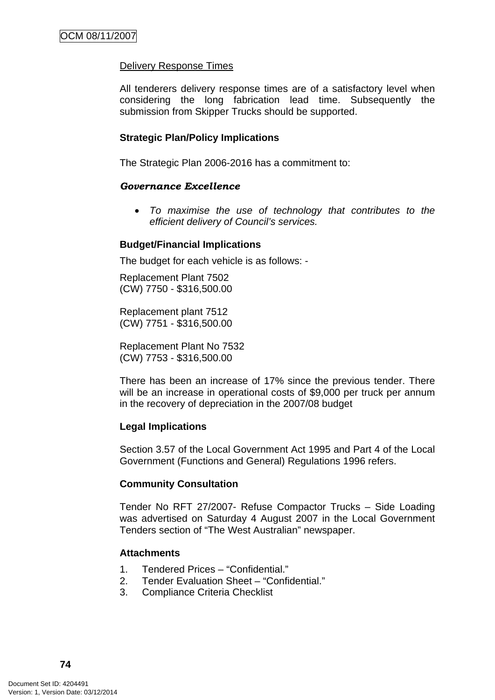### Delivery Response Times

All tenderers delivery response times are of a satisfactory level when considering the long fabrication lead time. Subsequently the submission from Skipper Trucks should be supported.

### **Strategic Plan/Policy Implications**

The Strategic Plan 2006-2016 has a commitment to:

#### *Governance Excellence*

• *To maximise the use of technology that contributes to the efficient delivery of Council's services.* 

#### **Budget/Financial Implications**

The budget for each vehicle is as follows: -

Replacement Plant 7502 (CW) 7750 - \$316,500.00

Replacement plant 7512 (CW) 7751 - \$316,500.00

Replacement Plant No 7532 (CW) 7753 - \$316,500.00

There has been an increase of 17% since the previous tender. There will be an increase in operational costs of \$9,000 per truck per annum in the recovery of depreciation in the 2007/08 budget

#### **Legal Implications**

Section 3.57 of the Local Government Act 1995 and Part 4 of the Local Government (Functions and General) Regulations 1996 refers.

#### **Community Consultation**

Tender No RFT 27/2007- Refuse Compactor Trucks – Side Loading was advertised on Saturday 4 August 2007 in the Local Government Tenders section of "The West Australian" newspaper.

#### **Attachments**

- 1. Tendered Prices "Confidential."
- 2. Tender Evaluation Sheet "Confidential."
- 3. Compliance Criteria Checklist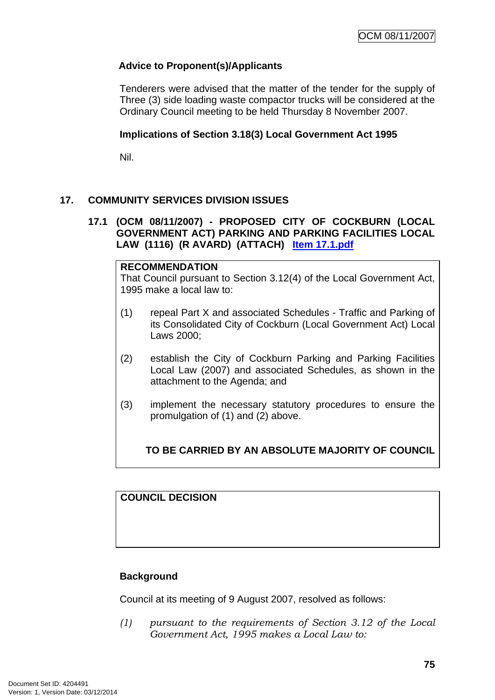## **Advice to Proponent(s)/Applicants**

Tenderers were advised that the matter of the tender for the supply of Three (3) side loading waste compactor trucks will be considered at the Ordinary Council meeting to be held Thursday 8 November 2007.

### **Implications of Section 3.18(3) Local Government Act 1995**

Nil.

## **17. COMMUNITY SERVICES DIVISION ISSUES**

### **17.1 (OCM 08/11/2007) - PROPOSED CITY OF COCKBURN (LOCAL GOVERNMENT ACT) PARKING AND PARKING FACILITIES LOCAL LAW (1116) (R AVARD) (ATTACH) Item 17.1.pdf**

### **RECOMMENDATION**

That Council pursuant to Section 3.12(4) of the Local Government Act, 1995 make a local law to:

- (1) repeal Part X and associated Schedules Traffic and Parking of its Consolidated City of Cockburn (Local Government Act) Local Laws 2000;
- (2) establish the City of Cockburn Parking and Parking Facilities Local Law (2007) and associated Schedules, as shown in the attachment to the Agenda; and
- (3) implement the necessary statutory procedures to ensure the promulgation of (1) and (2) above.

## **TO BE CARRIED BY AN ABSOLUTE MAJORITY OF COUNCIL**

## **COUNCIL DECISION**

## **Background**

Council at its meeting of 9 August 2007, resolved as follows:

*(1) pursuant to the requirements of Section 3.12 of the Local Government Act, 1995 makes a Local Law to:*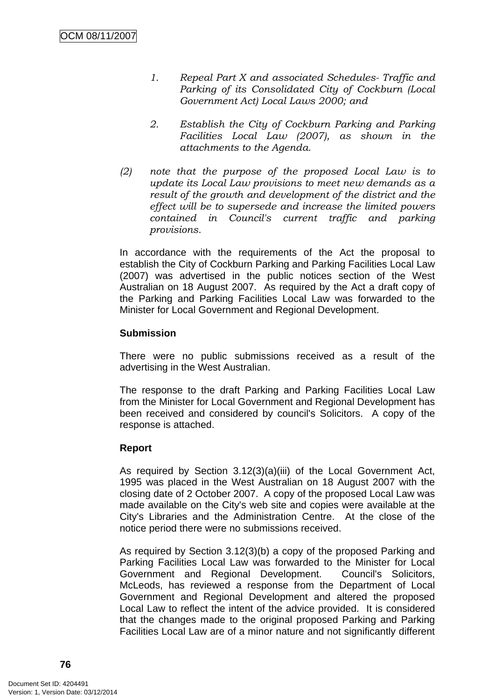- *1. Repeal Part X and associated Schedules- Traffic and Parking of its Consolidated City of Cockburn (Local Government Act) Local Laws 2000; and*
- *2. Establish the City of Cockburn Parking and Parking Facilities Local Law (2007), as shown in the attachments to the Agenda.*
- *(2) note that the purpose of the proposed Local Law is to update its Local Law provisions to meet new demands as a result of the growth and development of the district and the effect will be to supersede and increase the limited powers contained in Council's current traffic and parking provisions.*

In accordance with the requirements of the Act the proposal to establish the City of Cockburn Parking and Parking Facilities Local Law (2007) was advertised in the public notices section of the West Australian on 18 August 2007. As required by the Act a draft copy of the Parking and Parking Facilities Local Law was forwarded to the Minister for Local Government and Regional Development.

### **Submission**

There were no public submissions received as a result of the advertising in the West Australian.

The response to the draft Parking and Parking Facilities Local Law from the Minister for Local Government and Regional Development has been received and considered by council's Solicitors. A copy of the response is attached.

### **Report**

As required by Section 3.12(3)(a)(iii) of the Local Government Act, 1995 was placed in the West Australian on 18 August 2007 with the closing date of 2 October 2007. A copy of the proposed Local Law was made available on the City's web site and copies were available at the City's Libraries and the Administration Centre. At the close of the notice period there were no submissions received.

As required by Section 3.12(3)(b) a copy of the proposed Parking and Parking Facilities Local Law was forwarded to the Minister for Local Government and Regional Development. Council's Solicitors, McLeods, has reviewed a response from the Department of Local Government and Regional Development and altered the proposed Local Law to reflect the intent of the advice provided. It is considered that the changes made to the original proposed Parking and Parking Facilities Local Law are of a minor nature and not significantly different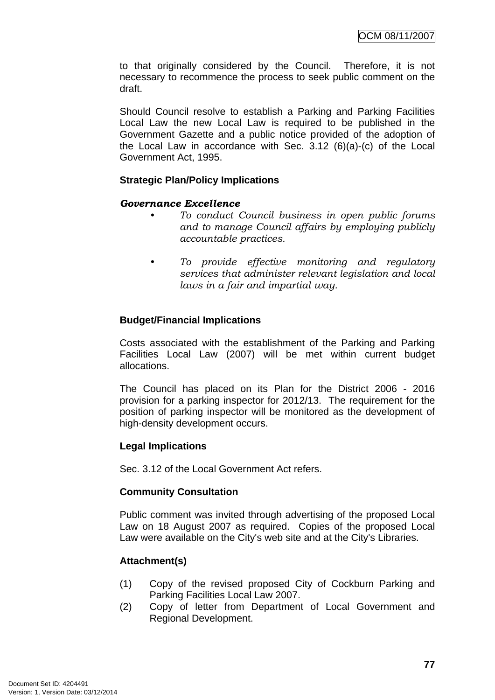to that originally considered by the Council. Therefore, it is not necessary to recommence the process to seek public comment on the draft.

Should Council resolve to establish a Parking and Parking Facilities Local Law the new Local Law is required to be published in the Government Gazette and a public notice provided of the adoption of the Local Law in accordance with Sec. 3.12 (6)(a)-(c) of the Local Government Act, 1995.

### **Strategic Plan/Policy Implications**

### *Governance Excellence*

- *To conduct Council business in open public forums and to manage Council affairs by employing publicly accountable practices.*
- *To provide effective monitoring and regulatory services that administer relevant legislation and local laws in a fair and impartial way.*

### **Budget/Financial Implications**

Costs associated with the establishment of the Parking and Parking Facilities Local Law (2007) will be met within current budget allocations.

The Council has placed on its Plan for the District 2006 - 2016 provision for a parking inspector for 2012/13. The requirement for the position of parking inspector will be monitored as the development of high-density development occurs.

### **Legal Implications**

Sec. 3.12 of the Local Government Act refers.

### **Community Consultation**

Public comment was invited through advertising of the proposed Local Law on 18 August 2007 as required. Copies of the proposed Local Law were available on the City's web site and at the City's Libraries.

## **Attachment(s)**

- (1) Copy of the revised proposed City of Cockburn Parking and Parking Facilities Local Law 2007.
- (2) Copy of letter from Department of Local Government and Regional Development.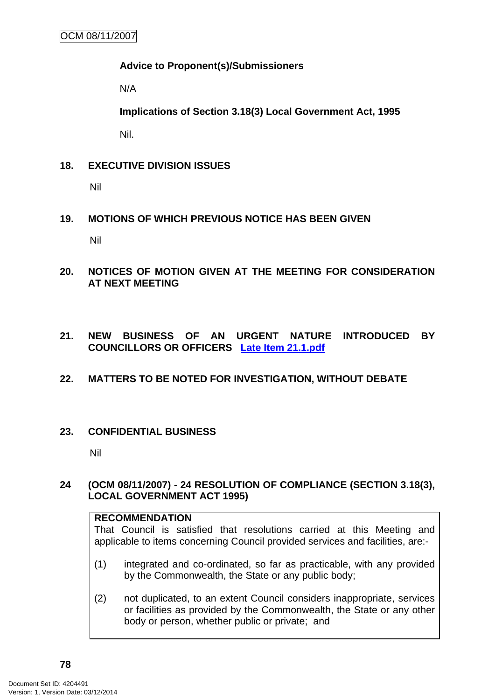### **Advice to Proponent(s)/Submissioners**

N/A

**Implications of Section 3.18(3) Local Government Act, 1995**

Nil.

## **18. EXECUTIVE DIVISION ISSUES**

Nil

## **19. MOTIONS OF WHICH PREVIOUS NOTICE HAS BEEN GIVEN**

Nil

**20. NOTICES OF MOTION GIVEN AT THE MEETING FOR CONSIDERATION AT NEXT MEETING** 

## **21. NEW BUSINESS OF AN URGENT NATURE INTRODUCED BY COUNCILLORS OR OFFICERS Late Item 21.1.pdf**

## **22. MATTERS TO BE NOTED FOR INVESTIGATION, WITHOUT DEBATE**

## **23. CONFIDENTIAL BUSINESS**

Nil

### **24 (OCM 08/11/2007) - 24 RESOLUTION OF COMPLIANCE (SECTION 3.18(3), LOCAL GOVERNMENT ACT 1995)**

### **RECOMMENDATION**

That Council is satisfied that resolutions carried at this Meeting and applicable to items concerning Council provided services and facilities, are:-

- (1) integrated and co-ordinated, so far as practicable, with any provided by the Commonwealth, the State or any public body;
- (2) not duplicated, to an extent Council considers inappropriate, services or facilities as provided by the Commonwealth, the State or any other body or person, whether public or private; and